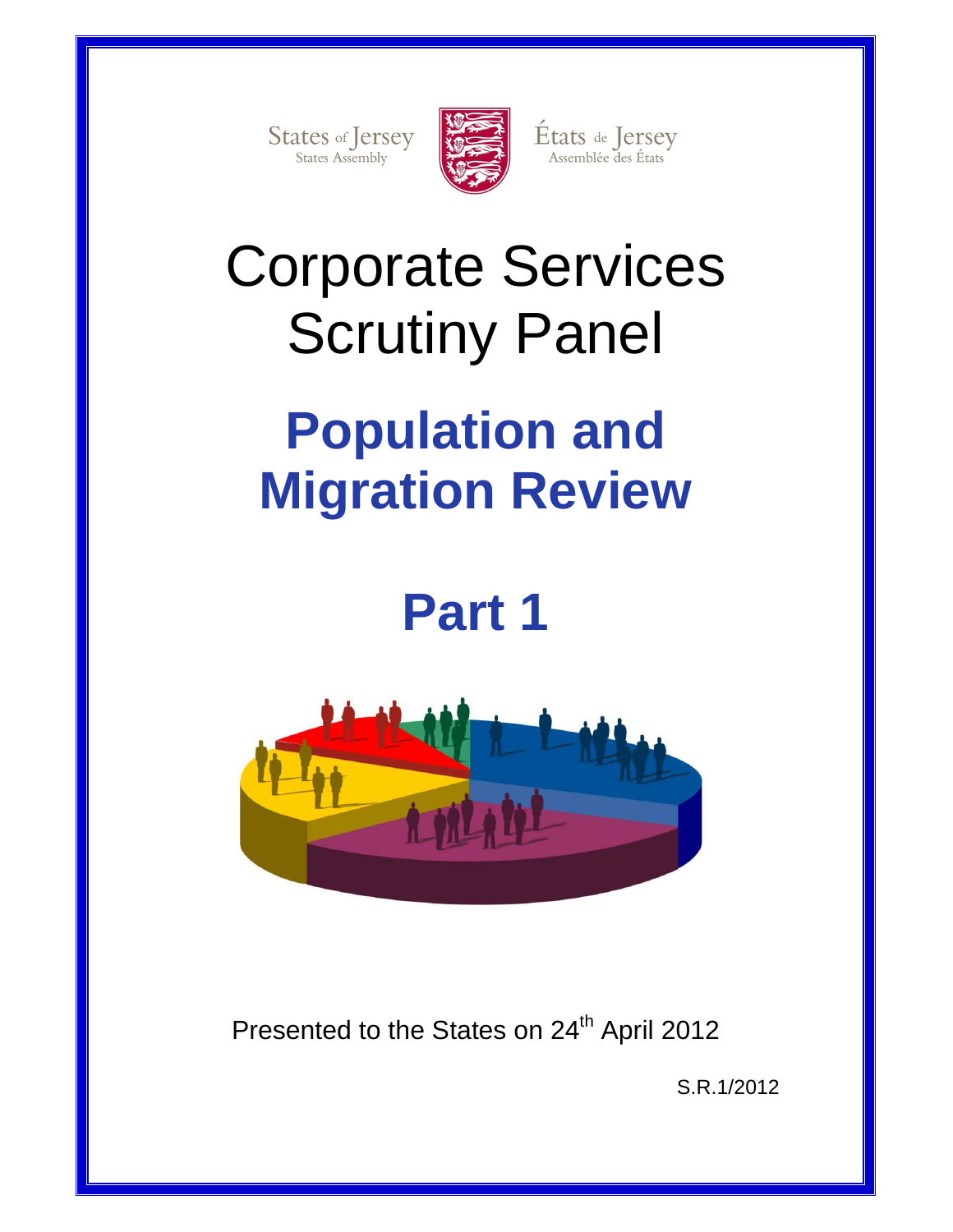States of Jersey



États de Jersey<br>Assemblée des États

# Corporate Services Scrutiny Panel

# **Population and Migration Review**

# **Part 1**



Presented to the States on 24<sup>th</sup> April 2012

S.R.1/2012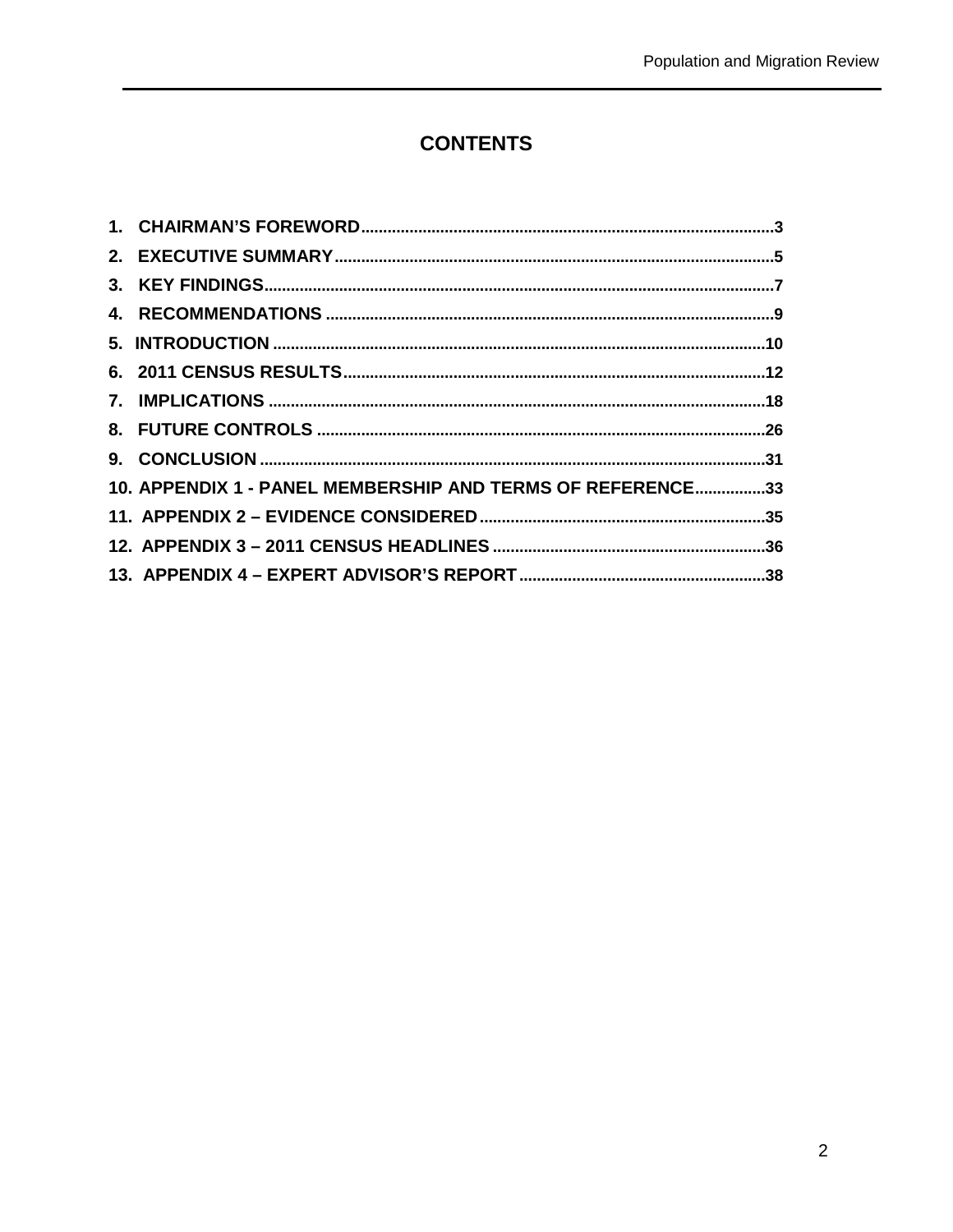## **CONTENTS**

| 10. APPENDIX 1 - PANEL MEMBERSHIP AND TERMS OF REFERENCE33 |  |
|------------------------------------------------------------|--|
|                                                            |  |
|                                                            |  |
|                                                            |  |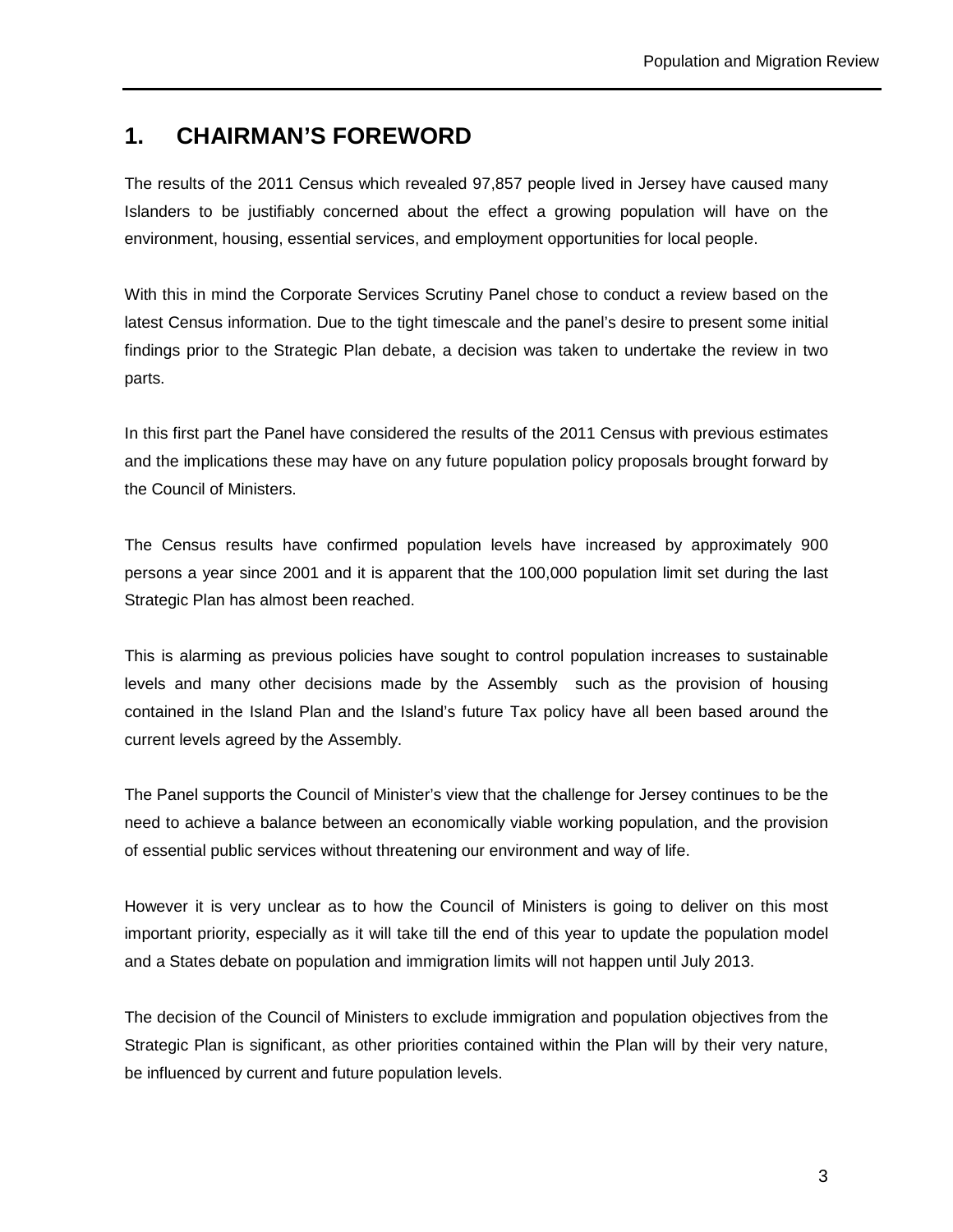## **1. CHAIRMAN'S FOREWORD**

The results of the 2011 Census which revealed 97,857 people lived in Jersey have caused many Islanders to be justifiably concerned about the effect a growing population will have on the environment, housing, essential services, and employment opportunities for local people.

With this in mind the Corporate Services Scrutiny Panel chose to conduct a review based on the latest Census information. Due to the tight timescale and the panel's desire to present some initial findings prior to the Strategic Plan debate, a decision was taken to undertake the review in two parts.

In this first part the Panel have considered the results of the 2011 Census with previous estimates and the implications these may have on any future population policy proposals brought forward by the Council of Ministers.

The Census results have confirmed population levels have increased by approximately 900 persons a year since 2001 and it is apparent that the 100,000 population limit set during the last Strategic Plan has almost been reached.

This is alarming as previous policies have sought to control population increases to sustainable levels and many other decisions made by the Assembly such as the provision of housing contained in the Island Plan and the Island's future Tax policy have all been based around the current levels agreed by the Assembly.

The Panel supports the Council of Minister's view that the challenge for Jersey continues to be the need to achieve a balance between an economically viable working population, and the provision of essential public services without threatening our environment and way of life.

However it is very unclear as to how the Council of Ministers is going to deliver on this most important priority, especially as it will take till the end of this year to update the population model and a States debate on population and immigration limits will not happen until July 2013.

The decision of the Council of Ministers to exclude immigration and population objectives from the Strategic Plan is significant, as other priorities contained within the Plan will by their very nature, be influenced by current and future population levels.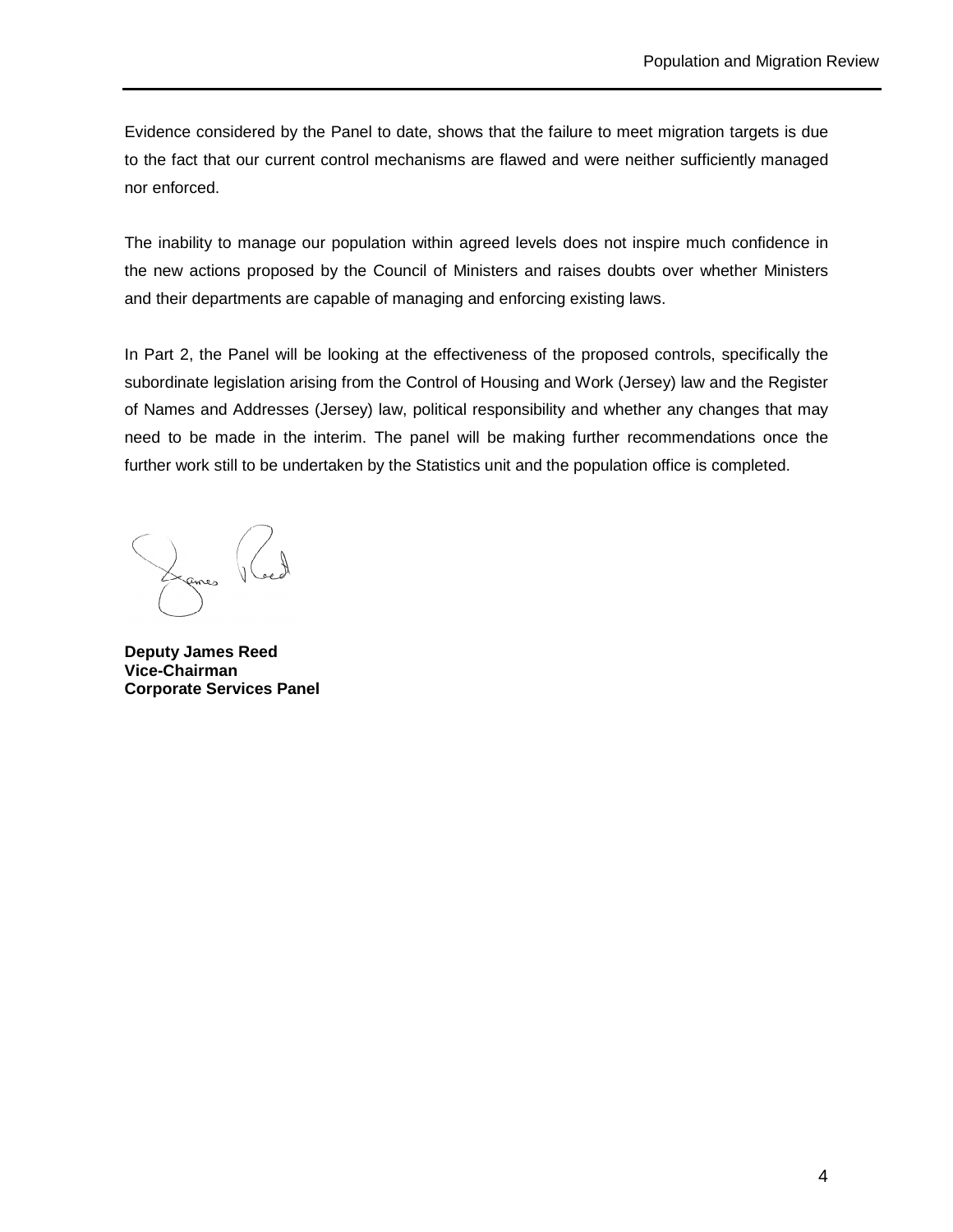Evidence considered by the Panel to date, shows that the failure to meet migration targets is due to the fact that our current control mechanisms are flawed and were neither sufficiently managed nor enforced.

The inability to manage our population within agreed levels does not inspire much confidence in the new actions proposed by the Council of Ministers and raises doubts over whether Ministers and their departments are capable of managing and enforcing existing laws.

In Part 2, the Panel will be looking at the effectiveness of the proposed controls, specifically the subordinate legislation arising from the Control of Housing and Work (Jersey) law and the Register of Names and Addresses (Jersey) law, political responsibility and whether any changes that may need to be made in the interim. The panel will be making further recommendations once the further work still to be undertaken by the Statistics unit and the population office is completed.

ames

**Deputy James Reed Vice-Chairman Corporate Services Panel**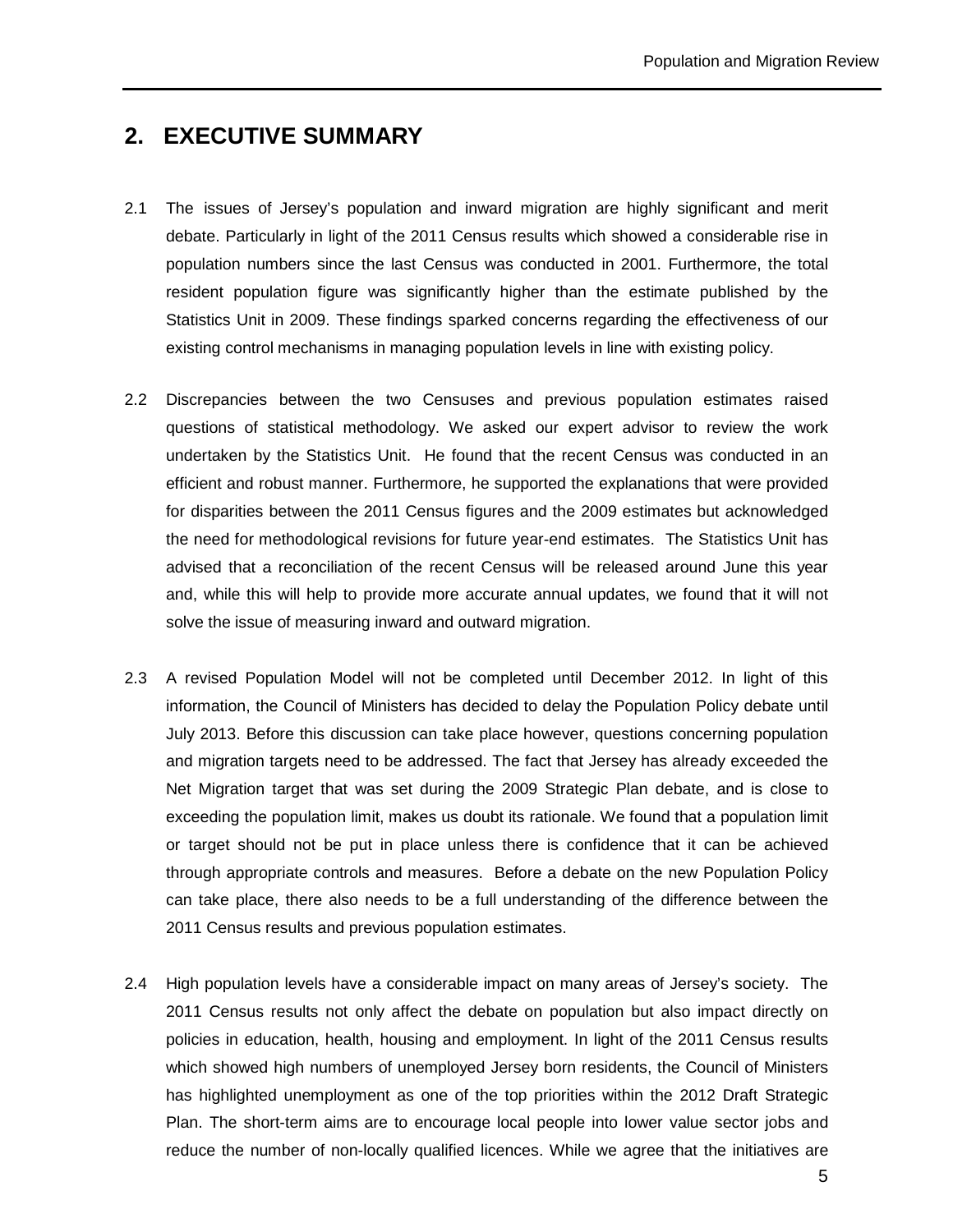## **2. EXECUTIVE SUMMARY**

- 2.1 The issues of Jersey's population and inward migration are highly significant and merit debate. Particularly in light of the 2011 Census results which showed a considerable rise in population numbers since the last Census was conducted in 2001. Furthermore, the total resident population figure was significantly higher than the estimate published by the Statistics Unit in 2009. These findings sparked concerns regarding the effectiveness of our existing control mechanisms in managing population levels in line with existing policy.
- 2.2 Discrepancies between the two Censuses and previous population estimates raised questions of statistical methodology. We asked our expert advisor to review the work undertaken by the Statistics Unit. He found that the recent Census was conducted in an efficient and robust manner. Furthermore, he supported the explanations that were provided for disparities between the 2011 Census figures and the 2009 estimates but acknowledged the need for methodological revisions for future year-end estimates. The Statistics Unit has advised that a reconciliation of the recent Census will be released around June this year and, while this will help to provide more accurate annual updates, we found that it will not solve the issue of measuring inward and outward migration.
- 2.3 A revised Population Model will not be completed until December 2012. In light of this information, the Council of Ministers has decided to delay the Population Policy debate until July 2013. Before this discussion can take place however, questions concerning population and migration targets need to be addressed. The fact that Jersey has already exceeded the Net Migration target that was set during the 2009 Strategic Plan debate, and is close to exceeding the population limit, makes us doubt its rationale. We found that a population limit or target should not be put in place unless there is confidence that it can be achieved through appropriate controls and measures. Before a debate on the new Population Policy can take place, there also needs to be a full understanding of the difference between the 2011 Census results and previous population estimates.
- 2.4 High population levels have a considerable impact on many areas of Jersey's society. The 2011 Census results not only affect the debate on population but also impact directly on policies in education, health, housing and employment. In light of the 2011 Census results which showed high numbers of unemployed Jersey born residents, the Council of Ministers has highlighted unemployment as one of the top priorities within the 2012 Draft Strategic Plan. The short-term aims are to encourage local people into lower value sector jobs and reduce the number of non-locally qualified licences. While we agree that the initiatives are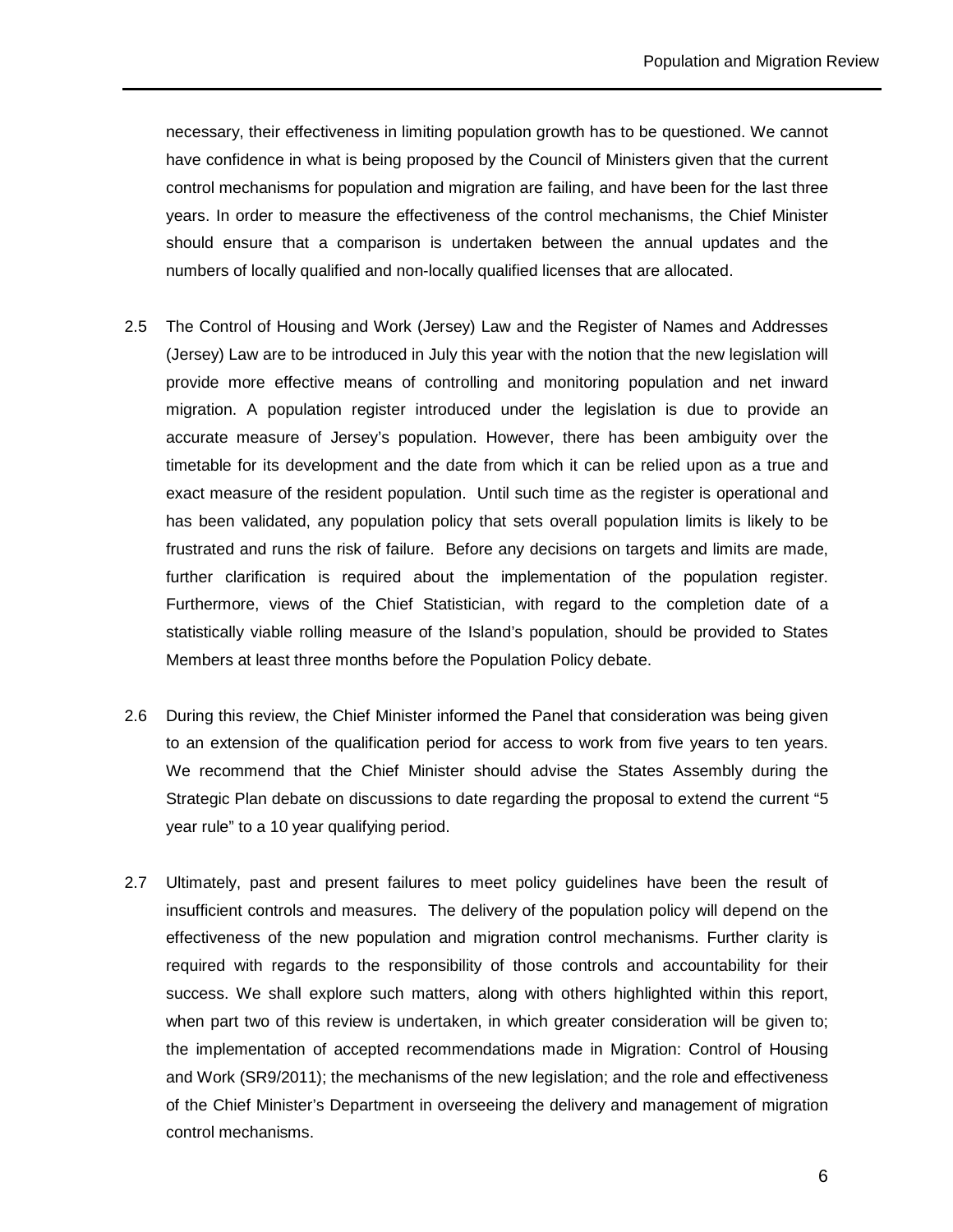necessary, their effectiveness in limiting population growth has to be questioned. We cannot have confidence in what is being proposed by the Council of Ministers given that the current control mechanisms for population and migration are failing, and have been for the last three years. In order to measure the effectiveness of the control mechanisms, the Chief Minister should ensure that a comparison is undertaken between the annual updates and the numbers of locally qualified and non-locally qualified licenses that are allocated.

- 2.5 The Control of Housing and Work (Jersey) Law and the Register of Names and Addresses (Jersey) Law are to be introduced in July this year with the notion that the new legislation will provide more effective means of controlling and monitoring population and net inward migration. A population register introduced under the legislation is due to provide an accurate measure of Jersey's population. However, there has been ambiguity over the timetable for its development and the date from which it can be relied upon as a true and exact measure of the resident population. Until such time as the register is operational and has been validated, any population policy that sets overall population limits is likely to be frustrated and runs the risk of failure. Before any decisions on targets and limits are made, further clarification is required about the implementation of the population register. Furthermore, views of the Chief Statistician, with regard to the completion date of a statistically viable rolling measure of the Island's population, should be provided to States Members at least three months before the Population Policy debate.
- 2.6 During this review, the Chief Minister informed the Panel that consideration was being given to an extension of the qualification period for access to work from five years to ten years. We recommend that the Chief Minister should advise the States Assembly during the Strategic Plan debate on discussions to date regarding the proposal to extend the current "5 year rule" to a 10 year qualifying period.
- 2.7 Ultimately, past and present failures to meet policy guidelines have been the result of insufficient controls and measures. The delivery of the population policy will depend on the effectiveness of the new population and migration control mechanisms. Further clarity is required with regards to the responsibility of those controls and accountability for their success. We shall explore such matters, along with others highlighted within this report, when part two of this review is undertaken, in which greater consideration will be given to; the implementation of accepted recommendations made in Migration: Control of Housing and Work (SR9/2011); the mechanisms of the new legislation; and the role and effectiveness of the Chief Minister's Department in overseeing the delivery and management of migration control mechanisms.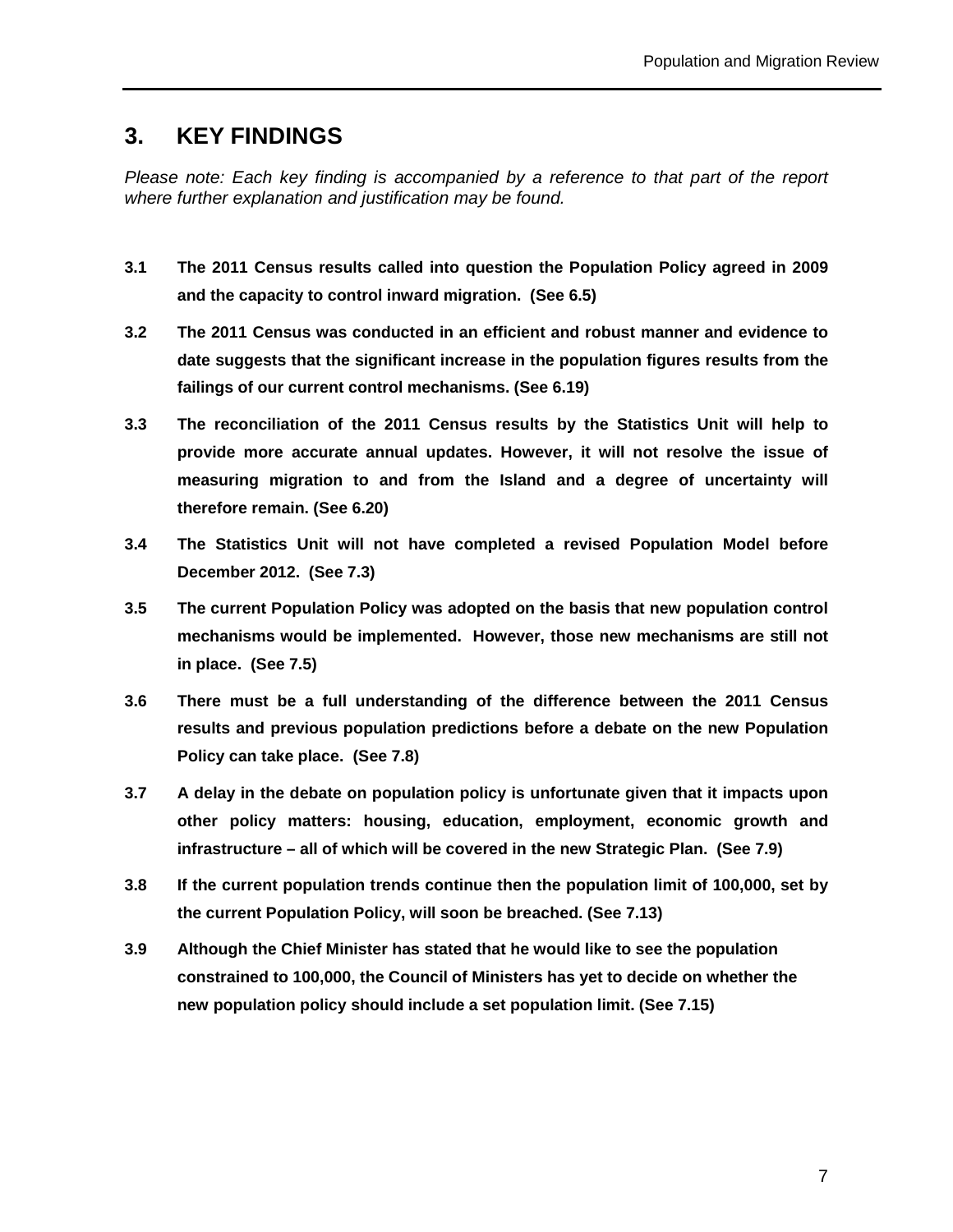## **3. KEY FINDINGS**

Please note: Each key finding is accompanied by a reference to that part of the report where further explanation and justification may be found.

- **3.1 The 2011 Census results called into question the Population Policy agreed in 2009 and the capacity to control inward migration. (See 6.5)**
- **3.2 The 2011 Census was conducted in an efficient and robust manner and evidence to date suggests that the significant increase in the population figures results from the failings of our current control mechanisms. (See 6.19)**
- **3.3 The reconciliation of the 2011 Census results by the Statistics Unit will help to provide more accurate annual updates. However, it will not resolve the issue of measuring migration to and from the Island and a degree of uncertainty will therefore remain. (See 6.20)**
- **3.4 The Statistics Unit will not have completed a revised Population Model before December 2012. (See 7.3)**
- **3.5 The current Population Policy was adopted on the basis that new population control mechanisms would be implemented. However, those new mechanisms are still not in place. (See 7.5)**
- **3.6 There must be a full understanding of the difference between the 2011 Census results and previous population predictions before a debate on the new Population Policy can take place. (See 7.8)**
- **3.7 A delay in the debate on population policy is unfortunate given that it impacts upon other policy matters: housing, education, employment, economic growth and infrastructure – all of which will be covered in the new Strategic Plan. (See 7.9)**
- **3.8 If the current population trends continue then the population limit of 100,000, set by the current Population Policy, will soon be breached. (See 7.13)**
- **3.9 Although the Chief Minister has stated that he would like to see the population constrained to 100,000, the Council of Ministers has yet to decide on whether the new population policy should include a set population limit. (See 7.15)**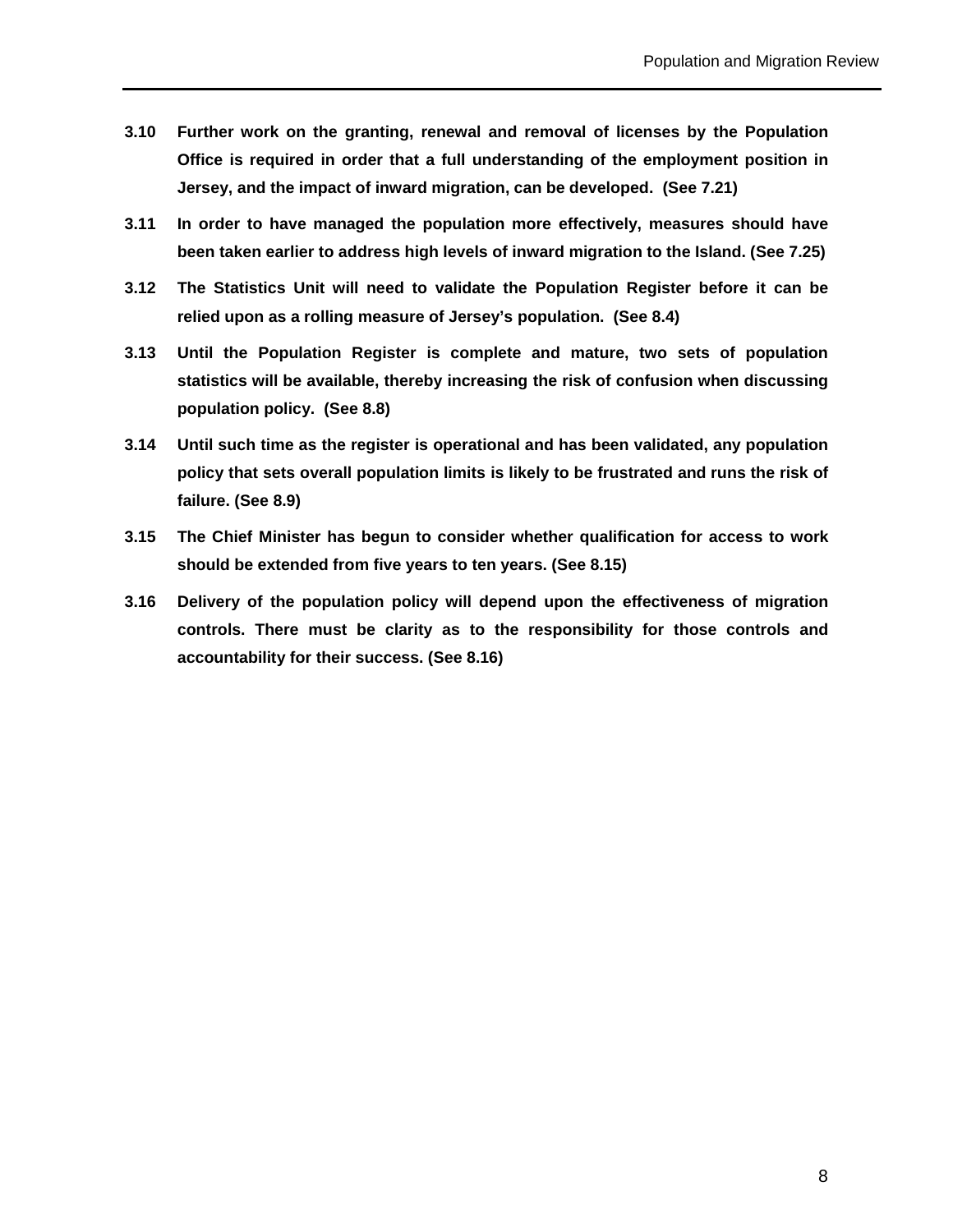- **3.10 Further work on the granting, renewal and removal of licenses by the Population Office is required in order that a full understanding of the employment position in Jersey, and the impact of inward migration, can be developed. (See 7.21)**
- **3.11 In order to have managed the population more effectively, measures should have been taken earlier to address high levels of inward migration to the Island. (See 7.25)**
- **3.12 The Statistics Unit will need to validate the Population Register before it can be relied upon as a rolling measure of Jersey's population. (See 8.4)**
- **3.13 Until the Population Register is complete and mature, two sets of population statistics will be available, thereby increasing the risk of confusion when discussing population policy. (See 8.8)**
- **3.14 Until such time as the register is operational and has been validated, any population policy that sets overall population limits is likely to be frustrated and runs the risk of failure. (See 8.9)**
- **3.15 The Chief Minister has begun to consider whether qualification for access to work should be extended from five years to ten years. (See 8.15)**
- **3.16 Delivery of the population policy will depend upon the effectiveness of migration controls. There must be clarity as to the responsibility for those controls and accountability for their success. (See 8.16)**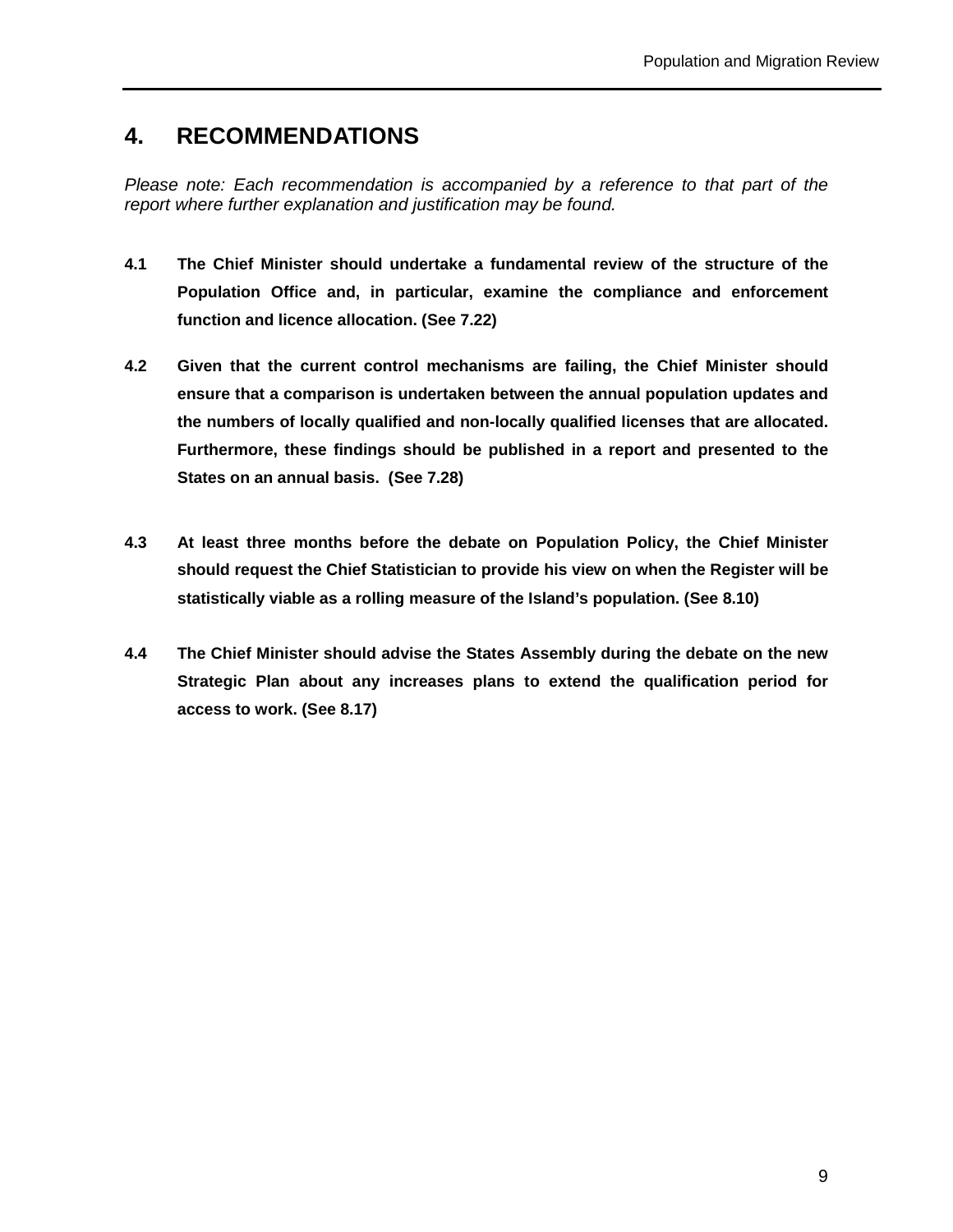## **4. RECOMMENDATIONS**

Please note: Each recommendation is accompanied by a reference to that part of the report where further explanation and justification may be found.

- **4.1 The Chief Minister should undertake a fundamental review of the structure of the Population Office and, in particular, examine the compliance and enforcement function and licence allocation. (See 7.22)**
- **4.2 Given that the current control mechanisms are failing, the Chief Minister should ensure that a comparison is undertaken between the annual population updates and the numbers of locally qualified and non-locally qualified licenses that are allocated. Furthermore, these findings should be published in a report and presented to the States on an annual basis. (See 7.28)**
- **4.3 At least three months before the debate on Population Policy, the Chief Minister should request the Chief Statistician to provide his view on when the Register will be statistically viable as a rolling measure of the Island's population. (See 8.10)**
- **4.4 The Chief Minister should advise the States Assembly during the debate on the new Strategic Plan about any increases plans to extend the qualification period for access to work. (See 8.17)**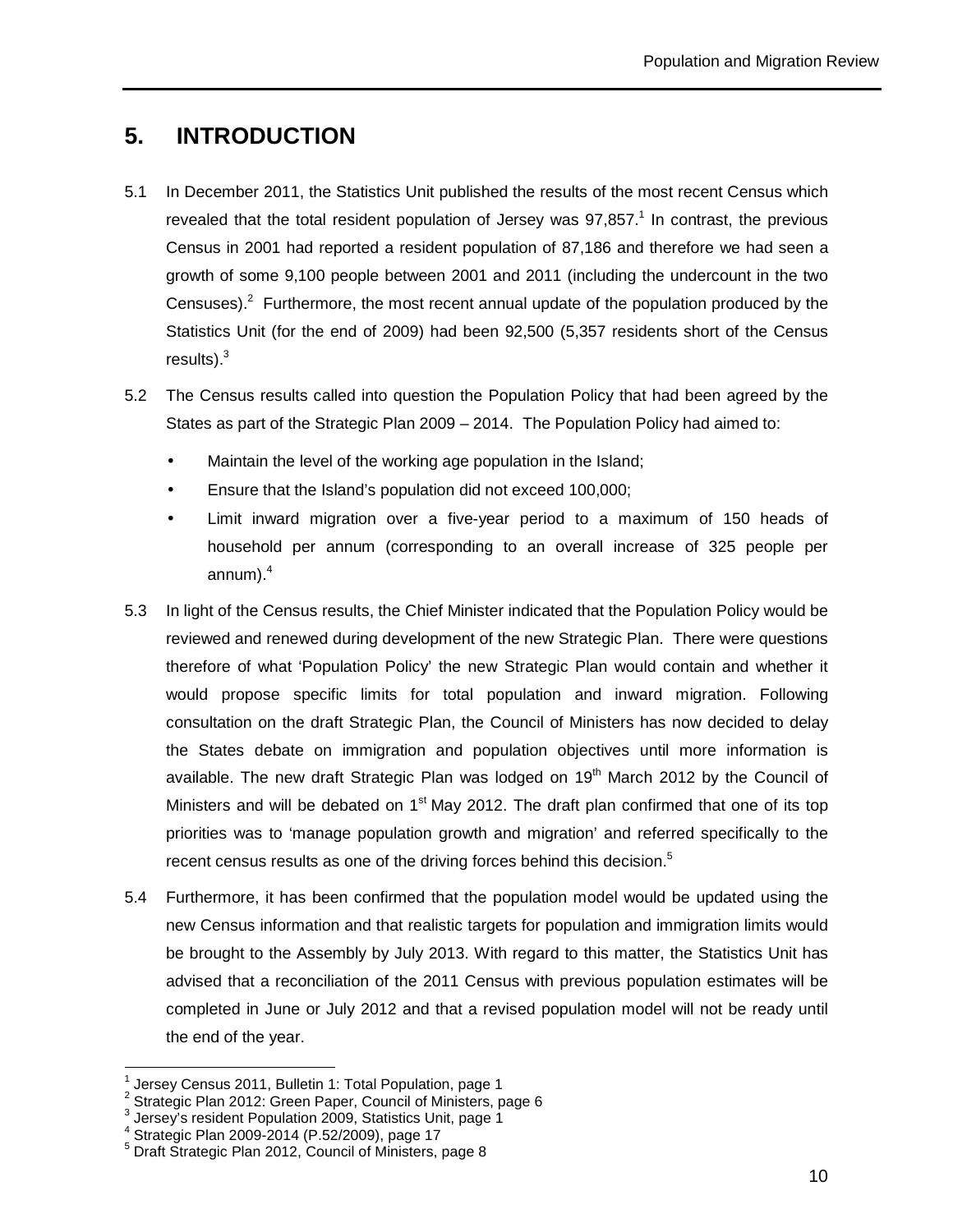# **5. INTRODUCTION**

- 5.1 In December 2011, the Statistics Unit published the results of the most recent Census which revealed that the total resident population of Jersey was  $97,857$ .<sup>1</sup> In contrast, the previous Census in 2001 had reported a resident population of 87,186 and therefore we had seen a growth of some 9,100 people between 2001 and 2011 (including the undercount in the two Censuses). $2$  Furthermore, the most recent annual update of the population produced by the Statistics Unit (for the end of 2009) had been 92,500 (5,357 residents short of the Census results). $3$
- 5.2 The Census results called into question the Population Policy that had been agreed by the States as part of the Strategic Plan 2009 – 2014. The Population Policy had aimed to:
	- Maintain the level of the working age population in the Island;
	- Ensure that the Island's population did not exceed 100,000;
	- Limit inward migration over a five-year period to a maximum of 150 heads of household per annum (corresponding to an overall increase of 325 people per annum). $^4$
- 5.3 In light of the Census results, the Chief Minister indicated that the Population Policy would be reviewed and renewed during development of the new Strategic Plan. There were questions therefore of what 'Population Policy' the new Strategic Plan would contain and whether it would propose specific limits for total population and inward migration. Following consultation on the draft Strategic Plan, the Council of Ministers has now decided to delay the States debate on immigration and population objectives until more information is available. The new draft Strategic Plan was lodged on  $19<sup>th</sup>$  March 2012 by the Council of Ministers and will be debated on  $1<sup>st</sup>$  May 2012. The draft plan confirmed that one of its top priorities was to 'manage population growth and migration' and referred specifically to the recent census results as one of the driving forces behind this decision.<sup>5</sup>
- 5.4 Furthermore, it has been confirmed that the population model would be updated using the new Census information and that realistic targets for population and immigration limits would be brought to the Assembly by July 2013. With regard to this matter, the Statistics Unit has advised that a reconciliation of the 2011 Census with previous population estimates will be completed in June or July 2012 and that a revised population model will not be ready until the end of the year.

 $\overline{a}$ 

<sup>1</sup> Jersey Census 2011, Bulletin 1: Total Population, page 1

<sup>2</sup> Strategic Plan 2012: Green Paper, Council of Ministers, page 6

<sup>3</sup> Jersey's resident Population 2009, Statistics Unit, page 1

<sup>4</sup> Strategic Plan 2009-2014 (P.52/2009), page 17

<sup>5</sup> Draft Strategic Plan 2012, Council of Ministers, page 8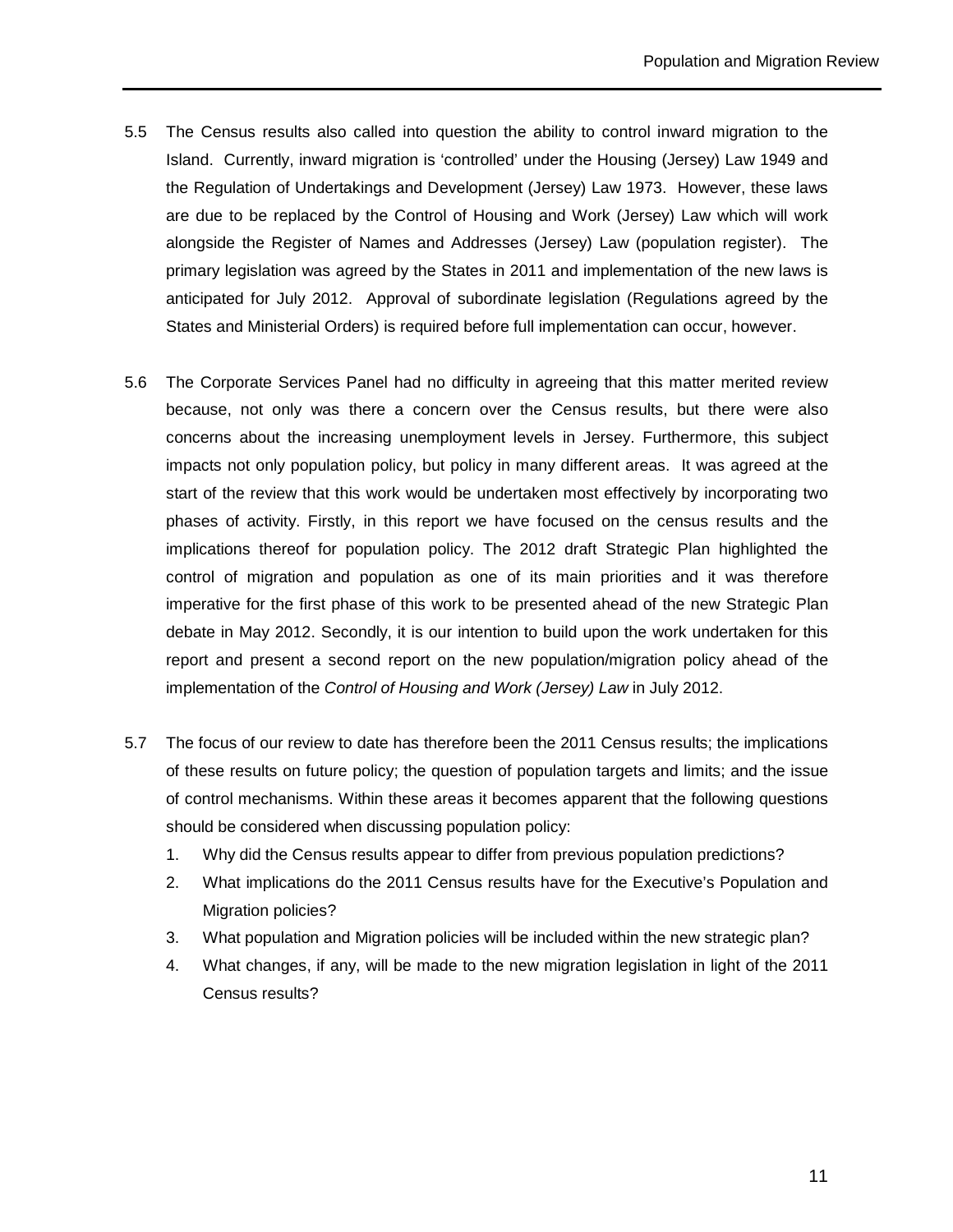- 5.5 The Census results also called into question the ability to control inward migration to the Island. Currently, inward migration is 'controlled' under the Housing (Jersey) Law 1949 and the Regulation of Undertakings and Development (Jersey) Law 1973. However, these laws are due to be replaced by the Control of Housing and Work (Jersey) Law which will work alongside the Register of Names and Addresses (Jersey) Law (population register). The primary legislation was agreed by the States in 2011 and implementation of the new laws is anticipated for July 2012. Approval of subordinate legislation (Regulations agreed by the States and Ministerial Orders) is required before full implementation can occur, however.
- 5.6 The Corporate Services Panel had no difficulty in agreeing that this matter merited review because, not only was there a concern over the Census results, but there were also concerns about the increasing unemployment levels in Jersey. Furthermore, this subject impacts not only population policy, but policy in many different areas. It was agreed at the start of the review that this work would be undertaken most effectively by incorporating two phases of activity. Firstly, in this report we have focused on the census results and the implications thereof for population policy. The 2012 draft Strategic Plan highlighted the control of migration and population as one of its main priorities and it was therefore imperative for the first phase of this work to be presented ahead of the new Strategic Plan debate in May 2012. Secondly, it is our intention to build upon the work undertaken for this report and present a second report on the new population/migration policy ahead of the implementation of the Control of Housing and Work (Jersey) Law in July 2012.
- 5.7 The focus of our review to date has therefore been the 2011 Census results; the implications of these results on future policy; the question of population targets and limits; and the issue of control mechanisms. Within these areas it becomes apparent that the following questions should be considered when discussing population policy:
	- 1. Why did the Census results appear to differ from previous population predictions?
	- 2. What implications do the 2011 Census results have for the Executive's Population and Migration policies?
	- 3. What population and Migration policies will be included within the new strategic plan?
	- 4. What changes, if any, will be made to the new migration legislation in light of the 2011 Census results?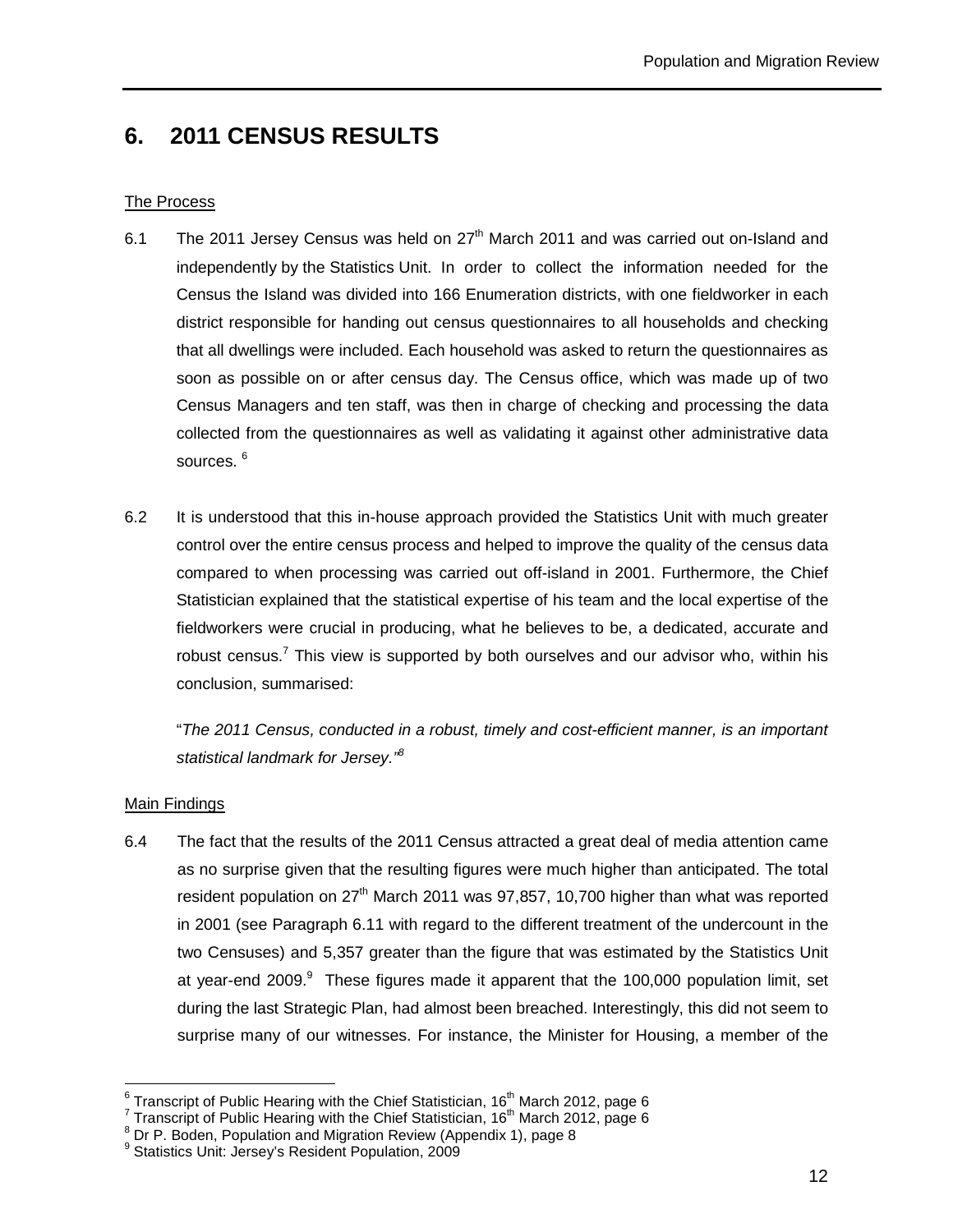# **6. 2011 CENSUS RESULTS**

#### The Process

- 6.1 The 2011 Jersey Census was held on  $27<sup>th</sup>$  March 2011 and was carried out on-Island and independently by the Statistics Unit. In order to collect the information needed for the Census the Island was divided into 166 Enumeration districts, with one fieldworker in each district responsible for handing out census questionnaires to all households and checking that all dwellings were included. Each household was asked to return the questionnaires as soon as possible on or after census day. The Census office, which was made up of two Census Managers and ten staff, was then in charge of checking and processing the data collected from the questionnaires as well as validating it against other administrative data sources.<sup>6</sup>
- 6.2 It is understood that this in-house approach provided the Statistics Unit with much greater control over the entire census process and helped to improve the quality of the census data compared to when processing was carried out off-island in 2001. Furthermore, the Chief Statistician explained that the statistical expertise of his team and the local expertise of the fieldworkers were crucial in producing, what he believes to be, a dedicated, accurate and robust census.<sup>7</sup> This view is supported by both ourselves and our advisor who, within his conclusion, summarised:

 "The 2011 Census, conducted in a robust, timely and cost-efficient manner, is an important statistical landmark for Jersey."<sup>8</sup>

#### Main Findings

6.4 The fact that the results of the 2011 Census attracted a great deal of media attention came as no surprise given that the resulting figures were much higher than anticipated. The total resident population on  $27<sup>th</sup>$  March 2011 was 97,857, 10,700 higher than what was reported in 2001 (see Paragraph 6.11 with regard to the different treatment of the undercount in the two Censuses) and 5,357 greater than the figure that was estimated by the Statistics Unit at year-end 2009.<sup>9</sup> These figures made it apparent that the 100,000 population limit, set during the last Strategic Plan, had almost been breached. Interestingly, this did not seem to surprise many of our witnesses. For instance, the Minister for Housing, a member of the

 $\overline{a}$  $^6$  Transcript of Public Hearing with the Chief Statistician, 16<sup>th</sup> March 2012, page 6

<sup>&</sup>lt;sup>7</sup> Transcript of Public Hearing with the Chief Statistician, 16<sup>th</sup> March 2012, page 6

<sup>&</sup>lt;sup>8</sup> Dr P. Boden, Population and Migration Review (Appendix 1), page 8

<sup>&</sup>lt;sup>9</sup> Statistics Unit: Jersey's Resident Population, 2009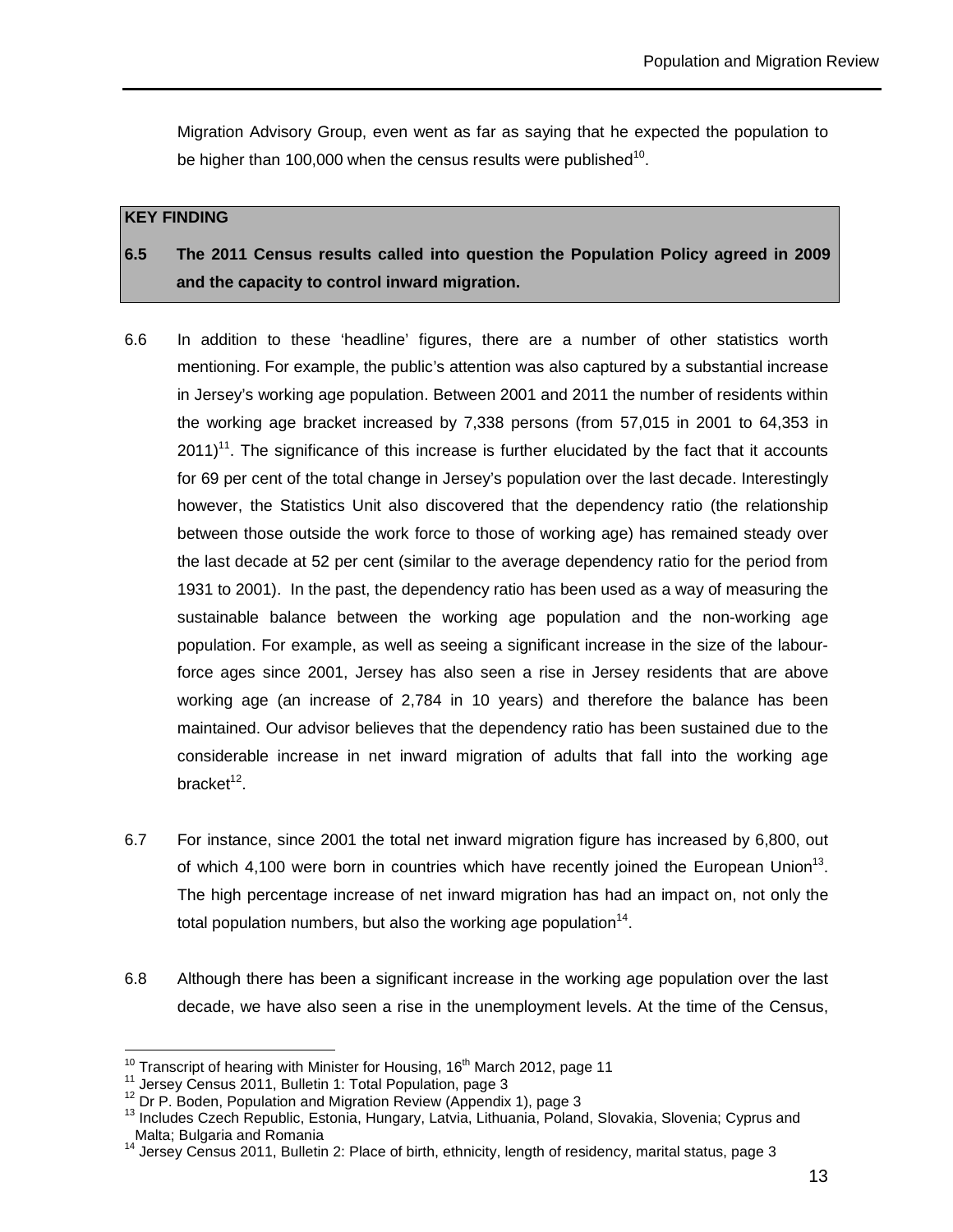Migration Advisory Group, even went as far as saying that he expected the population to be higher than 100,000 when the census results were published $^{10}$ .

#### **KEY FINDING**

## **6.5 The 2011 Census results called into question the Population Policy agreed in 2009 and the capacity to control inward migration.**

- 6.6 In addition to these 'headline' figures, there are a number of other statistics worth mentioning. For example, the public's attention was also captured by a substantial increase in Jersey's working age population. Between 2001 and 2011 the number of residents within the working age bracket increased by 7,338 persons (from 57,015 in 2001 to 64,353 in  $2011$ <sup>11</sup>. The significance of this increase is further elucidated by the fact that it accounts for 69 per cent of the total change in Jersey's population over the last decade. Interestingly however, the Statistics Unit also discovered that the dependency ratio (the relationship between those outside the work force to those of working age) has remained steady over the last decade at 52 per cent (similar to the average dependency ratio for the period from 1931 to 2001). In the past, the dependency ratio has been used as a way of measuring the sustainable balance between the working age population and the non-working age population. For example, as well as seeing a significant increase in the size of the labourforce ages since 2001, Jersey has also seen a rise in Jersey residents that are above working age (an increase of 2,784 in 10 years) and therefore the balance has been maintained. Our advisor believes that the dependency ratio has been sustained due to the considerable increase in net inward migration of adults that fall into the working age bracket<sup>12</sup>.
- 6.7 For instance, since 2001 the total net inward migration figure has increased by 6,800, out of which 4,100 were born in countries which have recently joined the European Union<sup>13</sup>. The high percentage increase of net inward migration has had an impact on, not only the total population numbers, but also the working age population $14$ .
- 6.8 Although there has been a significant increase in the working age population over the last decade, we have also seen a rise in the unemployment levels. At the time of the Census,

 $\overline{a}$  $10$  Transcript of hearing with Minister for Housing, 16<sup>th</sup> March 2012, page 11

<sup>&</sup>lt;sup>11</sup> Jersey Census 2011, Bulletin 1: Total Population, page 3

<sup>&</sup>lt;sup>12</sup> Dr P. Boden, Population and Migration Review (Appendix 1), page 3

<sup>13</sup> Includes Czech Republic, Estonia, Hungary, Latvia, Lithuania, Poland, Slovakia, Slovenia; Cyprus and Malta; Bulgaria and Romania

<sup>14</sup> Jersey Census 2011, Bulletin 2: Place of birth, ethnicity, length of residency, marital status, page 3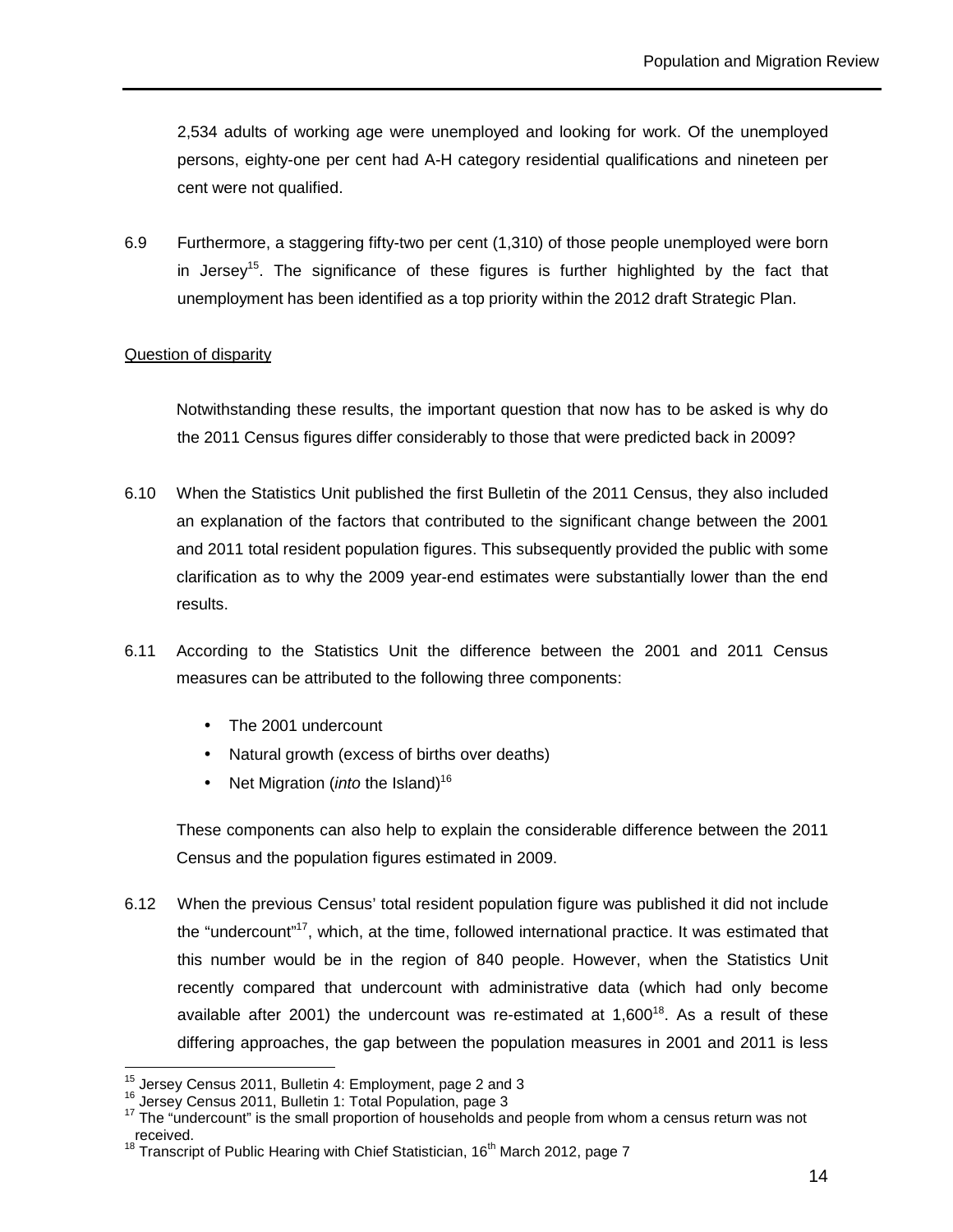2,534 adults of working age were unemployed and looking for work. Of the unemployed persons, eighty-one per cent had A-H category residential qualifications and nineteen per cent were not qualified.

6.9 Furthermore, a staggering fifty-two per cent (1,310) of those people unemployed were born in Jersey<sup>15</sup>. The significance of these figures is further highlighted by the fact that unemployment has been identified as a top priority within the 2012 draft Strategic Plan.

#### Question of disparity

Notwithstanding these results, the important question that now has to be asked is why do the 2011 Census figures differ considerably to those that were predicted back in 2009?

- 6.10 When the Statistics Unit published the first Bulletin of the 2011 Census, they also included an explanation of the factors that contributed to the significant change between the 2001 and 2011 total resident population figures. This subsequently provided the public with some clarification as to why the 2009 year-end estimates were substantially lower than the end results.
- 6.11 According to the Statistics Unit the difference between the 2001 and 2011 Census measures can be attributed to the following three components:
	- The 2001 undercount
	- Natural growth (excess of births over deaths)
	- Net Migration (*into* the Island)<sup>16</sup>

These components can also help to explain the considerable difference between the 2011 Census and the population figures estimated in 2009.

6.12 When the previous Census' total resident population figure was published it did not include the "undercount"<sup>17</sup>, which, at the time, followed international practice. It was estimated that this number would be in the region of 840 people. However, when the Statistics Unit recently compared that undercount with administrative data (which had only become available after 2001) the undercount was re-estimated at  $1,600^{18}$ . As a result of these differing approaches, the gap between the population measures in 2001 and 2011 is less

 $\overline{a}$ 

 $15$  Jersey Census 2011, Bulletin 4: Employment, page 2 and 3

<sup>16</sup> Jersey Census 2011, Bulletin 1: Total Population, page 3

<sup>17</sup> The "undercount" is the small proportion of households and people from whom a census return was not received.

<sup>18</sup> Transcript of Public Hearing with Chief Statistician,  $16<sup>th</sup>$  March 2012, page 7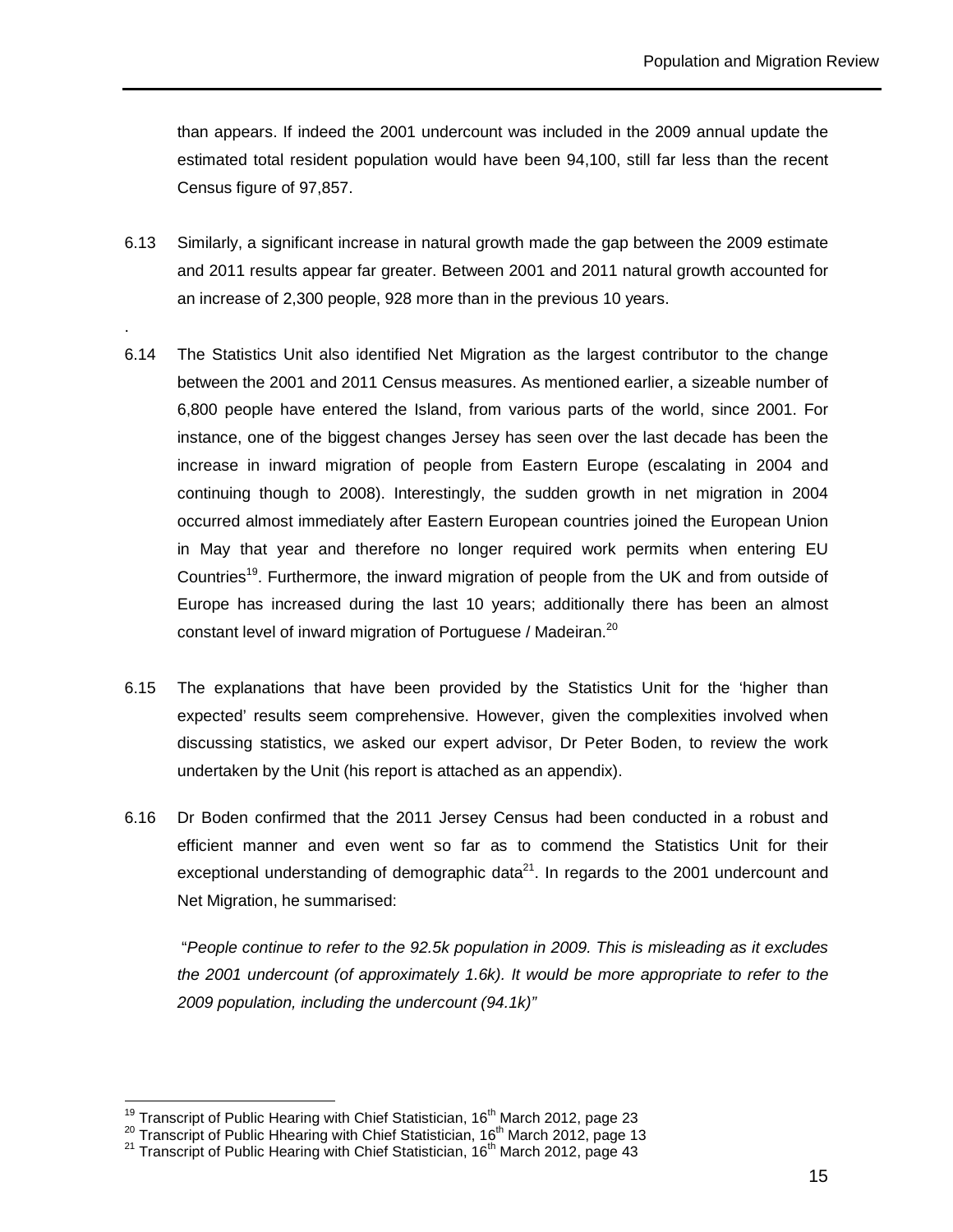than appears. If indeed the 2001 undercount was included in the 2009 annual update the estimated total resident population would have been 94,100, still far less than the recent Census figure of 97,857.

6.13 Similarly, a significant increase in natural growth made the gap between the 2009 estimate and 2011 results appear far greater. Between 2001 and 2011 natural growth accounted for an increase of 2,300 people, 928 more than in the previous 10 years.

.

 $\overline{a}$ 

- 6.14 The Statistics Unit also identified Net Migration as the largest contributor to the change between the 2001 and 2011 Census measures. As mentioned earlier, a sizeable number of 6,800 people have entered the Island, from various parts of the world, since 2001. For instance, one of the biggest changes Jersey has seen over the last decade has been the increase in inward migration of people from Eastern Europe (escalating in 2004 and continuing though to 2008). Interestingly, the sudden growth in net migration in 2004 occurred almost immediately after Eastern European countries joined the European Union in May that year and therefore no longer required work permits when entering EU Countries<sup>19</sup>. Furthermore, the inward migration of people from the UK and from outside of Europe has increased during the last 10 years; additionally there has been an almost constant level of inward migration of Portuguese / Madeiran.<sup>20</sup>
- 6.15 The explanations that have been provided by the Statistics Unit for the 'higher than expected' results seem comprehensive. However, given the complexities involved when discussing statistics, we asked our expert advisor, Dr Peter Boden, to review the work undertaken by the Unit (his report is attached as an appendix).
- 6.16 Dr Boden confirmed that the 2011 Jersey Census had been conducted in a robust and efficient manner and even went so far as to commend the Statistics Unit for their exceptional understanding of demographic data $21$ . In regards to the 2001 undercount and Net Migration, he summarised:

 "People continue to refer to the 92.5k population in 2009. This is misleading as it excludes the 2001 undercount (of approximately 1.6k). It would be more appropriate to refer to the 2009 population, including the undercount (94.1k)"

<sup>&</sup>lt;sup>19</sup> Transcript of Public Hearing with Chief Statistician, 16<sup>th</sup> March 2012, page 23

 $^{20}$  Transcript of Public Hhearing with Chief Statistician, 16<sup>th</sup> March 2012, page 13

<sup>&</sup>lt;sup>21</sup> Transcript of Public Hearing with Chief Statistician, 16<sup>th</sup> March 2012, page 43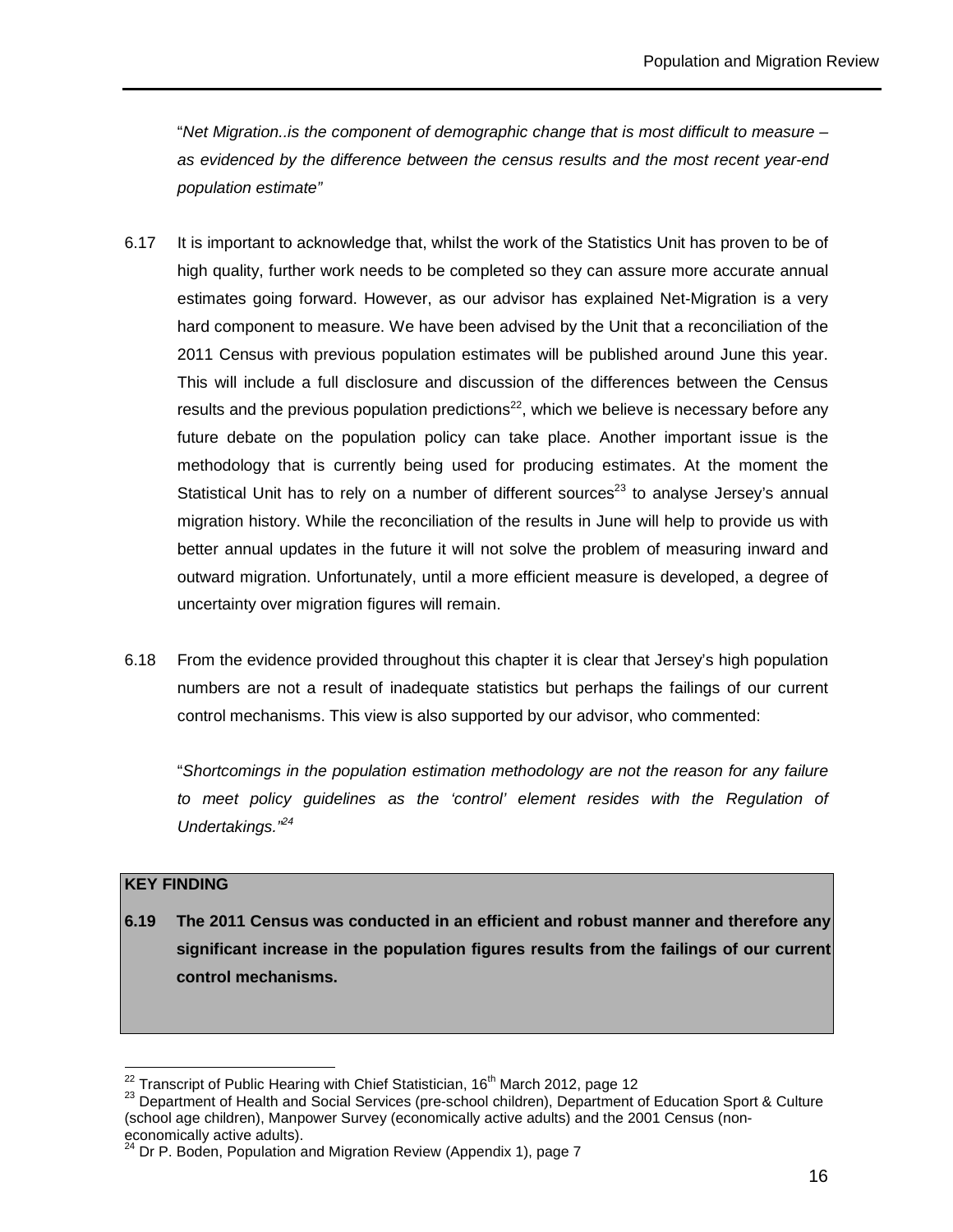"Net Migration..is the component of demographic change that is most difficult to measure – as evidenced by the difference between the census results and the most recent year-end population estimate"

- 6.17 It is important to acknowledge that, whilst the work of the Statistics Unit has proven to be of high quality, further work needs to be completed so they can assure more accurate annual estimates going forward. However, as our advisor has explained Net-Migration is a very hard component to measure. We have been advised by the Unit that a reconciliation of the 2011 Census with previous population estimates will be published around June this year. This will include a full disclosure and discussion of the differences between the Census results and the previous population predictions<sup>22</sup>, which we believe is necessary before any future debate on the population policy can take place. Another important issue is the methodology that is currently being used for producing estimates. At the moment the Statistical Unit has to rely on a number of different sources<sup>23</sup> to analyse Jersey's annual migration history. While the reconciliation of the results in June will help to provide us with better annual updates in the future it will not solve the problem of measuring inward and outward migration. Unfortunately, until a more efficient measure is developed, a degree of uncertainty over migration figures will remain.
- 6.18 From the evidence provided throughout this chapter it is clear that Jersey's high population numbers are not a result of inadequate statistics but perhaps the failings of our current control mechanisms. This view is also supported by our advisor, who commented:

"Shortcomings in the population estimation methodology are not the reason for any failure to meet policy guidelines as the 'control' element resides with the Regulation of Undertakings.<sup>"24</sup>

#### **KEY FINDING**

 $\overline{a}$ 

**6.19 The 2011 Census was conducted in an efficient and robust manner and therefore any significant increase in the population figures results from the failings of our current control mechanisms.** 

<sup>&</sup>lt;sup>22</sup> Transcript of Public Hearing with Chief Statistician, 16<sup>th</sup> March 2012, page 12

<sup>&</sup>lt;sup>23</sup> Department of Health and Social Services (pre-school children), Department of Education Sport & Culture (school age children), Manpower Survey (economically active adults) and the 2001 Census (noneconomically active adults).

 $24$  Dr P. Boden, Population and Migration Review (Appendix 1), page 7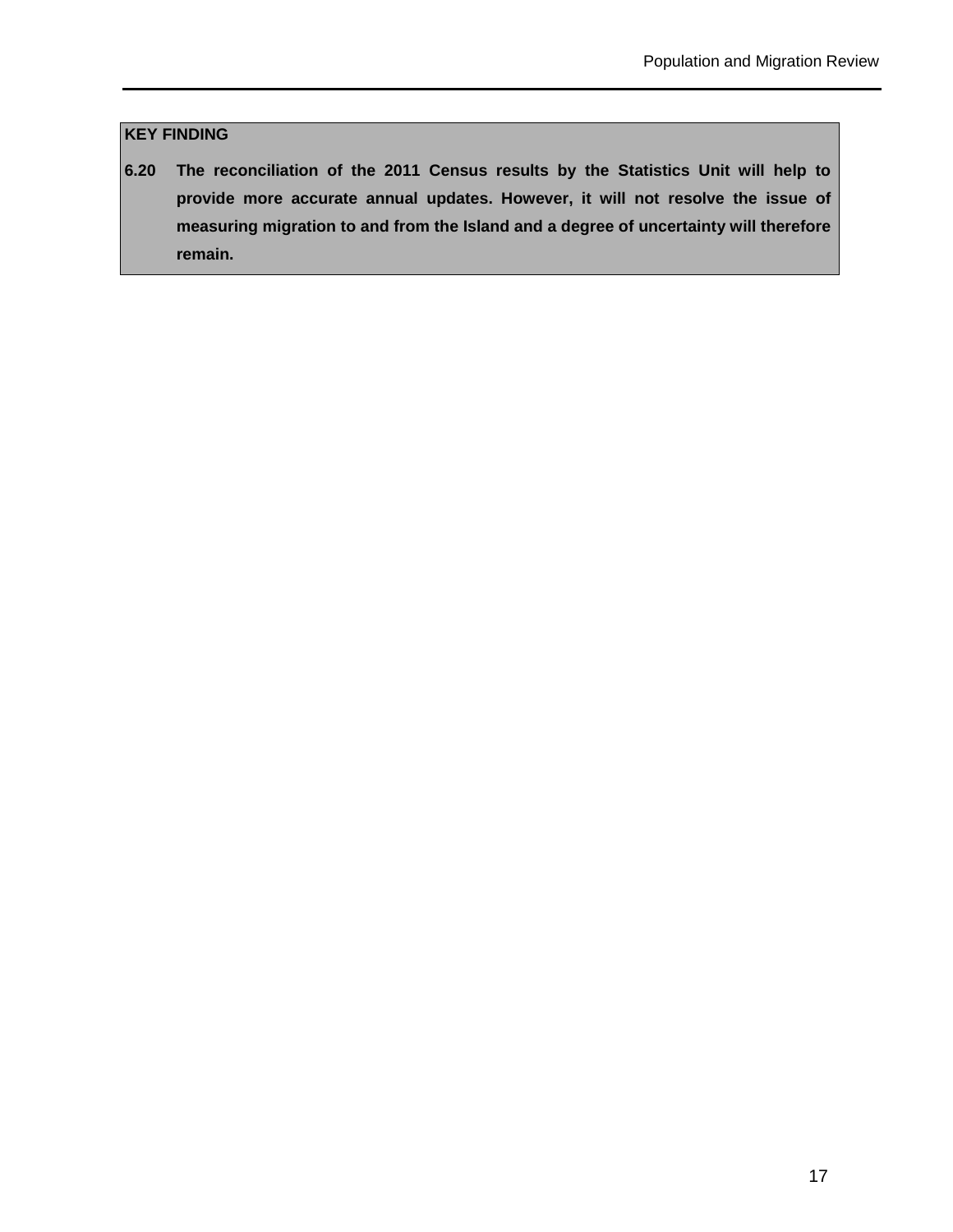## **KEY FINDING**

**6.20 The reconciliation of the 2011 Census results by the Statistics Unit will help to provide more accurate annual updates. However, it will not resolve the issue of measuring migration to and from the Island and a degree of uncertainty will therefore remain.**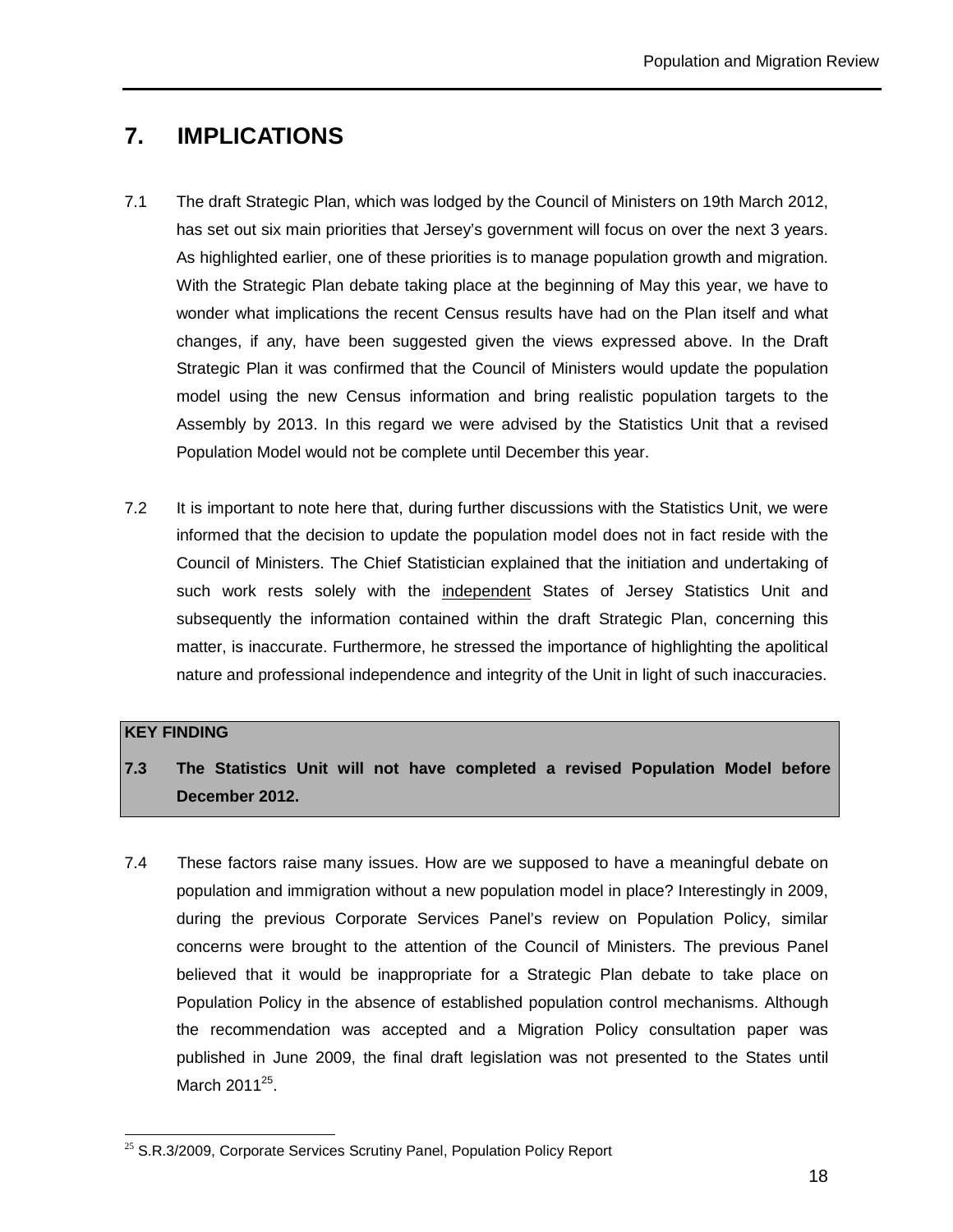## **7. IMPLICATIONS**

- 7.1 The draft Strategic Plan, which was lodged by the Council of Ministers on 19th March 2012, has set out six main priorities that Jersey's government will focus on over the next 3 years. As highlighted earlier, one of these priorities is to manage population growth and migration. With the Strategic Plan debate taking place at the beginning of May this year, we have to wonder what implications the recent Census results have had on the Plan itself and what changes, if any, have been suggested given the views expressed above. In the Draft Strategic Plan it was confirmed that the Council of Ministers would update the population model using the new Census information and bring realistic population targets to the Assembly by 2013. In this regard we were advised by the Statistics Unit that a revised Population Model would not be complete until December this year.
- 7.2 It is important to note here that, during further discussions with the Statistics Unit, we were informed that the decision to update the population model does not in fact reside with the Council of Ministers. The Chief Statistician explained that the initiation and undertaking of such work rests solely with the independent States of Jersey Statistics Unit and subsequently the information contained within the draft Strategic Plan, concerning this matter, is inaccurate. Furthermore, he stressed the importance of highlighting the apolitical nature and professional independence and integrity of the Unit in light of such inaccuracies.

#### **KEY FINDING**

- **7.3 The Statistics Unit will not have completed a revised Population Model before December 2012.**
- 7.4 These factors raise many issues. How are we supposed to have a meaningful debate on population and immigration without a new population model in place? Interestingly in 2009, during the previous Corporate Services Panel's review on Population Policy, similar concerns were brought to the attention of the Council of Ministers. The previous Panel believed that it would be inappropriate for a Strategic Plan debate to take place on Population Policy in the absence of established population control mechanisms. Although the recommendation was accepted and a Migration Policy consultation paper was published in June 2009, the final draft legislation was not presented to the States until March 2011<sup>25</sup>.

 $\overline{a}$  $25$  S.R.3/2009, Corporate Services Scrutiny Panel, Population Policy Report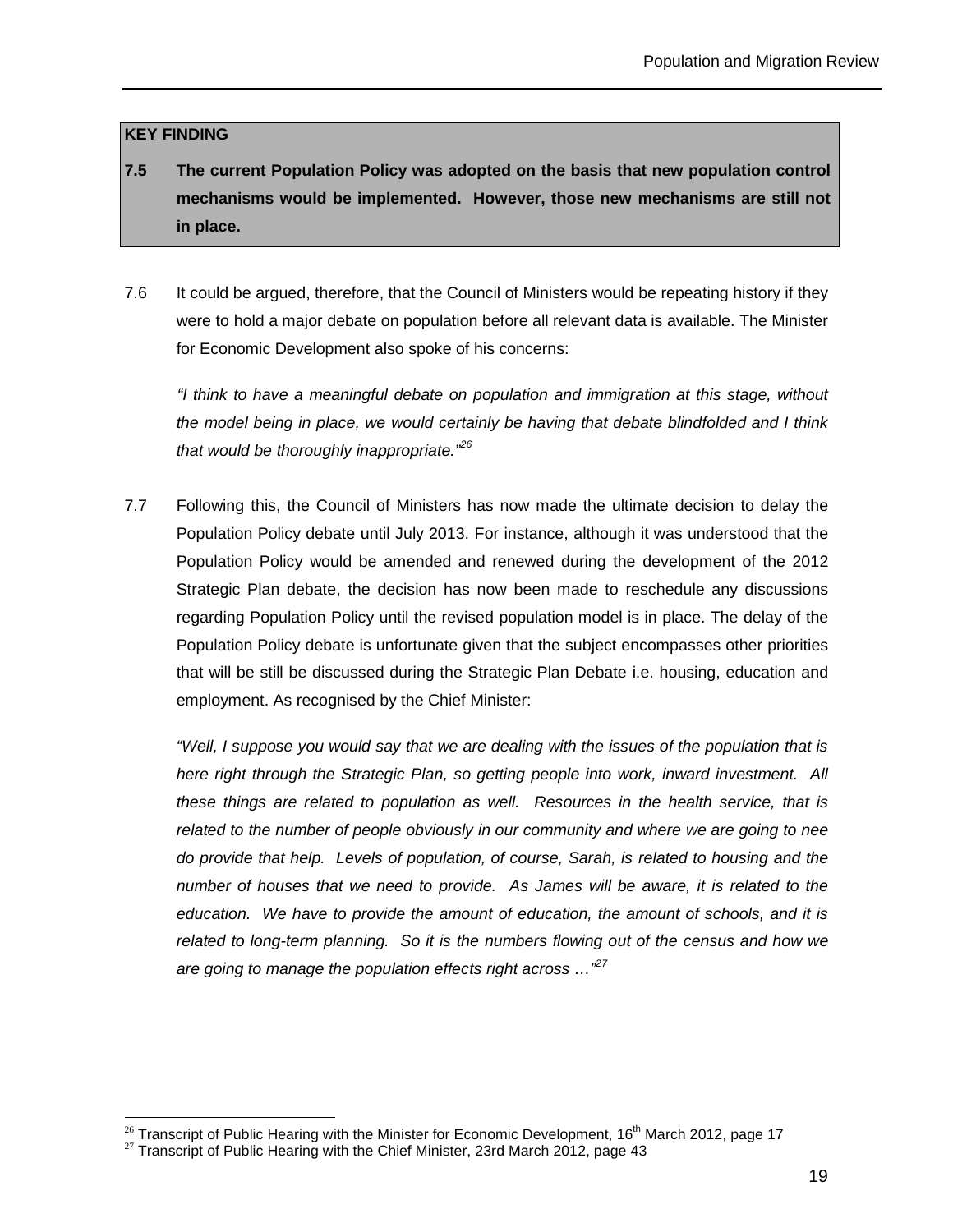#### **KEY FINDING**

- **7.5 The current Population Policy was adopted on the basis that new population control mechanisms would be implemented. However, those new mechanisms are still not in place.**
- 7.6 It could be argued, therefore, that the Council of Ministers would be repeating history if they were to hold a major debate on population before all relevant data is available. The Minister for Economic Development also spoke of his concerns:

 "I think to have a meaningful debate on population and immigration at this stage, without the model being in place, we would certainly be having that debate blindfolded and I think that would be thoroughly inappropriate.<sup>"26</sup>

7.7 Following this, the Council of Ministers has now made the ultimate decision to delay the Population Policy debate until July 2013. For instance, although it was understood that the Population Policy would be amended and renewed during the development of the 2012 Strategic Plan debate, the decision has now been made to reschedule any discussions regarding Population Policy until the revised population model is in place. The delay of the Population Policy debate is unfortunate given that the subject encompasses other priorities that will be still be discussed during the Strategic Plan Debate i.e. housing, education and employment. As recognised by the Chief Minister:

"Well, I suppose you would say that we are dealing with the issues of the population that is here right through the Strategic Plan, so getting people into work, inward investment. All these things are related to population as well. Resources in the health service, that is related to the number of people obviously in our community and where we are going to nee do provide that help. Levels of population, of course, Sarah, is related to housing and the number of houses that we need to provide. As James will be aware, it is related to the education. We have to provide the amount of education, the amount of schools, and it is related to long-term planning. So it is the numbers flowing out of the census and how we are going to manage the population effects right across  $\ldots$ <sup>27</sup>

 $\overline{a}$ <sup>26</sup> Transcript of Public Hearing with the Minister for Economic Development, 16<sup>th</sup> March 2012, page 17

 $27$  Transcript of Public Hearing with the Chief Minister, 23rd March 2012, page 43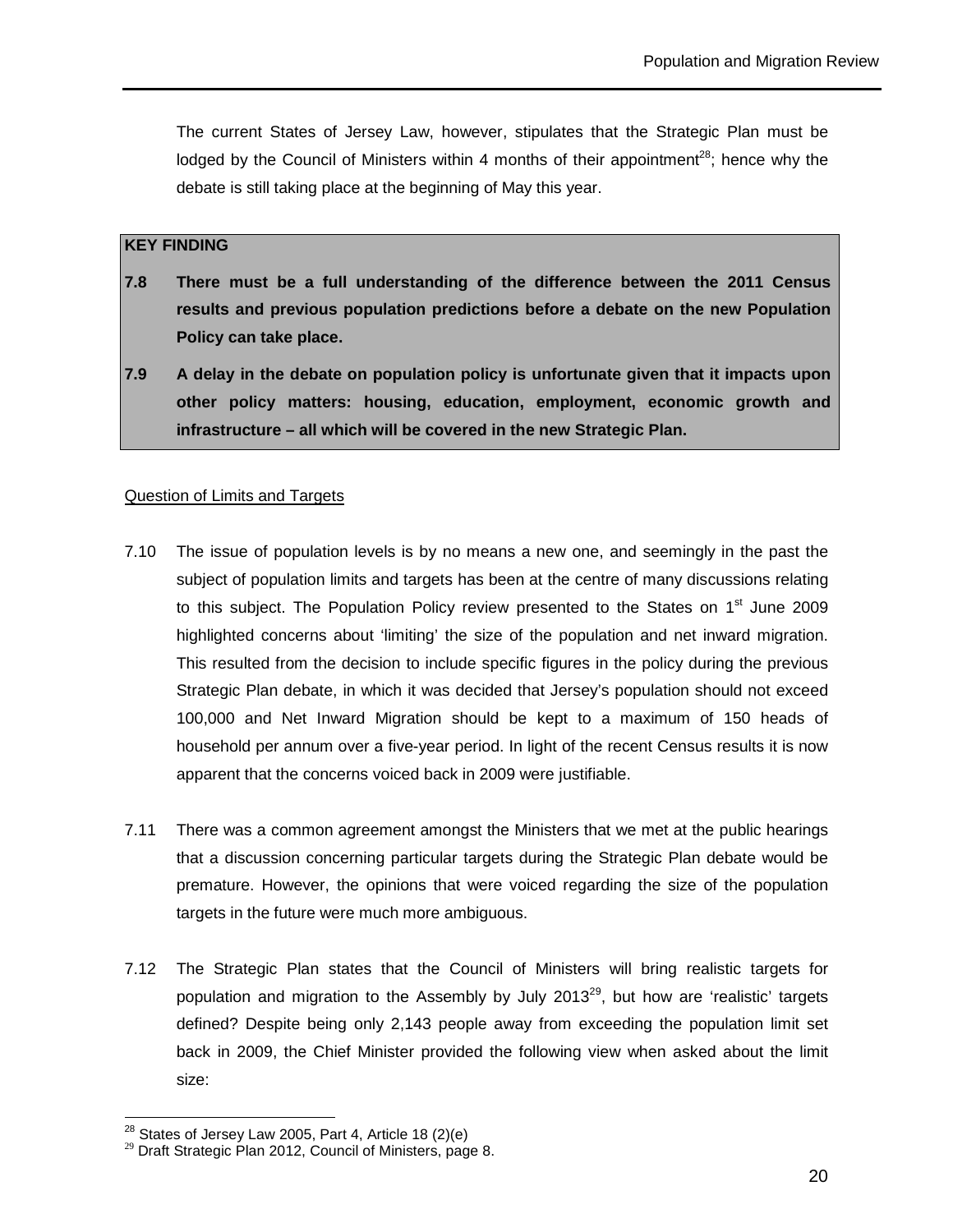The current States of Jersey Law, however, stipulates that the Strategic Plan must be lodged by the Council of Ministers within 4 months of their appointment<sup>28</sup>; hence why the debate is still taking place at the beginning of May this year.

#### **KEY FINDING**

- **7.8 There must be a full understanding of the difference between the 2011 Census results and previous population predictions before a debate on the new Population Policy can take place.**
- **7.9 A delay in the debate on population policy is unfortunate given that it impacts upon other policy matters: housing, education, employment, economic growth and infrastructure – all which will be covered in the new Strategic Plan.**

#### Question of Limits and Targets

- 7.10 The issue of population levels is by no means a new one, and seemingly in the past the subject of population limits and targets has been at the centre of many discussions relating to this subject. The Population Policy review presented to the States on  $1<sup>st</sup>$  June 2009 highlighted concerns about 'limiting' the size of the population and net inward migration. This resulted from the decision to include specific figures in the policy during the previous Strategic Plan debate, in which it was decided that Jersey's population should not exceed 100,000 and Net Inward Migration should be kept to a maximum of 150 heads of household per annum over a five-year period. In light of the recent Census results it is now apparent that the concerns voiced back in 2009 were justifiable.
- 7.11 There was a common agreement amongst the Ministers that we met at the public hearings that a discussion concerning particular targets during the Strategic Plan debate would be premature. However, the opinions that were voiced regarding the size of the population targets in the future were much more ambiguous.
- 7.12 The Strategic Plan states that the Council of Ministers will bring realistic targets for population and migration to the Assembly by July  $2013^{29}$ , but how are 'realistic' targets defined? Despite being only 2,143 people away from exceeding the population limit set back in 2009, the Chief Minister provided the following view when asked about the limit size:

 $\overline{a}$ 

 $^{28}$  States of Jersey Law 2005, Part 4, Article 18 (2)(e)

 $29$  Draft Strategic Plan 2012, Council of Ministers, page 8.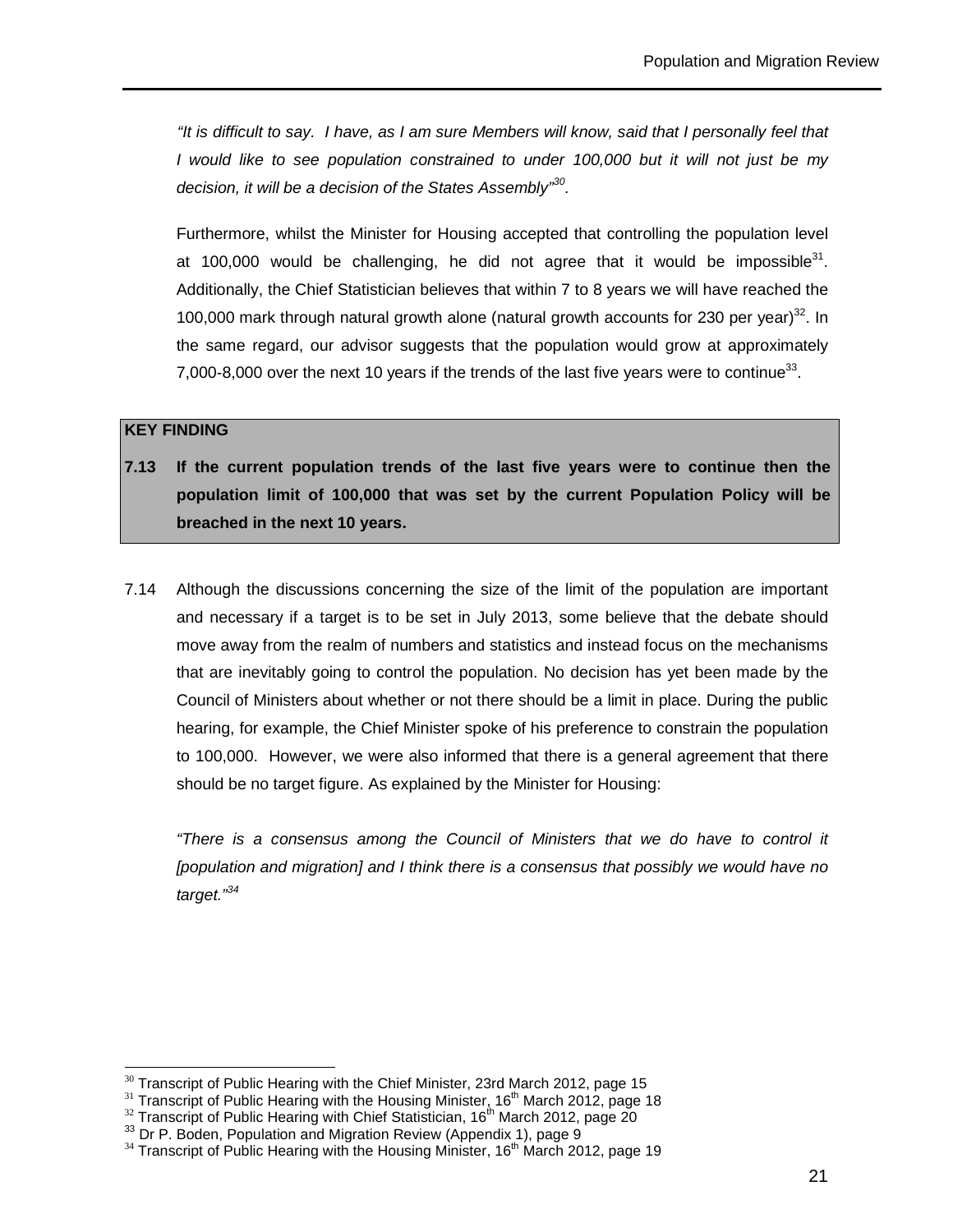"It is difficult to say. I have, as I am sure Members will know, said that I personally feel that I would like to see population constrained to under 100,000 but it will not just be my decision, it will be a decision of the States Assembly<sup>330</sup>.

Furthermore, whilst the Minister for Housing accepted that controlling the population level at 100,000 would be challenging, he did not agree that it would be impossible $31$ . Additionally, the Chief Statistician believes that within 7 to 8 years we will have reached the 100,000 mark through natural growth alone (natural growth accounts for 230 per year)<sup>32</sup>. In the same regard, our advisor suggests that the population would grow at approximately 7,000-8,000 over the next 10 years if the trends of the last five years were to continue<sup>33</sup>.

#### **KEY FINDING**

 $\overline{a}$ 

- **7.13 If the current population trends of the last five years were to continue then the population limit of 100,000 that was set by the current Population Policy will be breached in the next 10 years.**
- 7.14 Although the discussions concerning the size of the limit of the population are important and necessary if a target is to be set in July 2013, some believe that the debate should move away from the realm of numbers and statistics and instead focus on the mechanisms that are inevitably going to control the population. No decision has yet been made by the Council of Ministers about whether or not there should be a limit in place. During the public hearing, for example, the Chief Minister spoke of his preference to constrain the population to 100,000. However, we were also informed that there is a general agreement that there should be no target figure. As explained by the Minister for Housing:

"There is a consensus among the Council of Ministers that we do have to control it [population and migration] and I think there is a consensus that possibly we would have no target."<sup>34</sup>

 $30$  Transcript of Public Hearing with the Chief Minister, 23rd March 2012, page 15

 $31$  Transcript of Public Hearing with the Housing Minister, 16<sup>th</sup> March 2012, page 18

 $32$  Transcript of Public Hearing with Chief Statistician, 16<sup>th</sup> March 2012, page 20

 $33$  Dr P. Boden, Population and Migration Review (Appendix 1), page 9

 $34$  Transcript of Public Hearing with the Housing Minister, 16<sup>th</sup> March 2012, page 19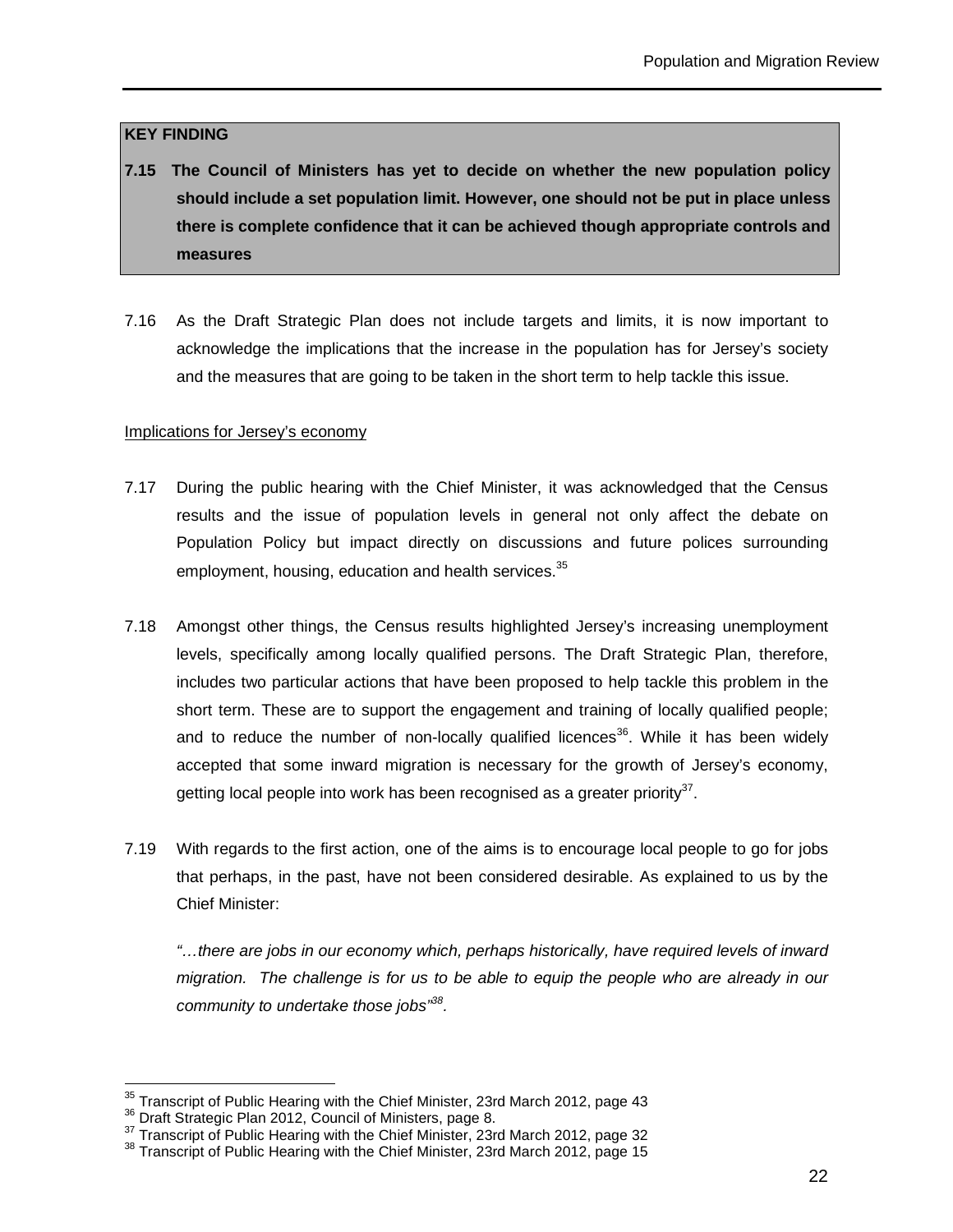#### **KEY FINDING**

- **7.15 The Council of Ministers has yet to decide on whether the new population policy should include a set population limit. However, one should not be put in place unless there is complete confidence that it can be achieved though appropriate controls and measures**
- 7.16 As the Draft Strategic Plan does not include targets and limits, it is now important to acknowledge the implications that the increase in the population has for Jersey's society and the measures that are going to be taken in the short term to help tackle this issue.

#### Implications for Jersey's economy

- 7.17 During the public hearing with the Chief Minister, it was acknowledged that the Census results and the issue of population levels in general not only affect the debate on Population Policy but impact directly on discussions and future polices surrounding employment, housing, education and health services.<sup>35</sup>
- 7.18 Amongst other things, the Census results highlighted Jersey's increasing unemployment levels, specifically among locally qualified persons. The Draft Strategic Plan, therefore, includes two particular actions that have been proposed to help tackle this problem in the short term. These are to support the engagement and training of locally qualified people; and to reduce the number of non-locally qualified licences<sup>36</sup>. While it has been widely accepted that some inward migration is necessary for the growth of Jersey's economy, getting local people into work has been recognised as a greater priority $37$ .
- 7.19 With regards to the first action, one of the aims is to encourage local people to go for jobs that perhaps, in the past, have not been considered desirable. As explained to us by the Chief Minister:

"…there are jobs in our economy which, perhaps historically, have required levels of inward migration. The challenge is for us to be able to equip the people who are already in our community to undertake those jobs<sup>388</sup>.

 $\overline{a}$ 

 $35$  Transcript of Public Hearing with the Chief Minister, 23rd March 2012, page 43

<sup>&</sup>lt;sup>36</sup> Draft Strategic Plan 2012, Council of Ministers, page 8.

 $37$  Transcript of Public Hearing with the Chief Minister, 23rd March 2012, page 32

<sup>&</sup>lt;sup>38</sup> Transcript of Public Hearing with the Chief Minister, 23rd March 2012, page 15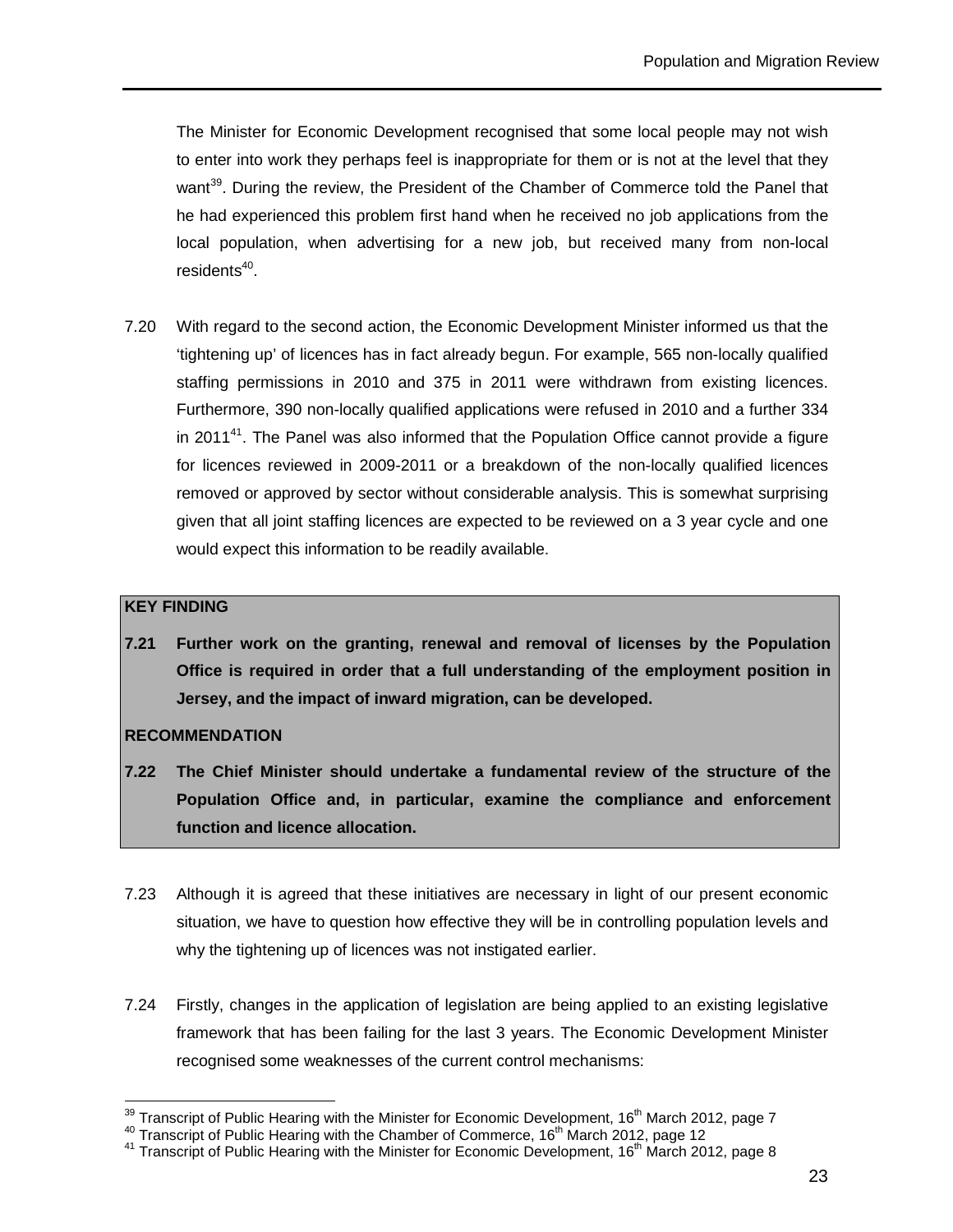The Minister for Economic Development recognised that some local people may not wish to enter into work they perhaps feel is inappropriate for them or is not at the level that they want<sup>39</sup>. During the review, the President of the Chamber of Commerce told the Panel that he had experienced this problem first hand when he received no job applications from the local population, when advertising for a new job, but received many from non-local residents<sup>40</sup>.

7.20 With regard to the second action, the Economic Development Minister informed us that the 'tightening up' of licences has in fact already begun. For example, 565 non-locally qualified staffing permissions in 2010 and 375 in 2011 were withdrawn from existing licences. Furthermore, 390 non-locally qualified applications were refused in 2010 and a further 334 in 2011 $4<sup>1</sup>$ . The Panel was also informed that the Population Office cannot provide a figure for licences reviewed in 2009-2011 or a breakdown of the non-locally qualified licences removed or approved by sector without considerable analysis. This is somewhat surprising given that all joint staffing licences are expected to be reviewed on a 3 year cycle and one would expect this information to be readily available.

#### **KEY FINDING**

 $\overline{a}$ 

**7.21 Further work on the granting, renewal and removal of licenses by the Population Office is required in order that a full understanding of the employment position in Jersey, and the impact of inward migration, can be developed.** 

#### **RECOMMENDATION**

- **7.22 The Chief Minister should undertake a fundamental review of the structure of the Population Office and, in particular, examine the compliance and enforcement function and licence allocation.**
- 7.23 Although it is agreed that these initiatives are necessary in light of our present economic situation, we have to question how effective they will be in controlling population levels and why the tightening up of licences was not instigated earlier.
- 7.24 Firstly, changes in the application of legislation are being applied to an existing legislative framework that has been failing for the last 3 years. The Economic Development Minister recognised some weaknesses of the current control mechanisms:

 $^{39}$  Transcript of Public Hearing with the Minister for Economic Development, 16<sup>th</sup> March 2012, page 7

 $40$  Transcript of Public Hearing with the Chamber of Commerce, 16<sup>th</sup> March 2012, page 12

<sup>&</sup>lt;sup>41</sup> Transcript of Public Hearing with the Minister for Economic Development, 16<sup>th</sup> March 2012, page 8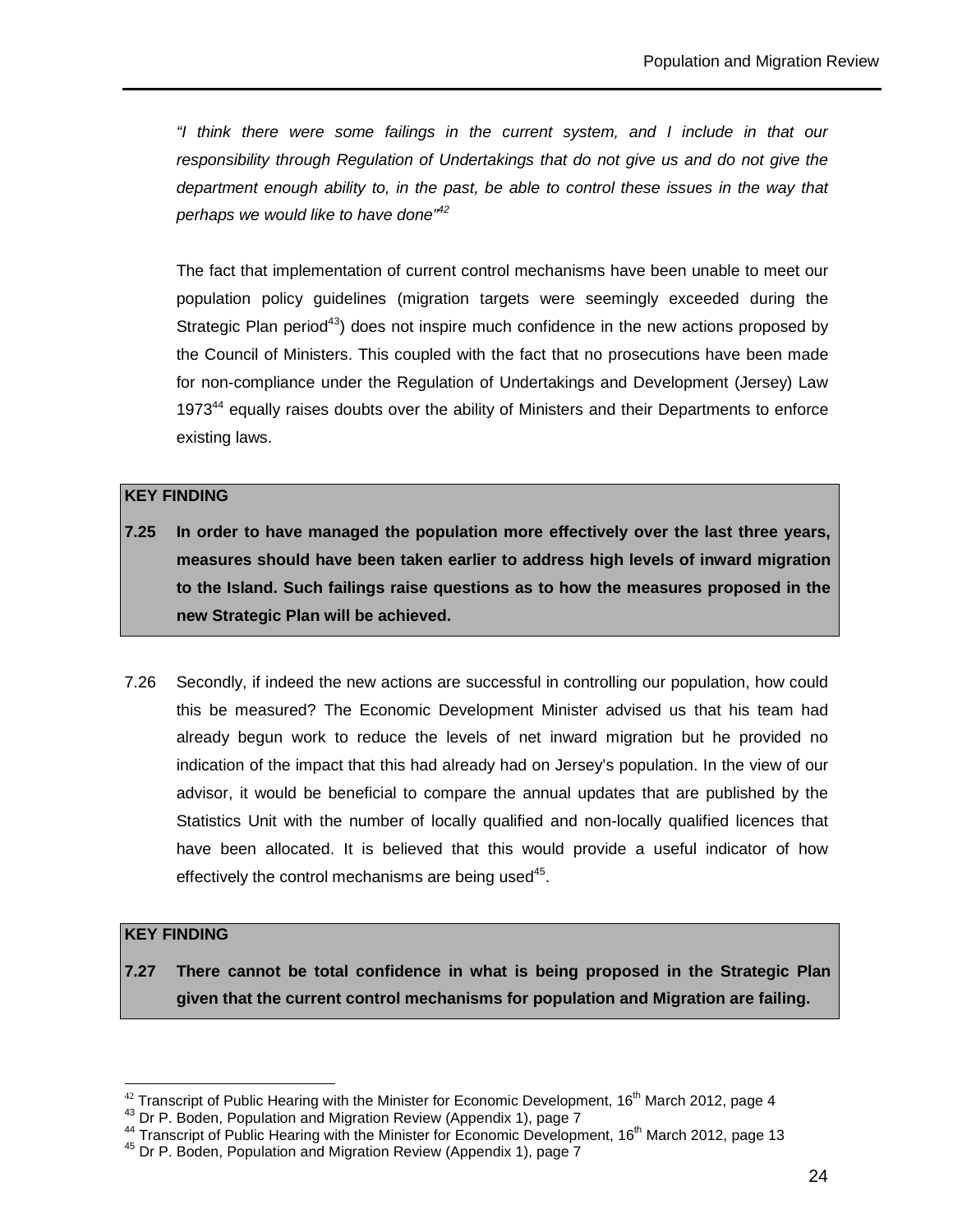"I think there were some failings in the current system, and I include in that our responsibility through Regulation of Undertakings that do not give us and do not give the department enough ability to, in the past, be able to control these issues in the way that perhaps we would like to have done"<sup>42</sup>

The fact that implementation of current control mechanisms have been unable to meet our population policy guidelines (migration targets were seemingly exceeded during the Strategic Plan period<sup>43</sup>) does not inspire much confidence in the new actions proposed by the Council of Ministers. This coupled with the fact that no prosecutions have been made for non-compliance under the Regulation of Undertakings and Development (Jersey) Law 1973<sup>44</sup> equally raises doubts over the ability of Ministers and their Departments to enforce existing laws.

#### **KEY FINDING**

- **7.25 In order to have managed the population more effectively over the last three years, measures should have been taken earlier to address high levels of inward migration to the Island. Such failings raise questions as to how the measures proposed in the new Strategic Plan will be achieved.**
- 7.26 Secondly, if indeed the new actions are successful in controlling our population, how could this be measured? The Economic Development Minister advised us that his team had already begun work to reduce the levels of net inward migration but he provided no indication of the impact that this had already had on Jersey's population. In the view of our advisor, it would be beneficial to compare the annual updates that are published by the Statistics Unit with the number of locally qualified and non-locally qualified licences that have been allocated. It is believed that this would provide a useful indicator of how effectively the control mechanisms are being used<sup>45</sup>.

#### **KEY FINDING**

 $\overline{a}$ 

**7.27 There cannot be total confidence in what is being proposed in the Strategic Plan given that the current control mechanisms for population and Migration are failing.**

 $42$  Transcript of Public Hearing with the Minister for Economic Development, 16<sup>th</sup> March 2012, page 4

<sup>43</sup> Dr P. Boden, Population and Migration Review (Appendix 1), page 7

<sup>&</sup>lt;sup>44</sup> Transcript of Public Hearing with the Minister for Economic Development, 16<sup>th</sup> March 2012, page 13

<sup>45</sup> Dr P. Boden, Population and Migration Review (Appendix 1), page 7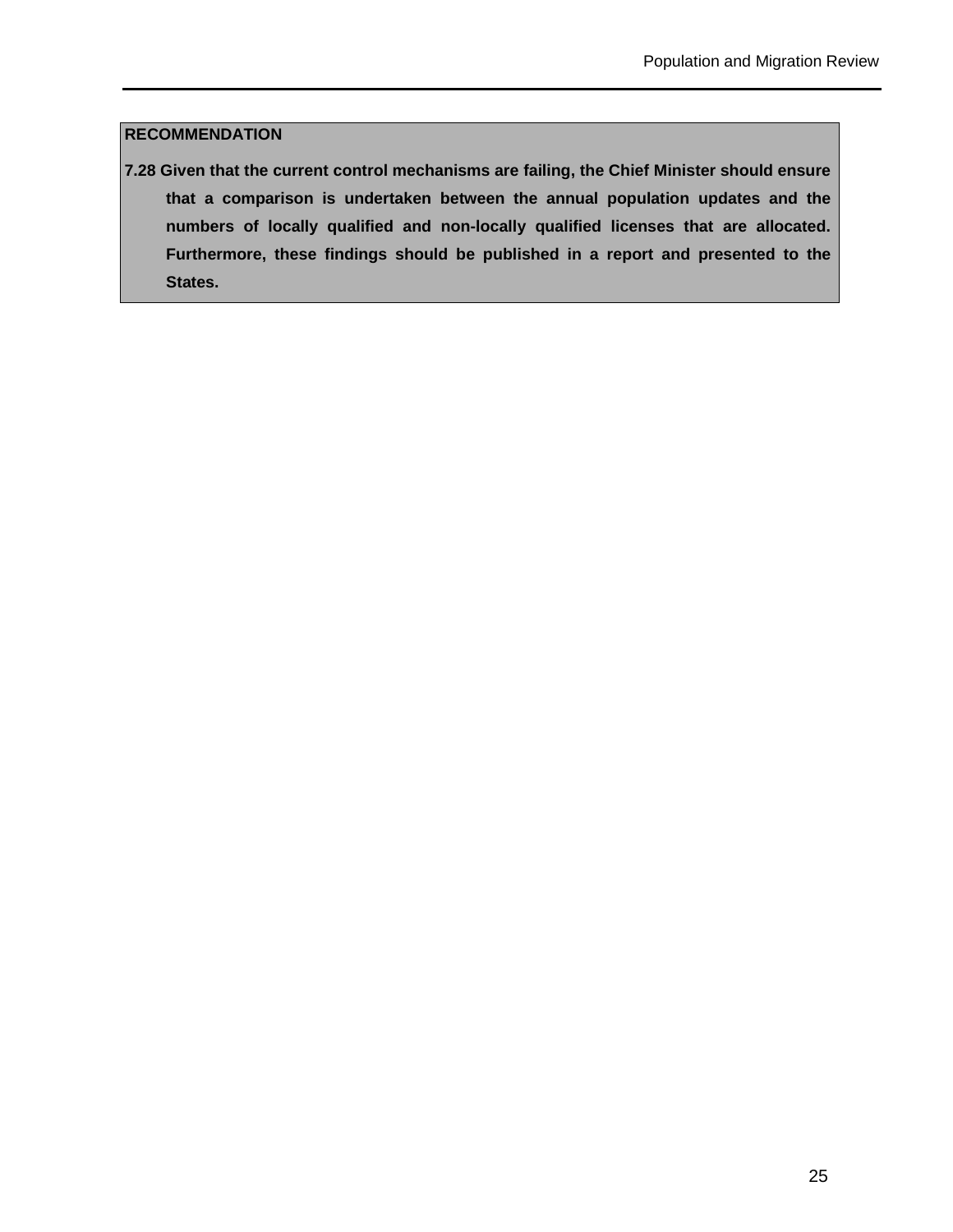#### **RECOMMENDATION**

**7.28 Given that the current control mechanisms are failing, the Chief Minister should ensure that a comparison is undertaken between the annual population updates and the numbers of locally qualified and non-locally qualified licenses that are allocated. Furthermore, these findings should be published in a report and presented to the States.**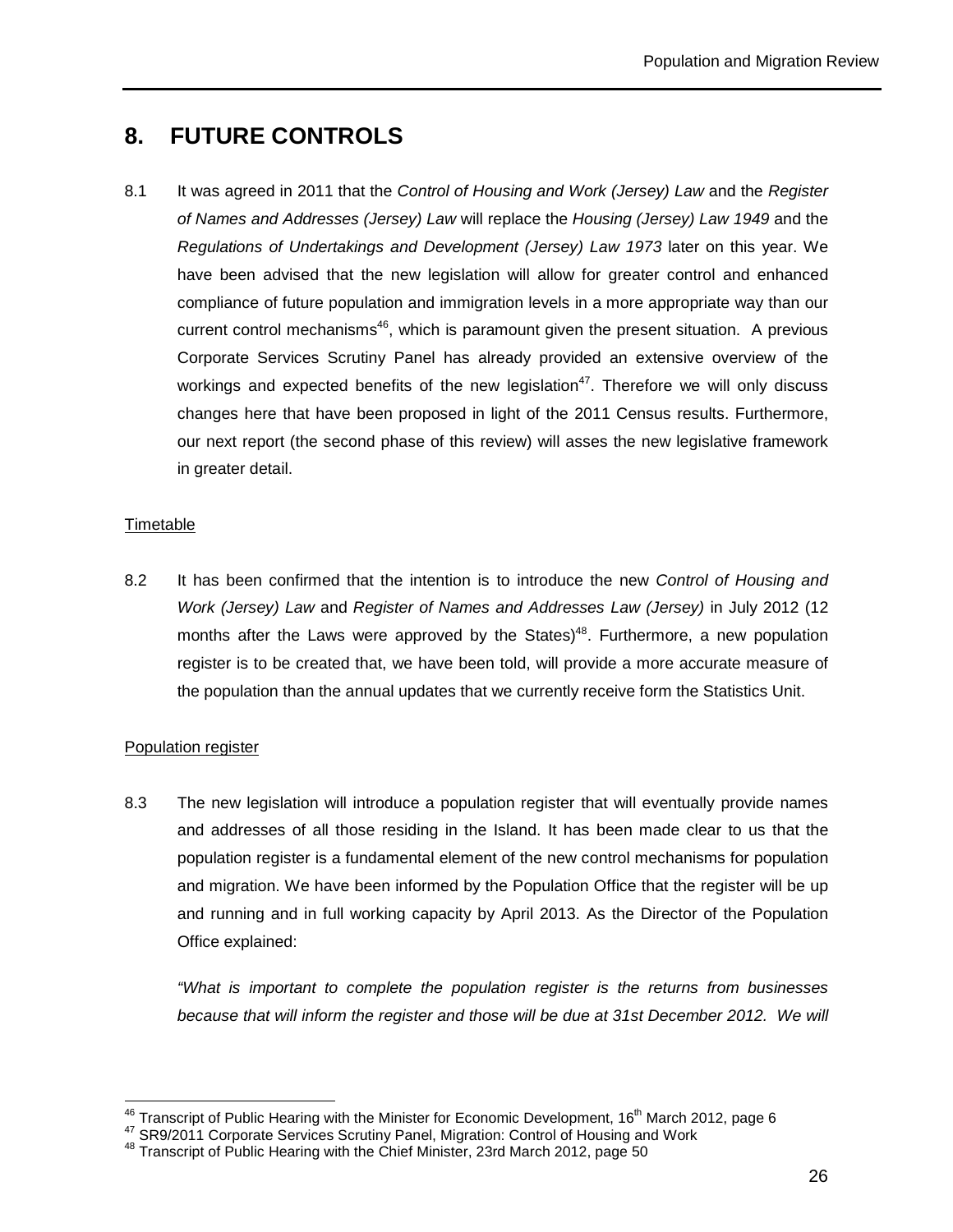# **8. FUTURE CONTROLS**

8.1 It was agreed in 2011 that the Control of Housing and Work (Jersey) Law and the Register of Names and Addresses (Jersey) Law will replace the Housing (Jersey) Law 1949 and the Regulations of Undertakings and Development (Jersey) Law 1973 later on this year. We have been advised that the new legislation will allow for greater control and enhanced compliance of future population and immigration levels in a more appropriate way than our current control mechanisms<sup>46</sup>, which is paramount given the present situation. A previous Corporate Services Scrutiny Panel has already provided an extensive overview of the workings and expected benefits of the new legislation<sup>47</sup>. Therefore we will only discuss changes here that have been proposed in light of the 2011 Census results. Furthermore, our next report (the second phase of this review) will asses the new legislative framework in greater detail.

#### Timetable

8.2 It has been confirmed that the intention is to introduce the new Control of Housing and Work (Jersey) Law and Register of Names and Addresses Law (Jersey) in July 2012 (12 months after the Laws were approved by the States)<sup>48</sup>. Furthermore, a new population register is to be created that, we have been told, will provide a more accurate measure of the population than the annual updates that we currently receive form the Statistics Unit.

#### Population register

 $\overline{a}$ 

8.3 The new legislation will introduce a population register that will eventually provide names and addresses of all those residing in the Island. It has been made clear to us that the population register is a fundamental element of the new control mechanisms for population and migration. We have been informed by the Population Office that the register will be up and running and in full working capacity by April 2013. As the Director of the Population Office explained:

"What is important to complete the population register is the returns from businesses because that will inform the register and those will be due at 31st December 2012. We will

 $^{46}$  Transcript of Public Hearing with the Minister for Economic Development, 16<sup>th</sup> March 2012, page 6

<sup>&</sup>lt;sup>47</sup> SR9/2011 Corporate Services Scrutiny Panel, Migration: Control of Housing and Work

<sup>48</sup> Transcript of Public Hearing with the Chief Minister, 23rd March 2012, page 50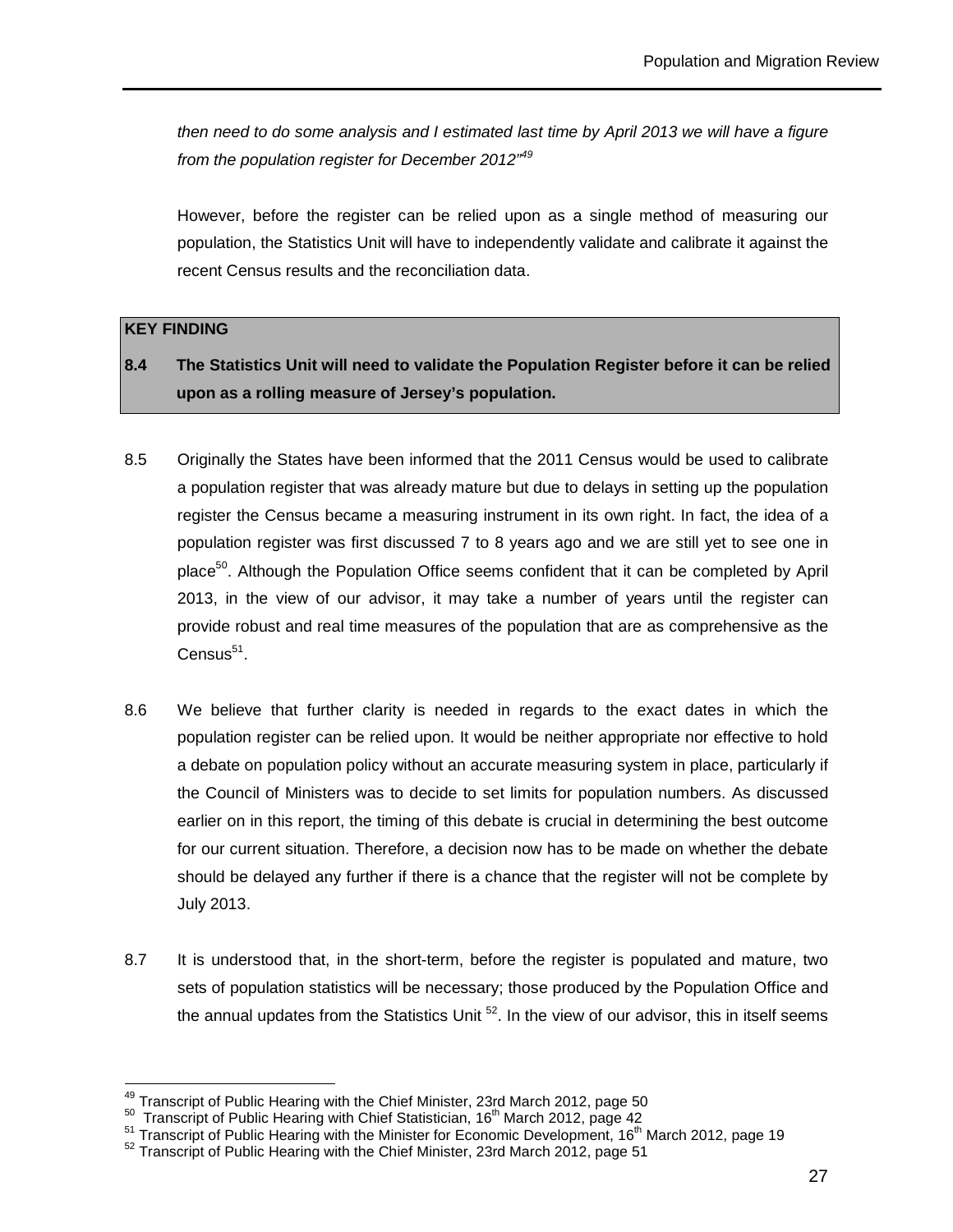then need to do some analysis and I estimated last time by April 2013 we will have a figure from the population register for December 2012<sup>"49</sup>

However, before the register can be relied upon as a single method of measuring our population, the Statistics Unit will have to independently validate and calibrate it against the recent Census results and the reconciliation data.

#### **KEY FINDING**

 $\overline{a}$ 

- **8.4 The Statistics Unit will need to validate the Population Register before it can be relied upon as a rolling measure of Jersey's population.**
- 8.5 Originally the States have been informed that the 2011 Census would be used to calibrate a population register that was already mature but due to delays in setting up the population register the Census became a measuring instrument in its own right. In fact, the idea of a population register was first discussed 7 to 8 years ago and we are still yet to see one in place<sup>50</sup>. Although the Population Office seems confident that it can be completed by April 2013, in the view of our advisor, it may take a number of years until the register can provide robust and real time measures of the population that are as comprehensive as the  $C$ ensus $^{51}$ .
- 8.6 We believe that further clarity is needed in regards to the exact dates in which the population register can be relied upon. It would be neither appropriate nor effective to hold a debate on population policy without an accurate measuring system in place, particularly if the Council of Ministers was to decide to set limits for population numbers. As discussed earlier on in this report, the timing of this debate is crucial in determining the best outcome for our current situation. Therefore, a decision now has to be made on whether the debate should be delayed any further if there is a chance that the register will not be complete by July 2013.
- 8.7 It is understood that, in the short-term, before the register is populated and mature, two sets of population statistics will be necessary; those produced by the Population Office and the annual updates from the Statistics Unit  $52$ . In the view of our advisor, this in itself seems

 $^{49}$  Transcript of Public Hearing with the Chief Minister, 23rd March 2012, page 50

 $50$  Transcript of Public Hearing with Chief Statistician, 16<sup>th</sup> March 2012, page 42

 $51$  Transcript of Public Hearing with the Minister for Economic Development, 16<sup>th</sup> March 2012, page 19

<sup>&</sup>lt;sup>52</sup> Transcript of Public Hearing with the Chief Minister, 23rd March 2012, page 51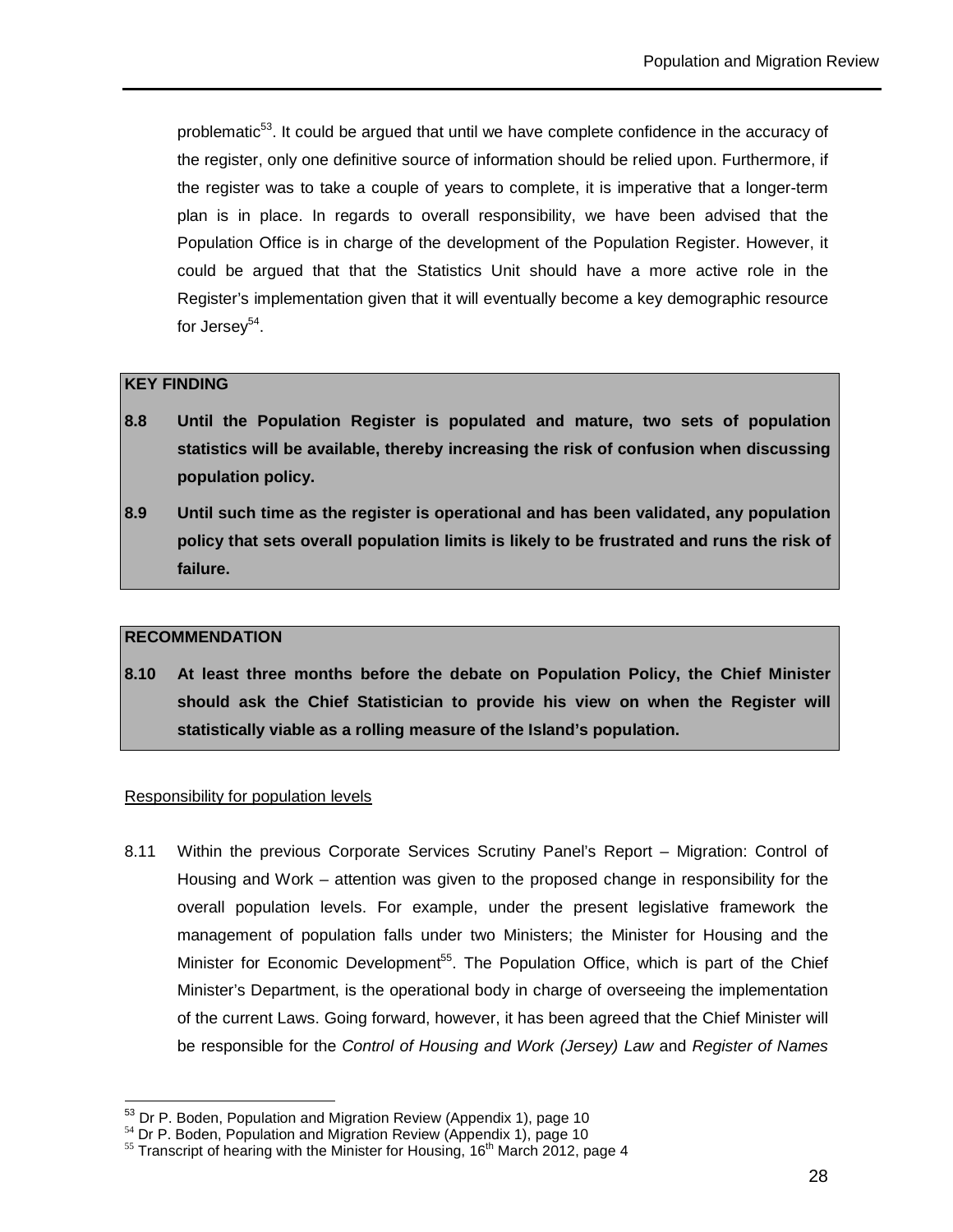problematic<sup>53</sup>. It could be argued that until we have complete confidence in the accuracy of the register, only one definitive source of information should be relied upon. Furthermore, if the register was to take a couple of years to complete, it is imperative that a longer-term plan is in place. In regards to overall responsibility, we have been advised that the Population Office is in charge of the development of the Population Register. However, it could be argued that that the Statistics Unit should have a more active role in the Register's implementation given that it will eventually become a key demographic resource for Jersey<sup>54</sup>.

#### **KEY FINDING**

- **8.8 Until the Population Register is populated and mature, two sets of population statistics will be available, thereby increasing the risk of confusion when discussing population policy.**
- **8.9 Until such time as the register is operational and has been validated, any population policy that sets overall population limits is likely to be frustrated and runs the risk of failure.**

#### **RECOMMENDATION**

 $\overline{a}$ 

**8.10 At least three months before the debate on Population Policy, the Chief Minister should ask the Chief Statistician to provide his view on when the Register will statistically viable as a rolling measure of the Island's population.** 

#### Responsibility for population levels

8.11 Within the previous Corporate Services Scrutiny Panel's Report – Migration: Control of Housing and Work – attention was given to the proposed change in responsibility for the overall population levels. For example, under the present legislative framework the management of population falls under two Ministers; the Minister for Housing and the Minister for Economic Development<sup>55</sup>. The Population Office, which is part of the Chief Minister's Department, is the operational body in charge of overseeing the implementation of the current Laws. Going forward, however, it has been agreed that the Chief Minister will be responsible for the Control of Housing and Work (Jersey) Law and Register of Names

 $53$  Dr P. Boden, Population and Migration Review (Appendix 1), page 10

 $54$  Dr P. Boden, Population and Migration Review (Appendix 1), page 10

 $55$  Transcript of hearing with the Minister for Housing, 16<sup>th</sup> March 2012, page 4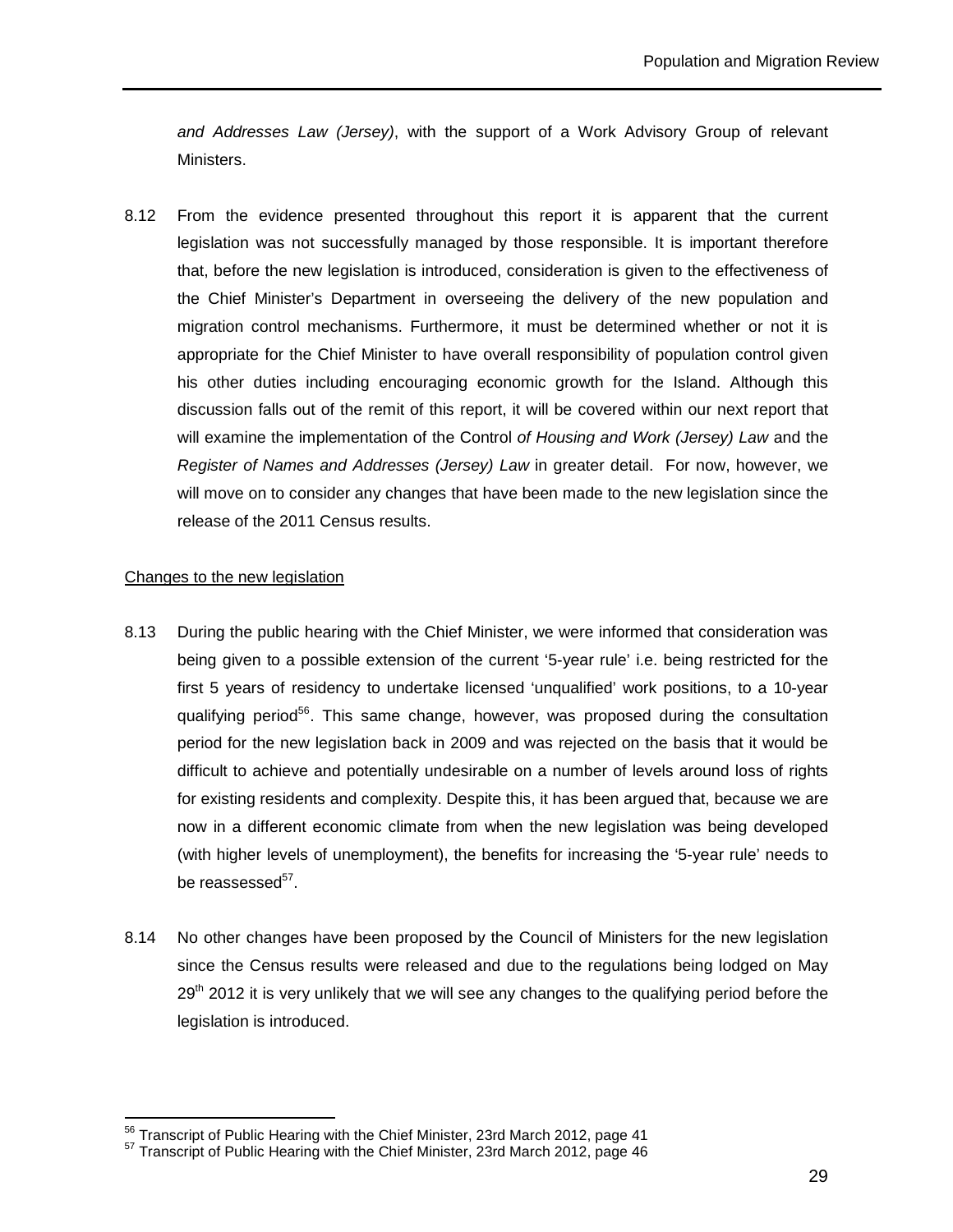and Addresses Law (Jersey), with the support of a Work Advisory Group of relevant Ministers.

8.12 From the evidence presented throughout this report it is apparent that the current legislation was not successfully managed by those responsible. It is important therefore that, before the new legislation is introduced, consideration is given to the effectiveness of the Chief Minister's Department in overseeing the delivery of the new population and migration control mechanisms. Furthermore, it must be determined whether or not it is appropriate for the Chief Minister to have overall responsibility of population control given his other duties including encouraging economic growth for the Island. Although this discussion falls out of the remit of this report, it will be covered within our next report that will examine the implementation of the Control of Housing and Work (Jersey) Law and the Register of Names and Addresses (Jersey) Law in greater detail. For now, however, we will move on to consider any changes that have been made to the new legislation since the release of the 2011 Census results.

#### Changes to the new legislation

 $\overline{a}$ 

- 8.13 During the public hearing with the Chief Minister, we were informed that consideration was being given to a possible extension of the current '5-year rule' i.e. being restricted for the first 5 years of residency to undertake licensed 'unqualified' work positions, to a 10-year qualifying period<sup>56</sup>. This same change, however, was proposed during the consultation period for the new legislation back in 2009 and was rejected on the basis that it would be difficult to achieve and potentially undesirable on a number of levels around loss of rights for existing residents and complexity. Despite this, it has been argued that, because we are now in a different economic climate from when the new legislation was being developed (with higher levels of unemployment), the benefits for increasing the '5-year rule' needs to be reassessed<sup>57</sup>.
- 8.14 No other changes have been proposed by the Council of Ministers for the new legislation since the Census results were released and due to the regulations being lodged on May  $29<sup>th</sup>$  2012 it is very unlikely that we will see any changes to the qualifying period before the legislation is introduced.

 $56$  Transcript of Public Hearing with the Chief Minister, 23rd March 2012, page 41

 $57$  Transcript of Public Hearing with the Chief Minister, 23rd March 2012, page 46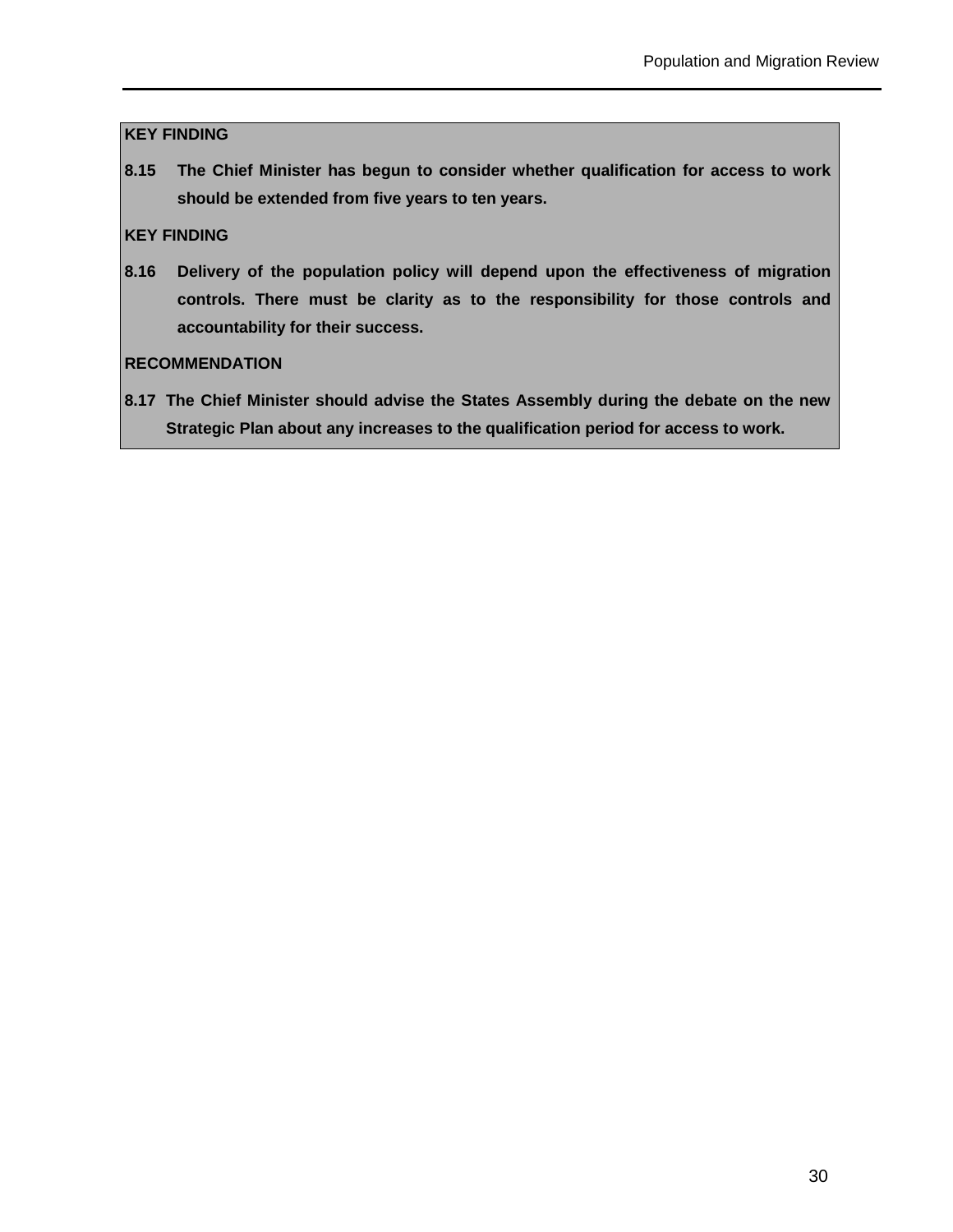#### **KEY FINDING**

**8.15 The Chief Minister has begun to consider whether qualification for access to work should be extended from five years to ten years.** 

#### **KEY FINDING**

**8.16 Delivery of the population policy will depend upon the effectiveness of migration controls. There must be clarity as to the responsibility for those controls and accountability for their success.** 

#### **RECOMMENDATION**

**8.17 The Chief Minister should advise the States Assembly during the debate on the new Strategic Plan about any increases to the qualification period for access to work.**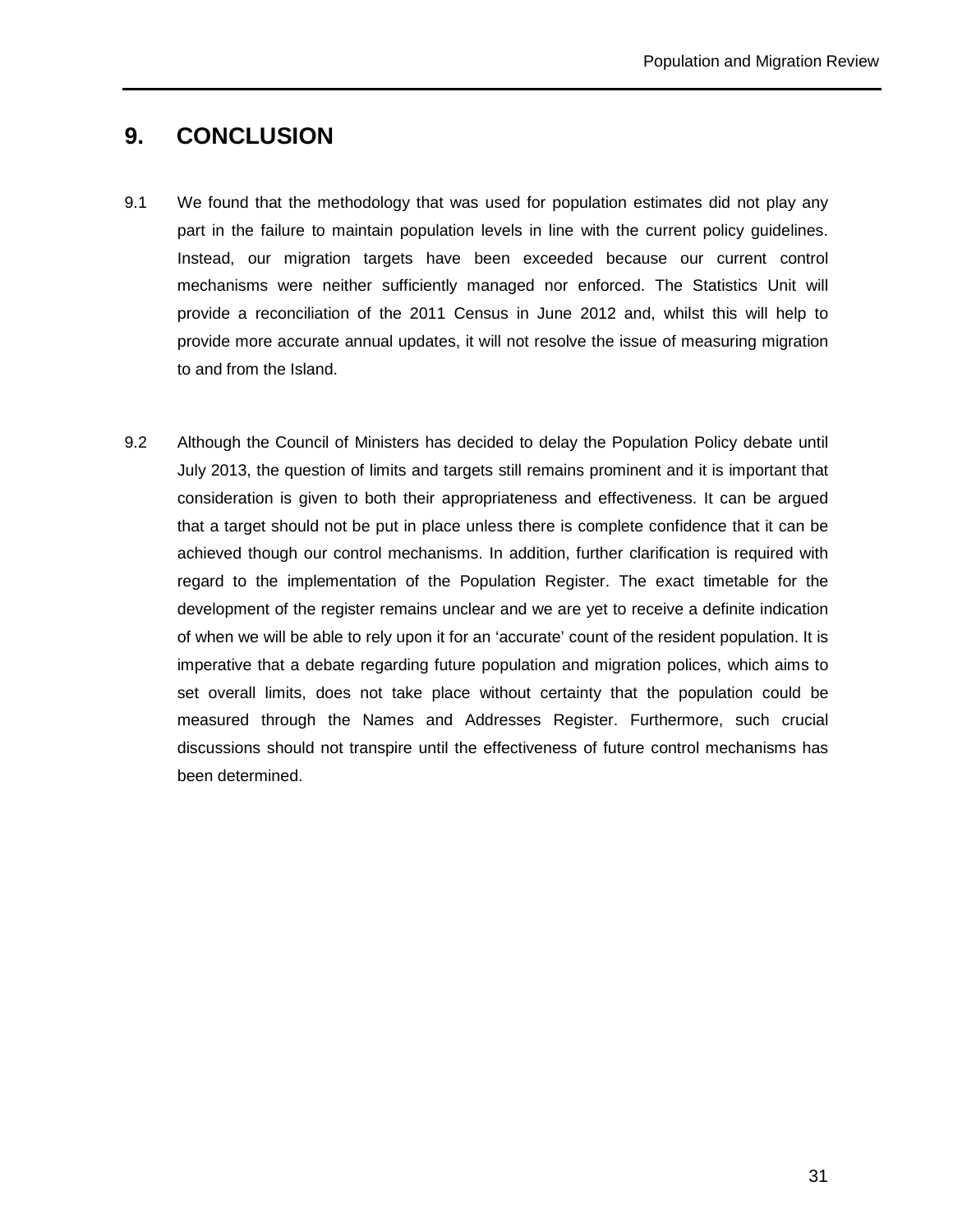## **9. CONCLUSION**

- 9.1 We found that the methodology that was used for population estimates did not play any part in the failure to maintain population levels in line with the current policy guidelines. Instead, our migration targets have been exceeded because our current control mechanisms were neither sufficiently managed nor enforced. The Statistics Unit will provide a reconciliation of the 2011 Census in June 2012 and, whilst this will help to provide more accurate annual updates, it will not resolve the issue of measuring migration to and from the Island.
- 9.2 Although the Council of Ministers has decided to delay the Population Policy debate until July 2013, the question of limits and targets still remains prominent and it is important that consideration is given to both their appropriateness and effectiveness. It can be argued that a target should not be put in place unless there is complete confidence that it can be achieved though our control mechanisms. In addition, further clarification is required with regard to the implementation of the Population Register. The exact timetable for the development of the register remains unclear and we are yet to receive a definite indication of when we will be able to rely upon it for an 'accurate' count of the resident population. It is imperative that a debate regarding future population and migration polices, which aims to set overall limits, does not take place without certainty that the population could be measured through the Names and Addresses Register. Furthermore, such crucial discussions should not transpire until the effectiveness of future control mechanisms has been determined.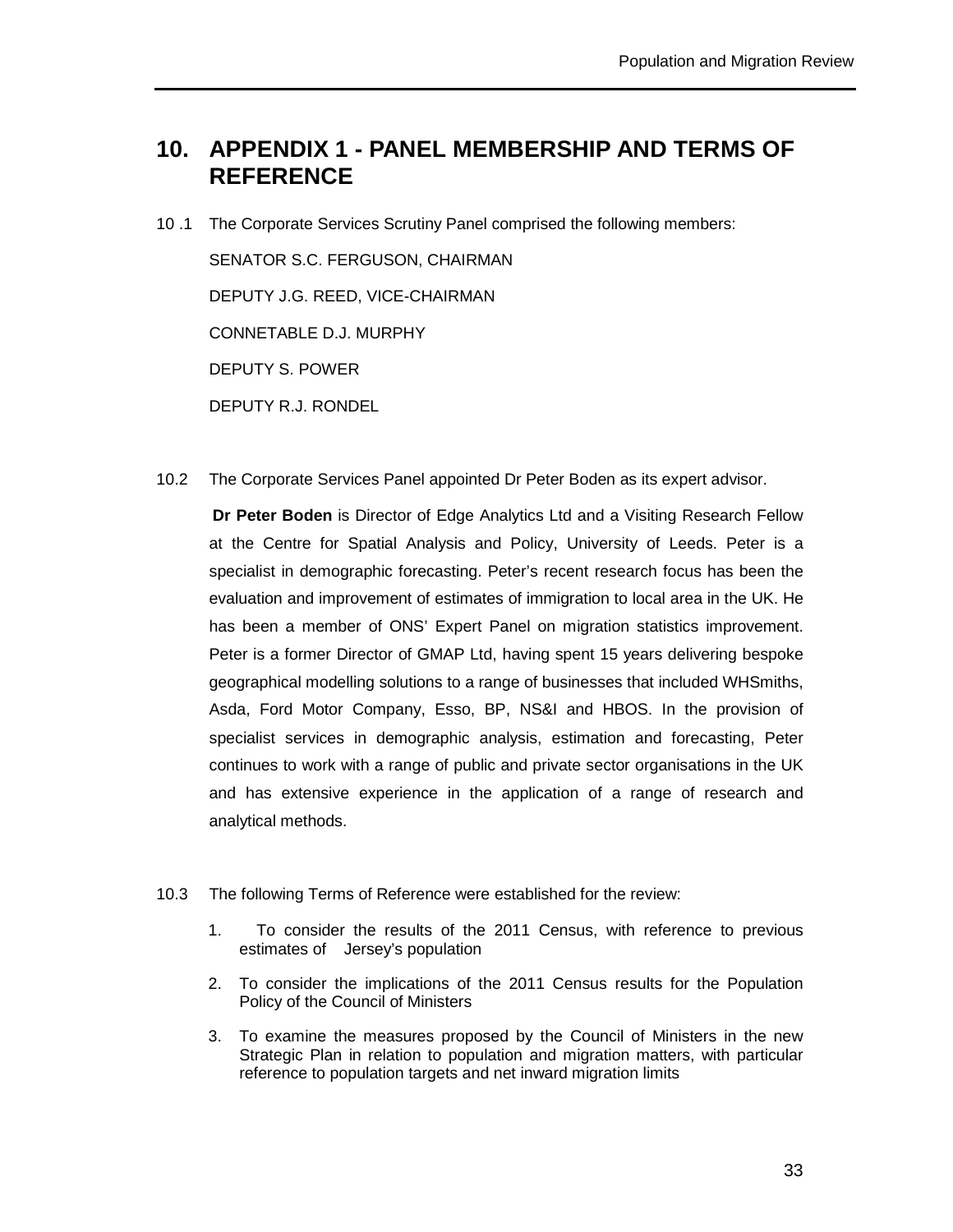## **10. APPENDIX 1 - PANEL MEMBERSHIP AND TERMS OF REFERENCE**

10 .1 The Corporate Services Scrutiny Panel comprised the following members:

SENATOR S.C. FERGUSON, CHAIRMAN DEPUTY J.G. REED, VICE-CHAIRMAN CONNETABLE D.J. MURPHY DEPUTY S. POWER DEPUTY R.J. RONDEL

10.2 The Corporate Services Panel appointed Dr Peter Boden as its expert advisor.

**Dr Peter Boden** is Director of Edge Analytics Ltd and a Visiting Research Fellow at the Centre for Spatial Analysis and Policy, University of Leeds. Peter is a specialist in demographic forecasting. Peter's recent research focus has been the evaluation and improvement of estimates of immigration to local area in the UK. He has been a member of ONS' Expert Panel on migration statistics improvement. Peter is a former Director of GMAP Ltd, having spent 15 years delivering bespoke geographical modelling solutions to a range of businesses that included WHSmiths, Asda, Ford Motor Company, Esso, BP, NS&I and HBOS. In the provision of specialist services in demographic analysis, estimation and forecasting, Peter continues to work with a range of public and private sector organisations in the UK and has extensive experience in the application of a range of research and analytical methods.

- 10.3 The following Terms of Reference were established for the review:
	- 1. To consider the results of the 2011 Census, with reference to previous estimates of Jersey's population
	- 2. To consider the implications of the 2011 Census results for the Population Policy of the Council of Ministers
	- 3. To examine the measures proposed by the Council of Ministers in the new Strategic Plan in relation to population and migration matters, with particular reference to population targets and net inward migration limits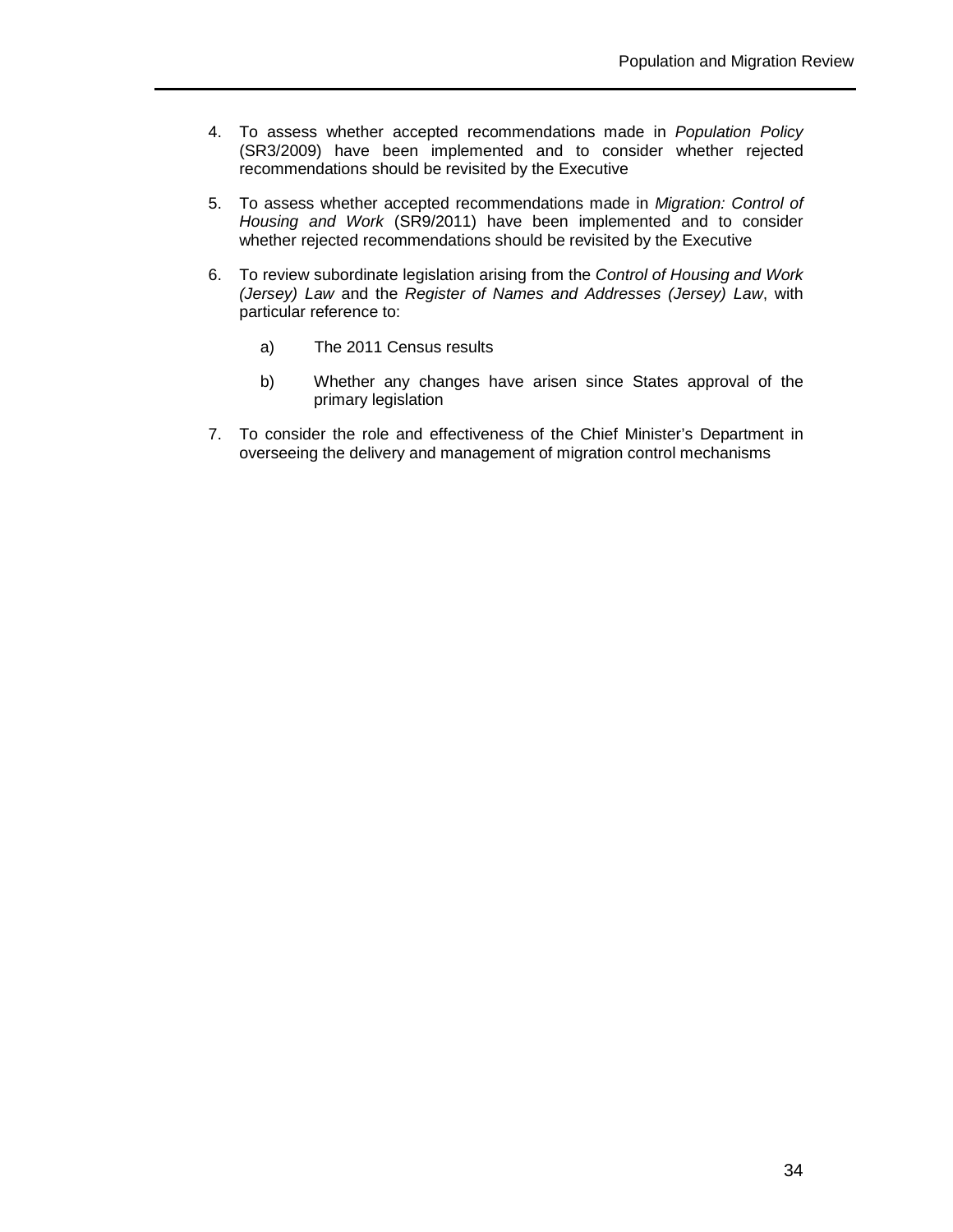- 4. To assess whether accepted recommendations made in Population Policy (SR3/2009) have been implemented and to consider whether rejected recommendations should be revisited by the Executive
- 5. To assess whether accepted recommendations made in Migration: Control of Housing and Work (SR9/2011) have been implemented and to consider whether rejected recommendations should be revisited by the Executive
- 6. To review subordinate legislation arising from the Control of Housing and Work (Jersey) Law and the Register of Names and Addresses (Jersey) Law, with particular reference to:
	- a) The 2011 Census results
	- b) Whether any changes have arisen since States approval of the primary legislation
- 7. To consider the role and effectiveness of the Chief Minister's Department in overseeing the delivery and management of migration control mechanisms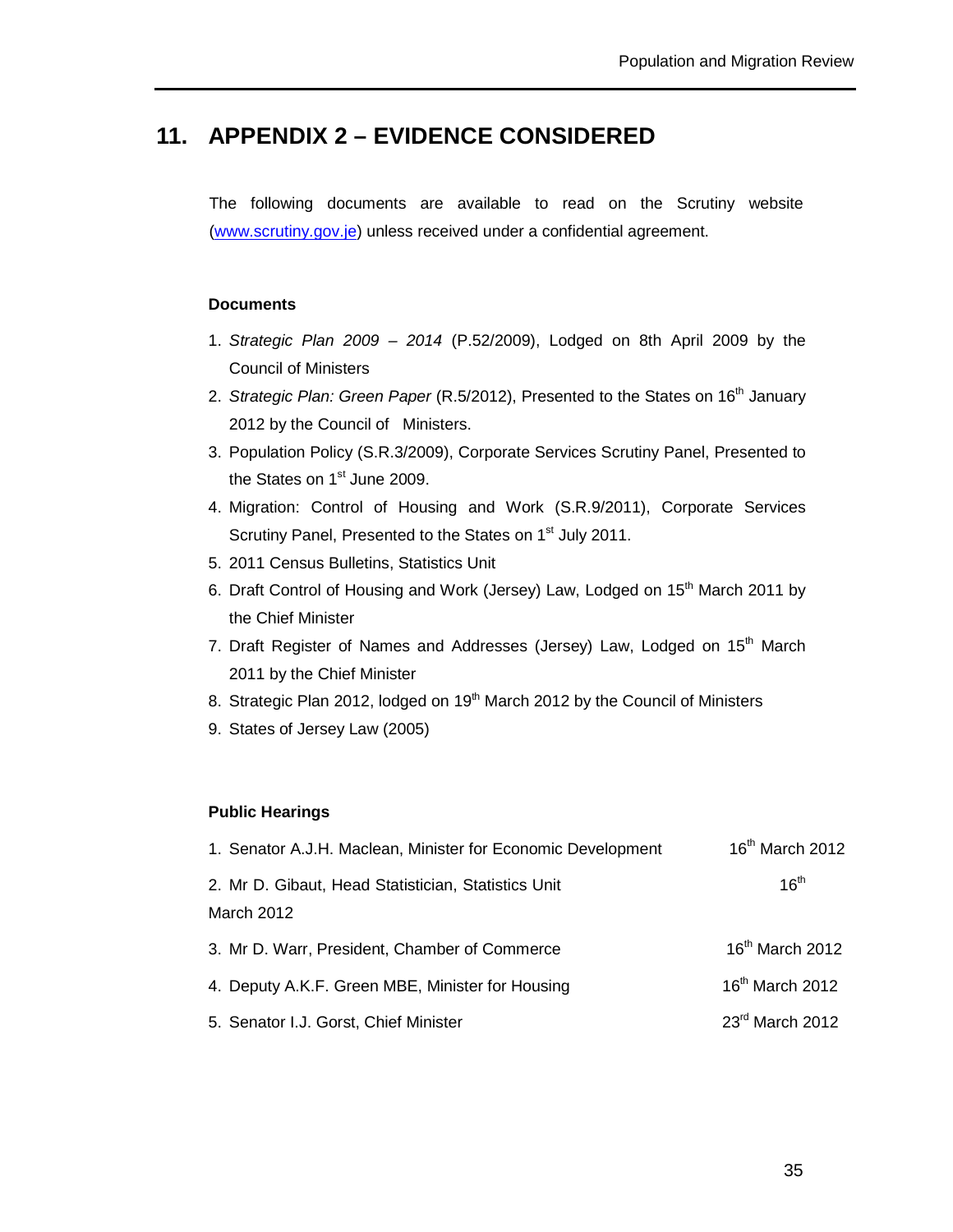## **11. APPENDIX 2 – EVIDENCE CONSIDERED**

The following documents are available to read on the Scrutiny website (www.scrutiny.gov.je) unless received under a confidential agreement.

#### **Documents**

- 1. Strategic Plan 2009 2014 (P.52/2009), Lodged on 8th April 2009 by the Council of Ministers
- 2. Strategic Plan: Green Paper (R.5/2012), Presented to the States on 16<sup>th</sup> January 2012 by the Council of Ministers.
- 3. Population Policy (S.R.3/2009), Corporate Services Scrutiny Panel, Presented to the States on 1<sup>st</sup> June 2009.
- 4. Migration: Control of Housing and Work (S.R.9/2011), Corporate Services Scrutiny Panel, Presented to the States on 1<sup>st</sup> July 2011.
- 5. 2011 Census Bulletins, Statistics Unit
- 6. Draft Control of Housing and Work (Jersey) Law, Lodged on 15<sup>th</sup> March 2011 by the Chief Minister
- 7. Draft Register of Names and Addresses (Jersey) Law, Lodged on 15<sup>th</sup> March 2011 by the Chief Minister
- 8. Strategic Plan 2012, lodged on 19<sup>th</sup> March 2012 by the Council of Ministers
- 9. States of Jersey Law (2005)

#### **Public Hearings**

| 1. Senator A.J.H. Maclean, Minister for Economic Development      | 16 <sup>th</sup> March 2012 |
|-------------------------------------------------------------------|-----------------------------|
| 2. Mr D. Gibaut, Head Statistician, Statistics Unit<br>March 2012 | 16 <sup>th</sup>            |
| 3. Mr D. Warr, President, Chamber of Commerce                     | $16th$ March 2012           |
| 4. Deputy A.K.F. Green MBE, Minister for Housing                  | 16 <sup>th</sup> March 2012 |
| 5. Senator I.J. Gorst, Chief Minister                             | 23rd March 2012             |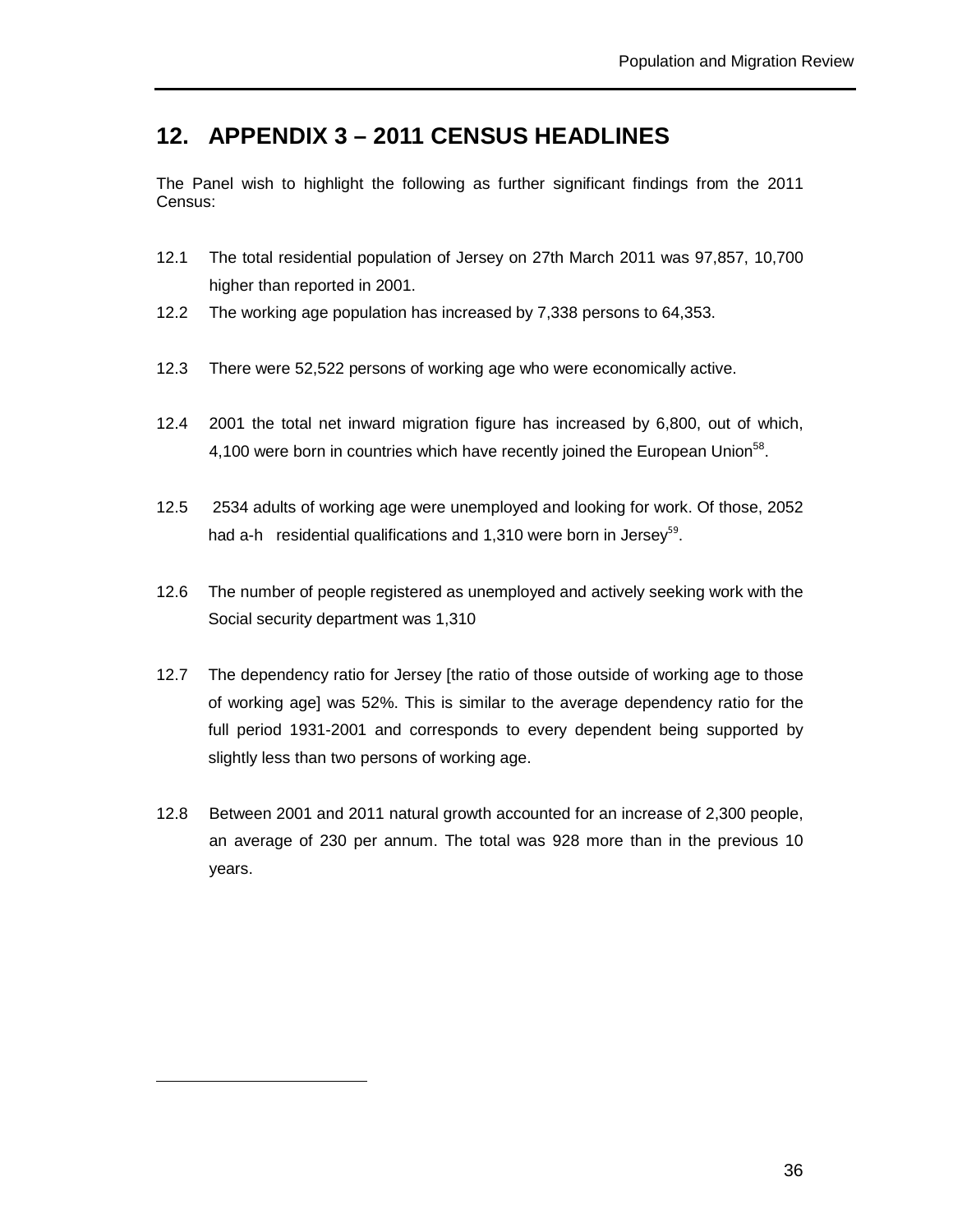## **12. APPENDIX 3 – 2011 CENSUS HEADLINES**

The Panel wish to highlight the following as further significant findings from the 2011 Census:

- 12.1 The total residential population of Jersey on 27th March 2011 was 97,857, 10,700 higher than reported in 2001.
- 12.2 The working age population has increased by 7,338 persons to 64,353.
- 12.3 There were 52,522 persons of working age who were economically active.
- 12.4 2001 the total net inward migration figure has increased by 6,800, out of which, 4,100 were born in countries which have recently joined the European Union<sup>58</sup>.
- 12.5 2534 adults of working age were unemployed and looking for work. Of those, 2052 had a-h residential qualifications and 1,310 were born in Jersey<sup>59</sup>.
- 12.6 The number of people registered as unemployed and actively seeking work with the Social security department was 1,310
- 12.7 The dependency ratio for Jersey [the ratio of those outside of working age to those of working age] was 52%. This is similar to the average dependency ratio for the full period 1931-2001 and corresponds to every dependent being supported by slightly less than two persons of working age.
- 12.8 Between 2001 and 2011 natural growth accounted for an increase of 2,300 people, an average of 230 per annum. The total was 928 more than in the previous 10 years.

 $\overline{a}$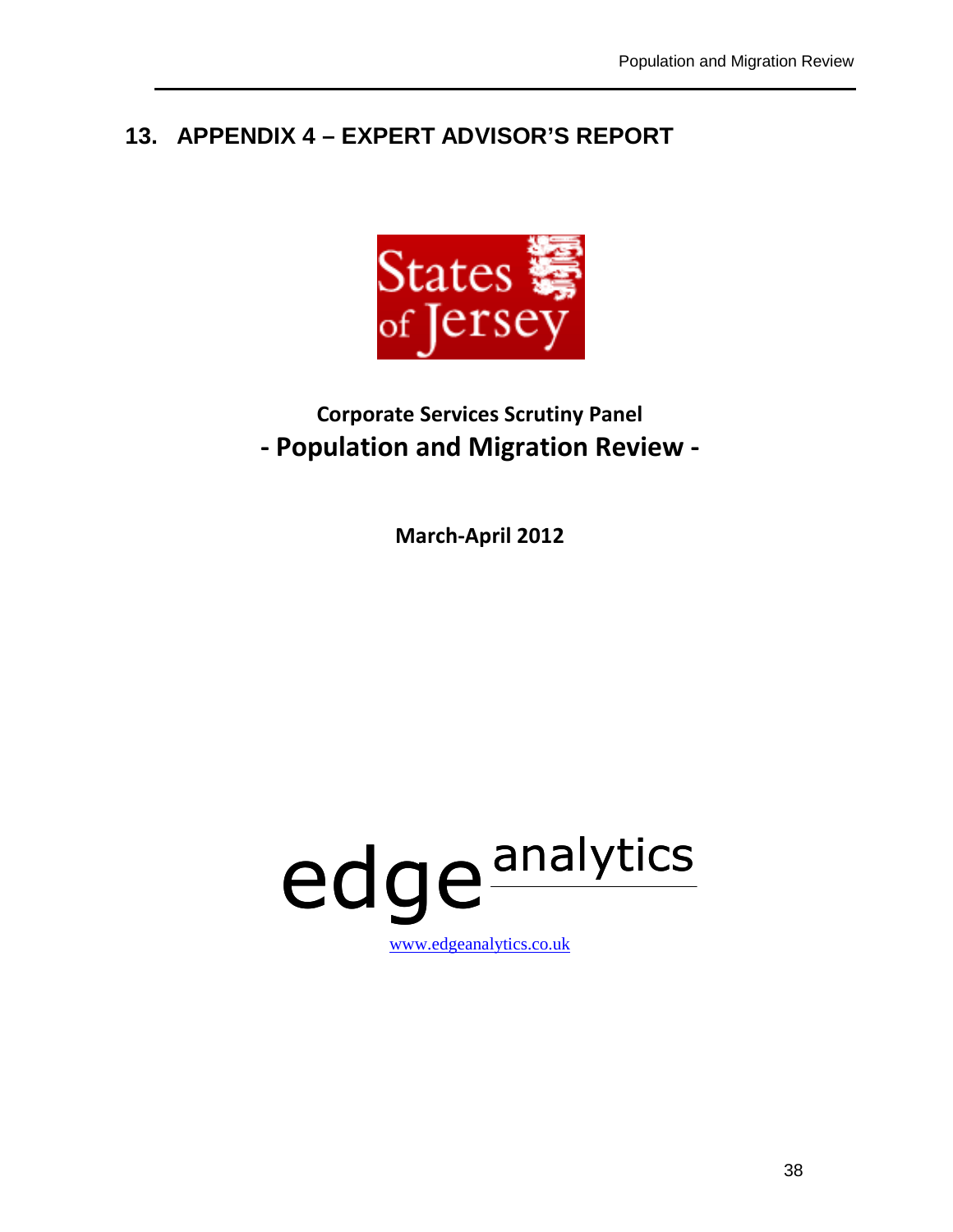# **13. APPENDIX 4 – EXPERT ADVISOR'S REPORT**



# **Corporate Services Scrutiny Panel - Population and Migration Review -**

**March-April 2012** 

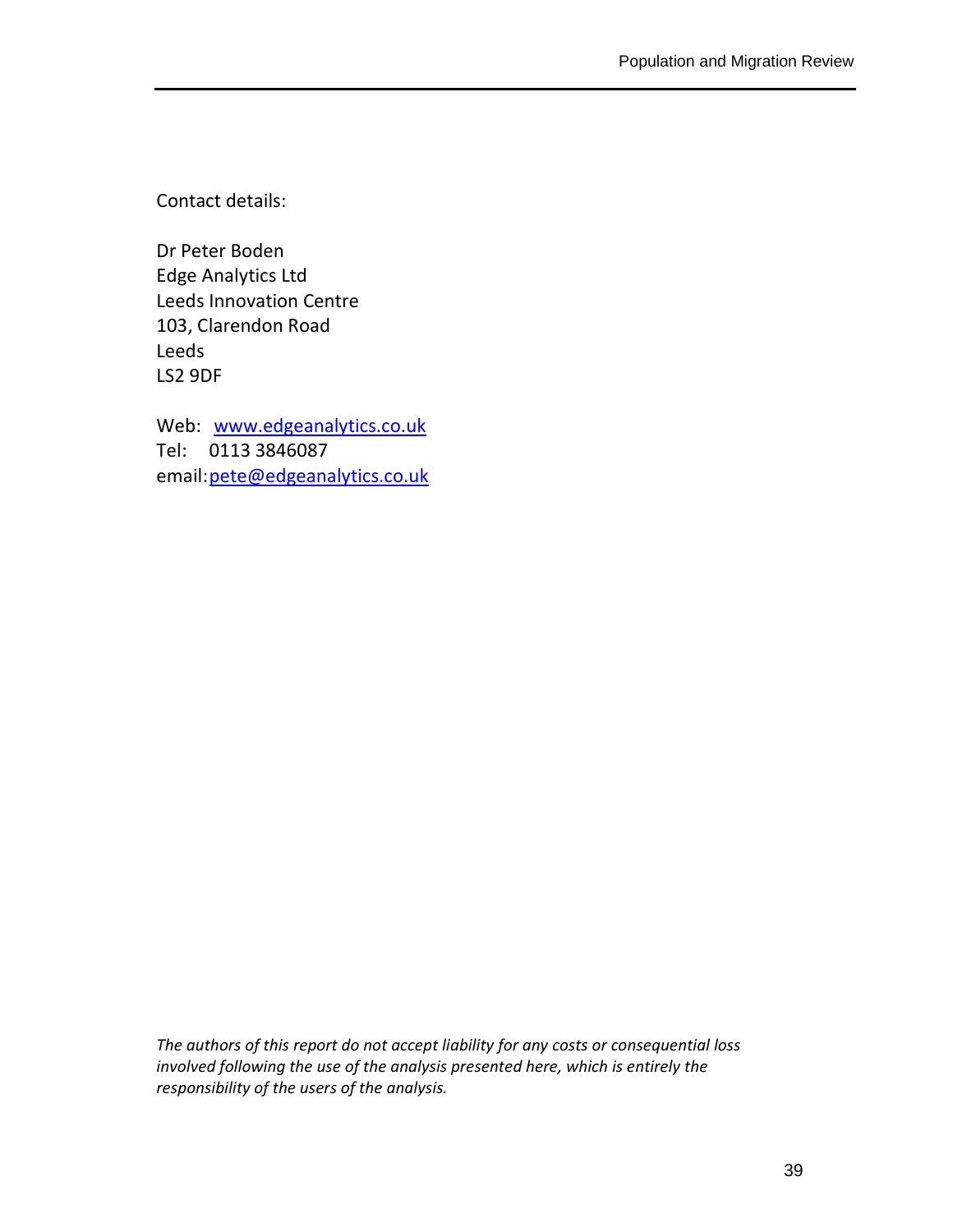Contact details:

Dr Peter Boden Edge Analytics Ltd Leeds Innovation Centre 103, Clarendon Road Leeds LS2 9DF

Web: www.edgeanalytics.co.uk Tel: 0113 3846087 email: pete@edgeanalytics.co.uk

*The authors of this report do not accept liability for any costs or consequential loss involved following the use of the analysis presented here, which is entirely the responsibility of the users of the analysis.*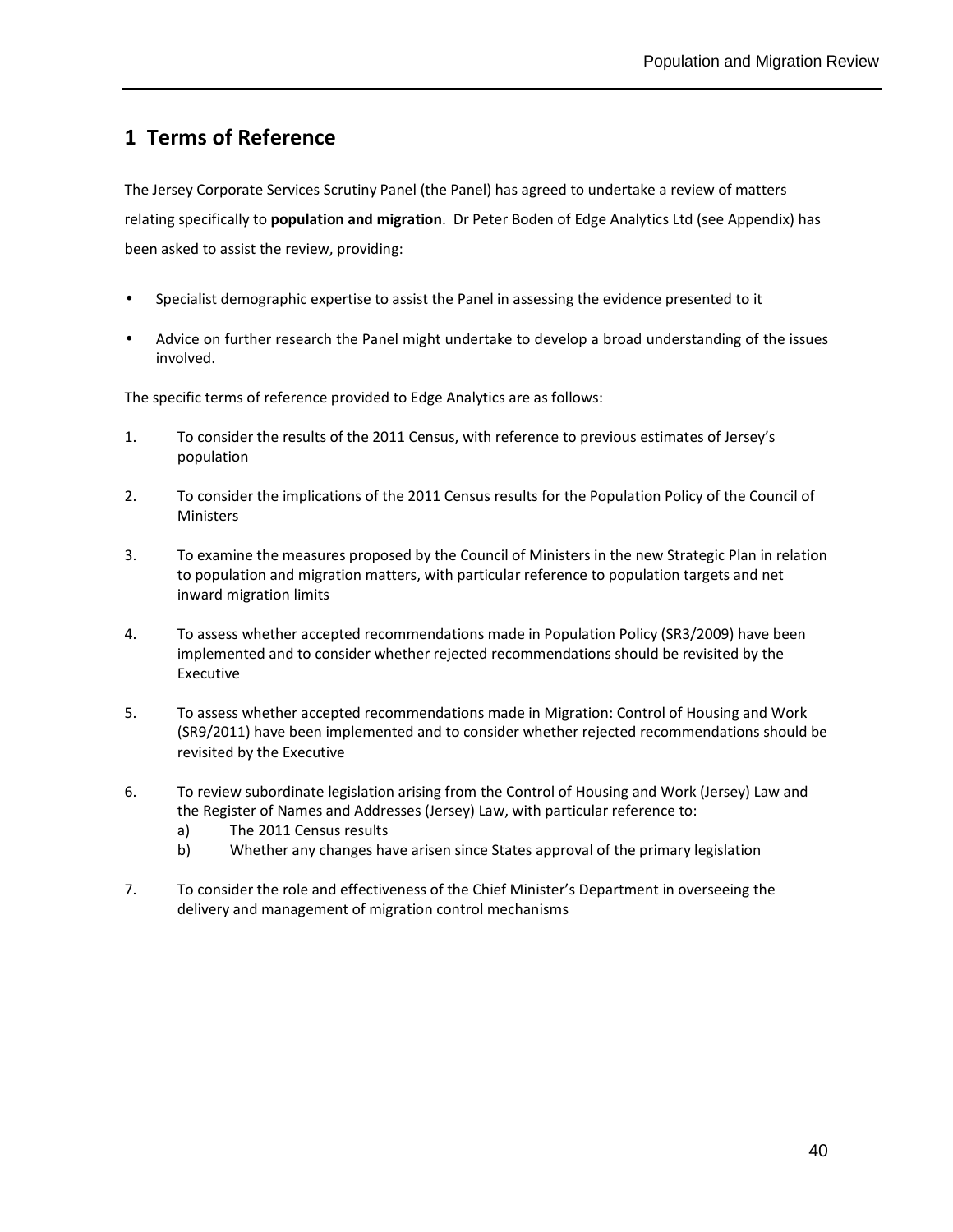## **1 Terms of Reference**

The Jersey Corporate Services Scrutiny Panel (the Panel) has agreed to undertake a review of matters relating specifically to **population and migration**. Dr Peter Boden of Edge Analytics Ltd (see Appendix) has been asked to assist the review, providing:

- Specialist demographic expertise to assist the Panel in assessing the evidence presented to it
- Advice on further research the Panel might undertake to develop a broad understanding of the issues involved.

The specific terms of reference provided to Edge Analytics are as follows:

- 1. To consider the results of the 2011 Census, with reference to previous estimates of Jersey's population
- 2. To consider the implications of the 2011 Census results for the Population Policy of the Council of **Ministers**
- 3. To examine the measures proposed by the Council of Ministers in the new Strategic Plan in relation to population and migration matters, with particular reference to population targets and net inward migration limits
- 4. To assess whether accepted recommendations made in Population Policy (SR3/2009) have been implemented and to consider whether rejected recommendations should be revisited by the Executive
- 5. To assess whether accepted recommendations made in Migration: Control of Housing and Work (SR9/2011) have been implemented and to consider whether rejected recommendations should be revisited by the Executive
- 6. To review subordinate legislation arising from the Control of Housing and Work (Jersey) Law and the Register of Names and Addresses (Jersey) Law, with particular reference to:
	- a) The 2011 Census results
	- b) Whether any changes have arisen since States approval of the primary legislation
- 7. To consider the role and effectiveness of the Chief Minister's Department in overseeing the delivery and management of migration control mechanisms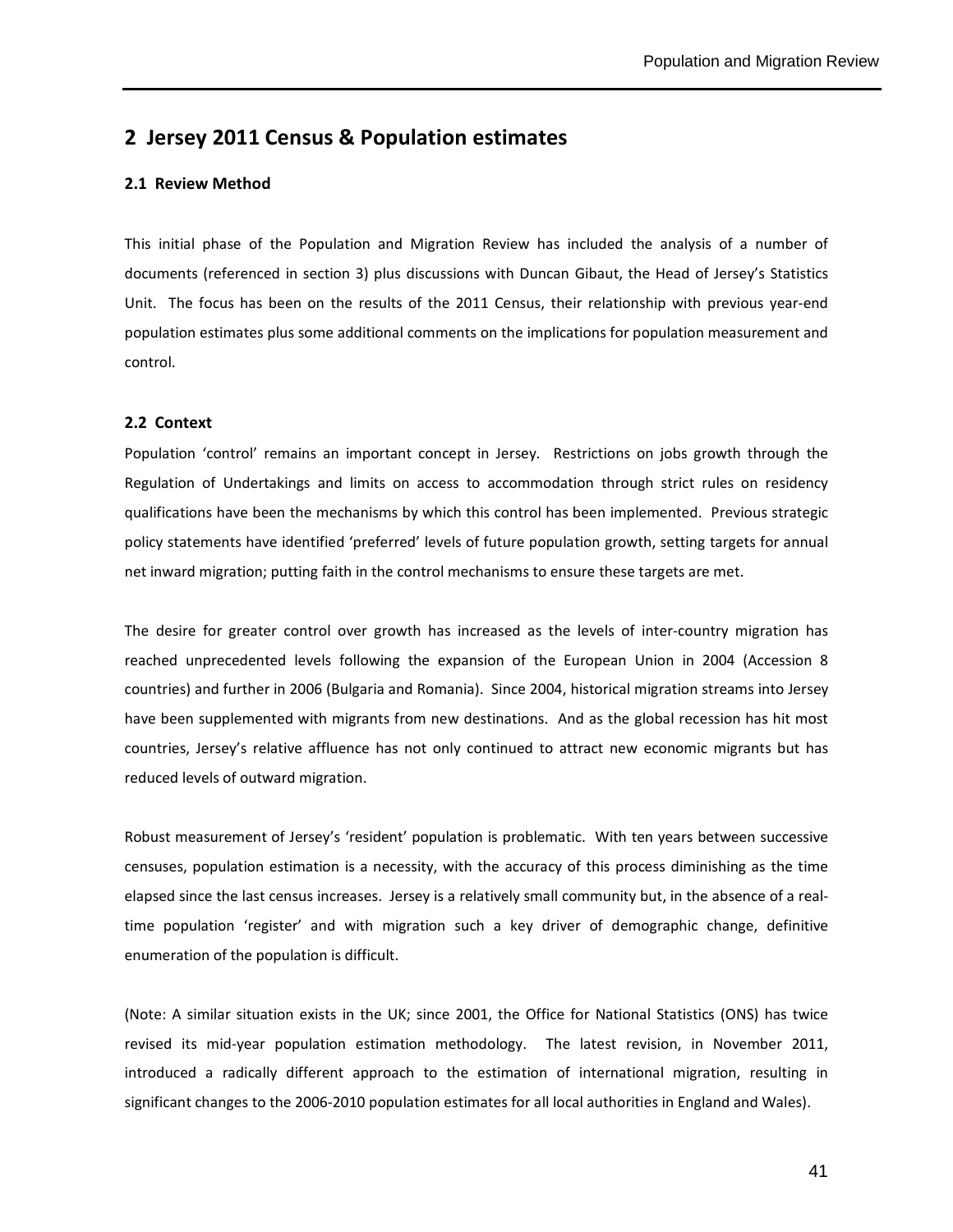### **2 Jersey 2011 Census & Population estimates**

#### **2.1 Review Method**

This initial phase of the Population and Migration Review has included the analysis of a number of documents (referenced in section 3) plus discussions with Duncan Gibaut, the Head of Jersey's Statistics Unit. The focus has been on the results of the 2011 Census, their relationship with previous year-end population estimates plus some additional comments on the implications for population measurement and control.

#### **2.2 Context**

Population 'control' remains an important concept in Jersey. Restrictions on jobs growth through the Regulation of Undertakings and limits on access to accommodation through strict rules on residency qualifications have been the mechanisms by which this control has been implemented. Previous strategic policy statements have identified 'preferred' levels of future population growth, setting targets for annual net inward migration; putting faith in the control mechanisms to ensure these targets are met.

The desire for greater control over growth has increased as the levels of inter-country migration has reached unprecedented levels following the expansion of the European Union in 2004 (Accession 8 countries) and further in 2006 (Bulgaria and Romania). Since 2004, historical migration streams into Jersey have been supplemented with migrants from new destinations. And as the global recession has hit most countries, Jersey's relative affluence has not only continued to attract new economic migrants but has reduced levels of outward migration.

Robust measurement of Jersey's 'resident' population is problematic. With ten years between successive censuses, population estimation is a necessity, with the accuracy of this process diminishing as the time elapsed since the last census increases. Jersey is a relatively small community but, in the absence of a realtime population 'register' and with migration such a key driver of demographic change, definitive enumeration of the population is difficult.

(Note: A similar situation exists in the UK; since 2001, the Office for National Statistics (ONS) has twice revised its mid-year population estimation methodology. The latest revision, in November 2011, introduced a radically different approach to the estimation of international migration, resulting in significant changes to the 2006-2010 population estimates for all local authorities in England and Wales).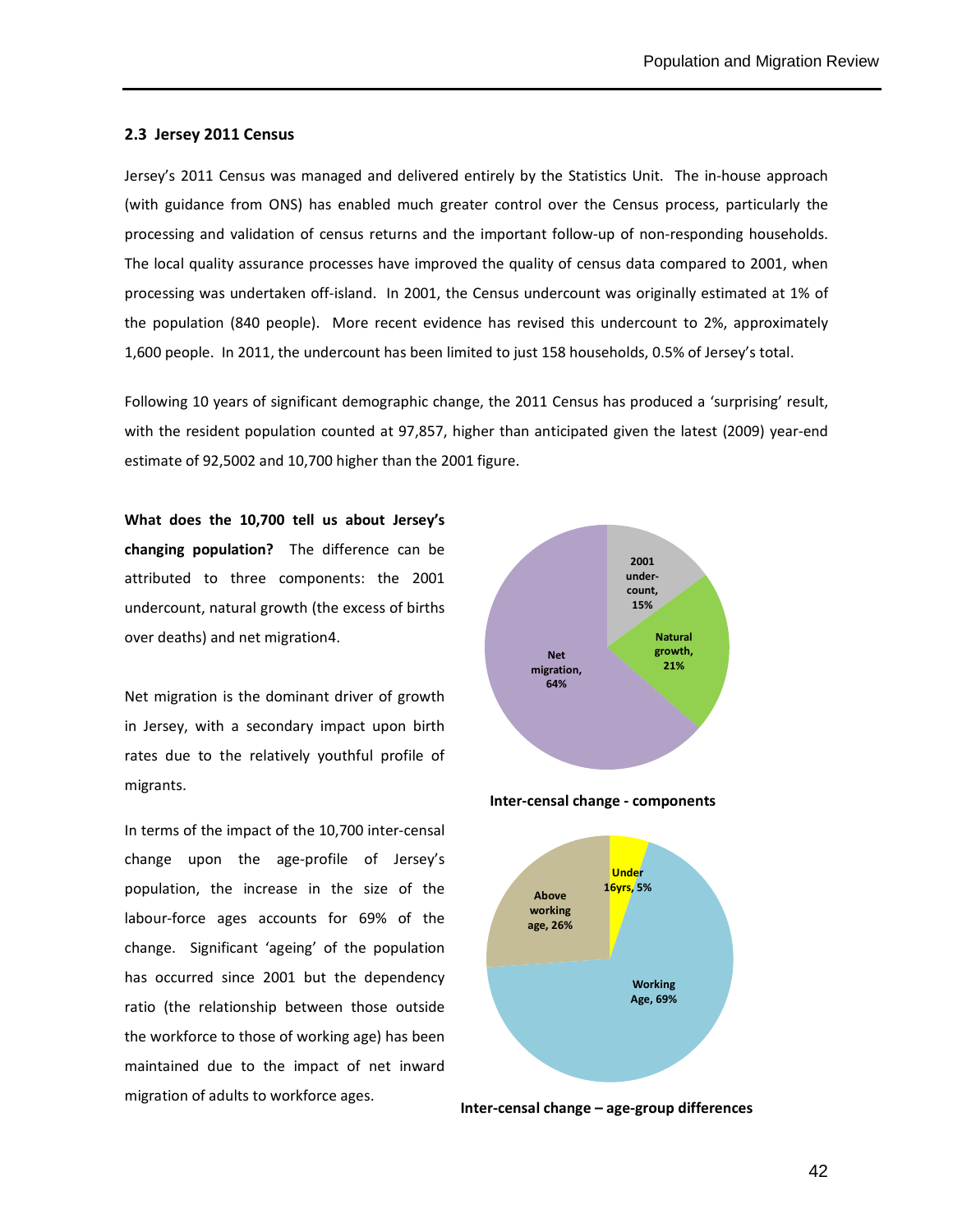#### **2.3 Jersey 2011 Census**

Jersey's 2011 Census was managed and delivered entirely by the Statistics Unit. The in-house approach (with guidance from ONS) has enabled much greater control over the Census process, particularly the processing and validation of census returns and the important follow-up of non-responding households. The local quality assurance processes have improved the quality of census data compared to 2001, when processing was undertaken off-island. In 2001, the Census undercount was originally estimated at 1% of the population (840 people). More recent evidence has revised this undercount to 2%, approximately 1,600 people. In 2011, the undercount has been limited to just 158 households, 0.5% of Jersey's total.

Following 10 years of significant demographic change, the 2011 Census has produced a 'surprising' result, with the resident population counted at 97,857, higher than anticipated given the latest (2009) year-end estimate of 92,5002 and 10,700 higher than the 2001 figure.

**What does the 10,700 tell us about Jersey's changing population?** The difference can be attributed to three components: the 2001 undercount, natural growth (the excess of births over deaths) and net migration4.

Net migration is the dominant driver of growth in Jersey, with a secondary impact upon birth rates due to the relatively youthful profile of migrants.

In terms of the impact of the 10,700 inter-censal change upon the age-profile of Jersey's population, the increase in the size of the labour-force ages accounts for 69% of the change. Significant 'ageing' of the population has occurred since 2001 but the dependency ratio (the relationship between those outside the workforce to those of working age) has been maintained due to the impact of net inward migration of adults to workforce ages.



 **Inter-censal change - components** 



**Inter-censal change – age-group differences**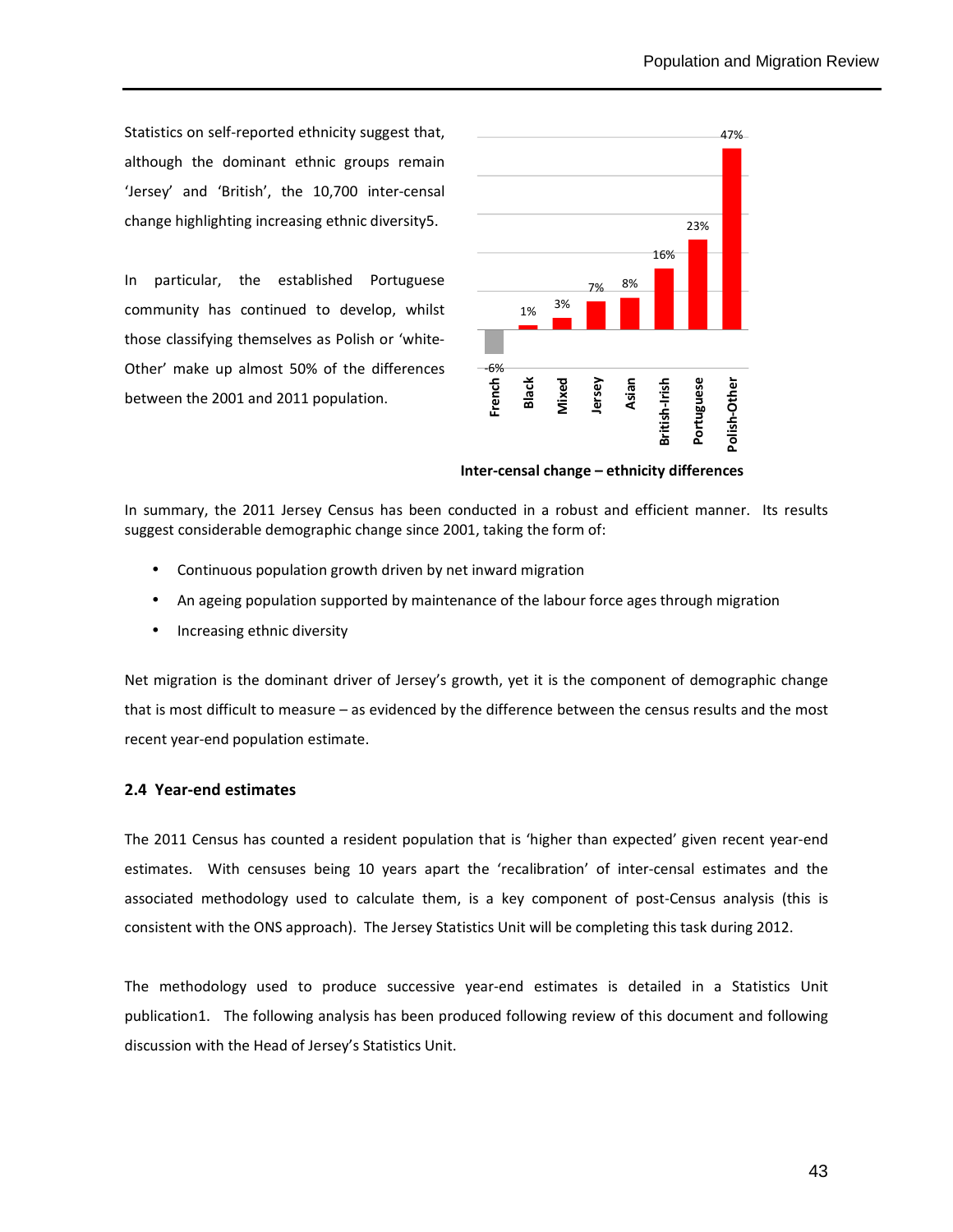Statistics on self-reported ethnicity suggest that, although the dominant ethnic groups remain 'Jersey' and 'British', the 10,700 inter-censal change highlighting increasing ethnic diversity5.

In particular, the established Portuguese community has continued to develop, whilst those classifying themselves as Polish or 'white-Other' make up almost 50% of the differences between the 2001 and 2011 population.



**Inter-censal change – ethnicity differences** 

In summary, the 2011 Jersey Census has been conducted in a robust and efficient manner. Its results suggest considerable demographic change since 2001, taking the form of:

- Continuous population growth driven by net inward migration
- An ageing population supported by maintenance of the labour force ages through migration
- Increasing ethnic diversity

Net migration is the dominant driver of Jersey's growth, yet it is the component of demographic change that is most difficult to measure – as evidenced by the difference between the census results and the most recent year-end population estimate.

#### **2.4 Year-end estimates**

The 2011 Census has counted a resident population that is 'higher than expected' given recent year-end estimates. With censuses being 10 years apart the 'recalibration' of inter-censal estimates and the associated methodology used to calculate them, is a key component of post-Census analysis (this is consistent with the ONS approach). The Jersey Statistics Unit will be completing this task during 2012.

The methodology used to produce successive year-end estimates is detailed in a Statistics Unit publication1. The following analysis has been produced following review of this document and following discussion with the Head of Jersey's Statistics Unit.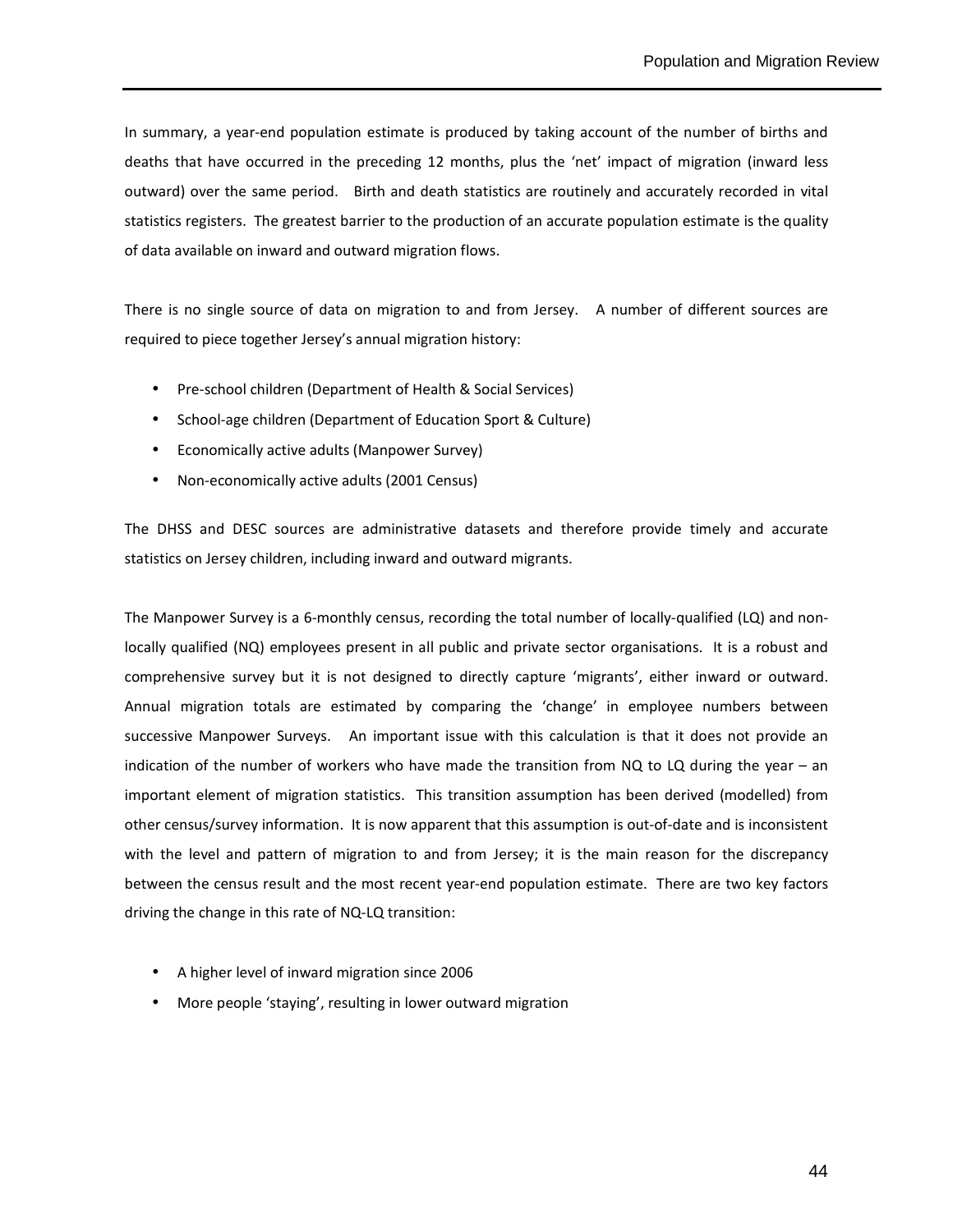In summary, a year-end population estimate is produced by taking account of the number of births and deaths that have occurred in the preceding 12 months, plus the 'net' impact of migration (inward less outward) over the same period. Birth and death statistics are routinely and accurately recorded in vital statistics registers. The greatest barrier to the production of an accurate population estimate is the quality of data available on inward and outward migration flows.

There is no single source of data on migration to and from Jersey. A number of different sources are required to piece together Jersey's annual migration history:

- Pre-school children (Department of Health & Social Services)
- School-age children (Department of Education Sport & Culture)
- Economically active adults (Manpower Survey)
- Non-economically active adults (2001 Census)

The DHSS and DESC sources are administrative datasets and therefore provide timely and accurate statistics on Jersey children, including inward and outward migrants.

The Manpower Survey is a 6-monthly census, recording the total number of locally-qualified (LQ) and nonlocally qualified (NQ) employees present in all public and private sector organisations. It is a robust and comprehensive survey but it is not designed to directly capture 'migrants', either inward or outward. Annual migration totals are estimated by comparing the 'change' in employee numbers between successive Manpower Surveys. An important issue with this calculation is that it does not provide an indication of the number of workers who have made the transition from NQ to LQ during the year – an important element of migration statistics. This transition assumption has been derived (modelled) from other census/survey information. It is now apparent that this assumption is out-of-date and is inconsistent with the level and pattern of migration to and from Jersey; it is the main reason for the discrepancy between the census result and the most recent year-end population estimate. There are two key factors driving the change in this rate of NQ-LQ transition:

- A higher level of inward migration since 2006
- More people 'staying', resulting in lower outward migration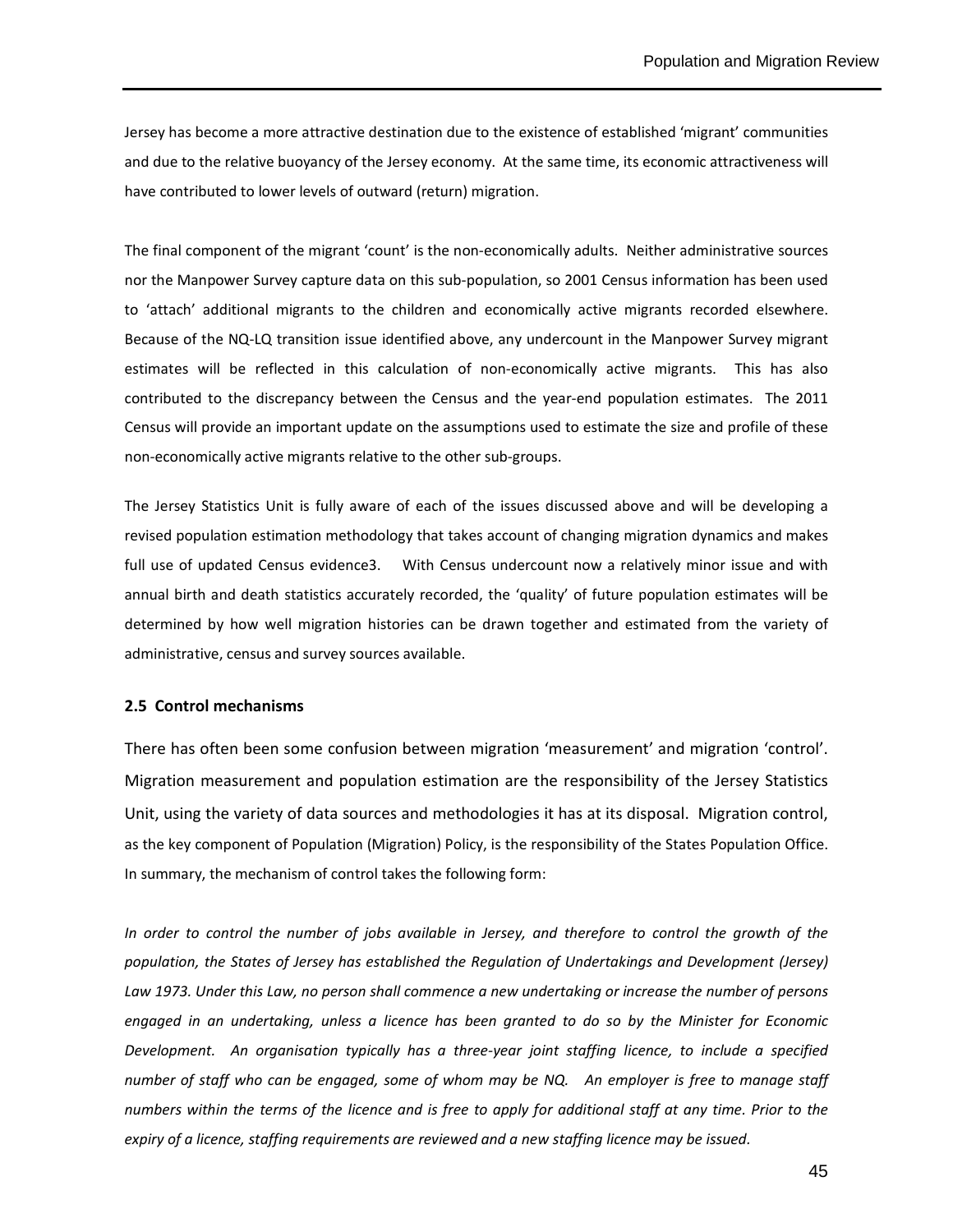Jersey has become a more attractive destination due to the existence of established 'migrant' communities and due to the relative buoyancy of the Jersey economy. At the same time, its economic attractiveness will have contributed to lower levels of outward (return) migration.

The final component of the migrant 'count' is the non-economically adults. Neither administrative sources nor the Manpower Survey capture data on this sub-population, so 2001 Census information has been used to 'attach' additional migrants to the children and economically active migrants recorded elsewhere. Because of the NQ-LQ transition issue identified above, any undercount in the Manpower Survey migrant estimates will be reflected in this calculation of non-economically active migrants. This has also contributed to the discrepancy between the Census and the year-end population estimates. The 2011 Census will provide an important update on the assumptions used to estimate the size and profile of these non-economically active migrants relative to the other sub-groups.

The Jersey Statistics Unit is fully aware of each of the issues discussed above and will be developing a revised population estimation methodology that takes account of changing migration dynamics and makes full use of updated Census evidence3. With Census undercount now a relatively minor issue and with annual birth and death statistics accurately recorded, the 'quality' of future population estimates will be determined by how well migration histories can be drawn together and estimated from the variety of administrative, census and survey sources available.

#### **2.5 Control mechanisms**

There has often been some confusion between migration 'measurement' and migration 'control'. Migration measurement and population estimation are the responsibility of the Jersey Statistics Unit, using the variety of data sources and methodologies it has at its disposal. Migration control, as the key component of Population (Migration) Policy, is the responsibility of the States Population Office. In summary, the mechanism of control takes the following form:

*In order to control the number of jobs available in Jersey, and therefore to control the growth of the population, the States of Jersey has established the Regulation of Undertakings and Development (Jersey) Law 1973. Under this Law, no person shall commence a new undertaking or increase the number of persons engaged in an undertaking, unless a licence has been granted to do so by the Minister for Economic Development. An organisation typically has a three-year joint staffing licence, to include a specified number of staff who can be engaged, some of whom may be NQ. An employer is free to manage staff numbers within the terms of the licence and is free to apply for additional staff at any time. Prior to the expiry of a licence, staffing requirements are reviewed and a new staffing licence may be issued.*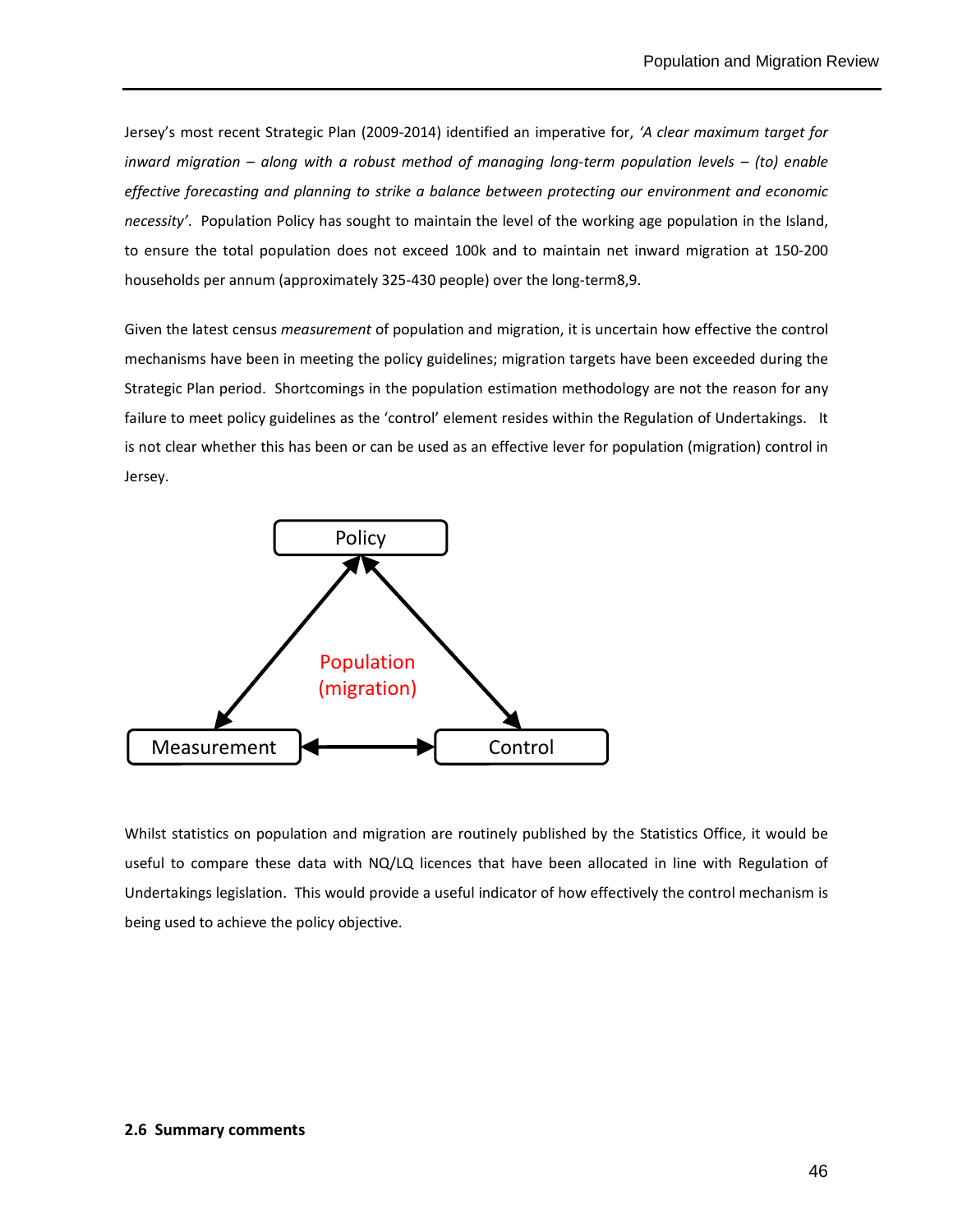Jersey's most recent Strategic Plan (2009-2014) identified an imperative for, *'A clear maximum target for inward migration – along with a robust method of managing long-term population levels – (to) enable effective forecasting and planning to strike a balance between protecting our environment and economic necessity'*. Population Policy has sought to maintain the level of the working age population in the Island, to ensure the total population does not exceed 100k and to maintain net inward migration at 150-200 households per annum (approximately 325-430 people) over the long-term8,9.

Given the latest census *measurement* of population and migration, it is uncertain how effective the control mechanisms have been in meeting the policy guidelines; migration targets have been exceeded during the Strategic Plan period. Shortcomings in the population estimation methodology are not the reason for any failure to meet policy guidelines as the 'control' element resides within the Regulation of Undertakings. It is not clear whether this has been or can be used as an effective lever for population (migration) control in Jersey.



Whilst statistics on population and migration are routinely published by the Statistics Office, it would be useful to compare these data with NQ/LQ licences that have been allocated in line with Regulation of Undertakings legislation. This would provide a useful indicator of how effectively the control mechanism is being used to achieve the policy objective.

#### **2.6 Summary comments**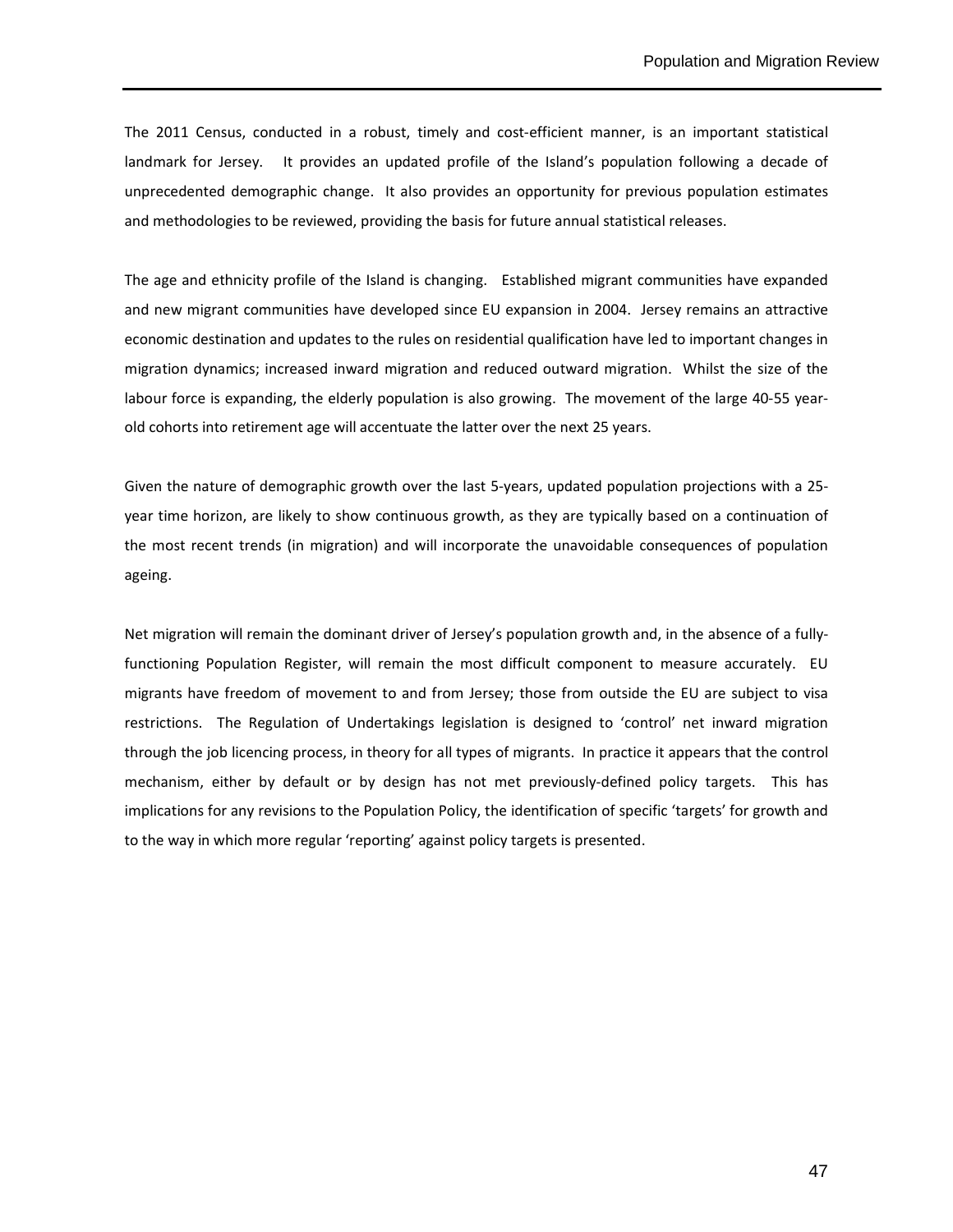The 2011 Census, conducted in a robust, timely and cost-efficient manner, is an important statistical landmark for Jersey. It provides an updated profile of the Island's population following a decade of unprecedented demographic change. It also provides an opportunity for previous population estimates and methodologies to be reviewed, providing the basis for future annual statistical releases.

The age and ethnicity profile of the Island is changing. Established migrant communities have expanded and new migrant communities have developed since EU expansion in 2004. Jersey remains an attractive economic destination and updates to the rules on residential qualification have led to important changes in migration dynamics; increased inward migration and reduced outward migration. Whilst the size of the labour force is expanding, the elderly population is also growing. The movement of the large 40-55 yearold cohorts into retirement age will accentuate the latter over the next 25 years.

Given the nature of demographic growth over the last 5-years, updated population projections with a 25 year time horizon, are likely to show continuous growth, as they are typically based on a continuation of the most recent trends (in migration) and will incorporate the unavoidable consequences of population ageing.

Net migration will remain the dominant driver of Jersey's population growth and, in the absence of a fullyfunctioning Population Register, will remain the most difficult component to measure accurately. EU migrants have freedom of movement to and from Jersey; those from outside the EU are subject to visa restrictions. The Regulation of Undertakings legislation is designed to 'control' net inward migration through the job licencing process, in theory for all types of migrants. In practice it appears that the control mechanism, either by default or by design has not met previously-defined policy targets. This has implications for any revisions to the Population Policy, the identification of specific 'targets' for growth and to the way in which more regular 'reporting' against policy targets is presented.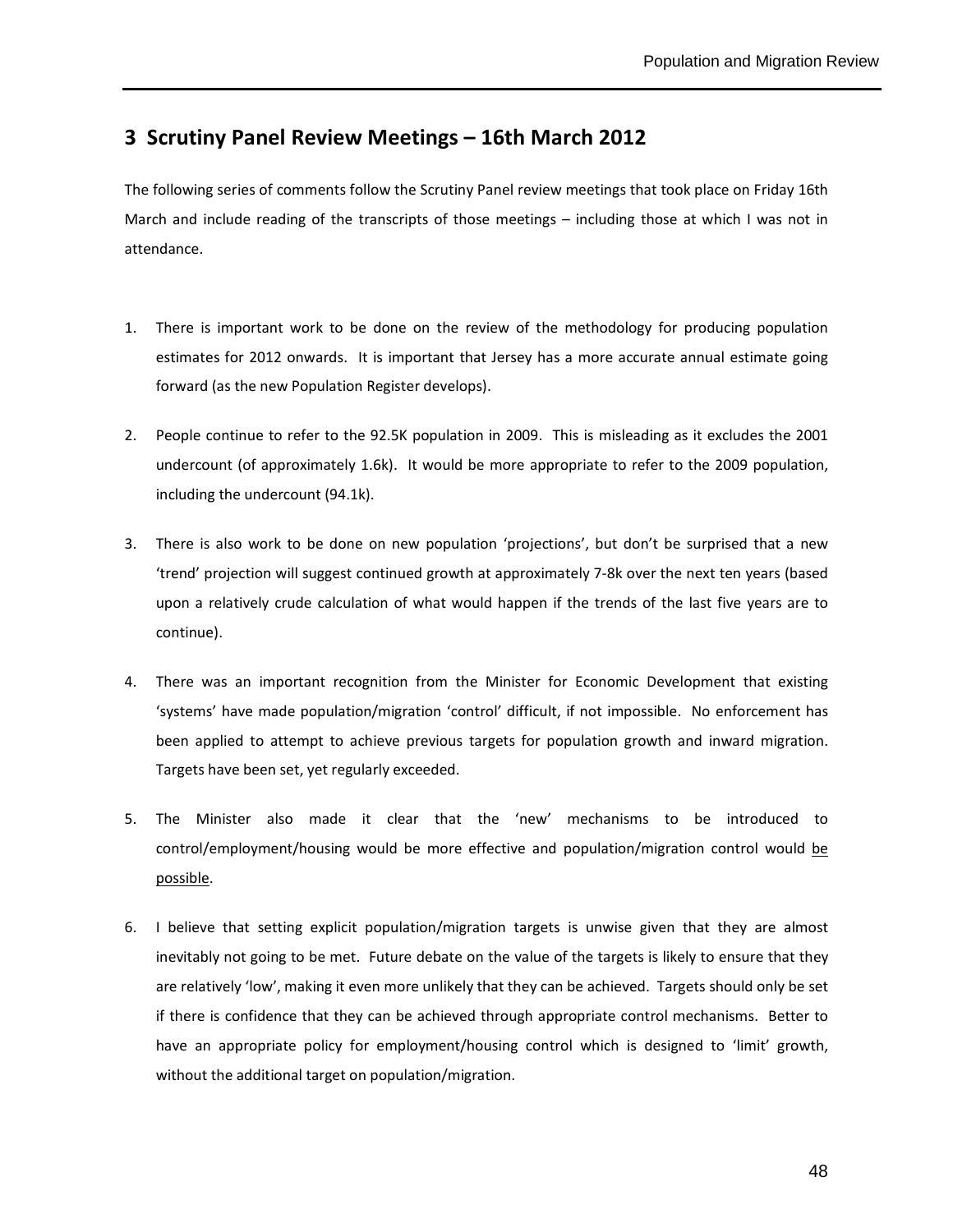### **3 Scrutiny Panel Review Meetings – 16th March 2012**

The following series of comments follow the Scrutiny Panel review meetings that took place on Friday 16th March and include reading of the transcripts of those meetings – including those at which I was not in attendance.

- 1. There is important work to be done on the review of the methodology for producing population estimates for 2012 onwards. It is important that Jersey has a more accurate annual estimate going forward (as the new Population Register develops).
- 2. People continue to refer to the 92.5K population in 2009. This is misleading as it excludes the 2001 undercount (of approximately 1.6k). It would be more appropriate to refer to the 2009 population, including the undercount (94.1k).
- 3. There is also work to be done on new population 'projections', but don't be surprised that a new 'trend' projection will suggest continued growth at approximately 7-8k over the next ten years (based upon a relatively crude calculation of what would happen if the trends of the last five years are to continue).
- 4. There was an important recognition from the Minister for Economic Development that existing 'systems' have made population/migration 'control' difficult, if not impossible. No enforcement has been applied to attempt to achieve previous targets for population growth and inward migration. Targets have been set, yet regularly exceeded.
- 5. The Minister also made it clear that the 'new' mechanisms to be introduced to control/employment/housing would be more effective and population/migration control would be possible.
- 6. I believe that setting explicit population/migration targets is unwise given that they are almost inevitably not going to be met. Future debate on the value of the targets is likely to ensure that they are relatively 'low', making it even more unlikely that they can be achieved. Targets should only be set if there is confidence that they can be achieved through appropriate control mechanisms. Better to have an appropriate policy for employment/housing control which is designed to 'limit' growth, without the additional target on population/migration.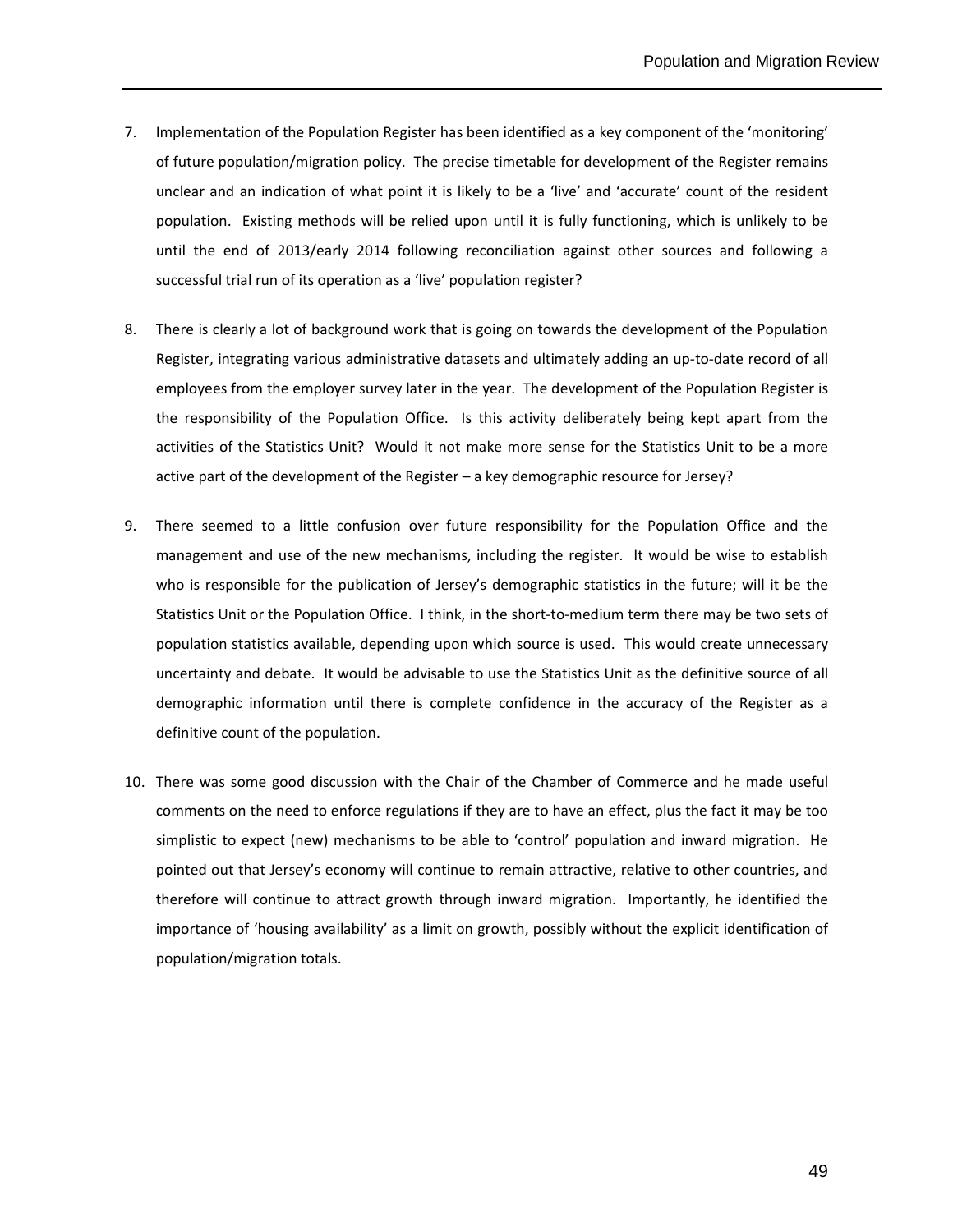- 7. Implementation of the Population Register has been identified as a key component of the 'monitoring' of future population/migration policy. The precise timetable for development of the Register remains unclear and an indication of what point it is likely to be a 'live' and 'accurate' count of the resident population. Existing methods will be relied upon until it is fully functioning, which is unlikely to be until the end of 2013/early 2014 following reconciliation against other sources and following a successful trial run of its operation as a 'live' population register?
- 8. There is clearly a lot of background work that is going on towards the development of the Population Register, integrating various administrative datasets and ultimately adding an up-to-date record of all employees from the employer survey later in the year. The development of the Population Register is the responsibility of the Population Office. Is this activity deliberately being kept apart from the activities of the Statistics Unit? Would it not make more sense for the Statistics Unit to be a more active part of the development of the Register – a key demographic resource for Jersey?
- 9. There seemed to a little confusion over future responsibility for the Population Office and the management and use of the new mechanisms, including the register. It would be wise to establish who is responsible for the publication of Jersey's demographic statistics in the future; will it be the Statistics Unit or the Population Office. I think, in the short-to-medium term there may be two sets of population statistics available, depending upon which source is used. This would create unnecessary uncertainty and debate. It would be advisable to use the Statistics Unit as the definitive source of all demographic information until there is complete confidence in the accuracy of the Register as a definitive count of the population.
- 10. There was some good discussion with the Chair of the Chamber of Commerce and he made useful comments on the need to enforce regulations if they are to have an effect, plus the fact it may be too simplistic to expect (new) mechanisms to be able to 'control' population and inward migration. He pointed out that Jersey's economy will continue to remain attractive, relative to other countries, and therefore will continue to attract growth through inward migration. Importantly, he identified the importance of 'housing availability' as a limit on growth, possibly without the explicit identification of population/migration totals.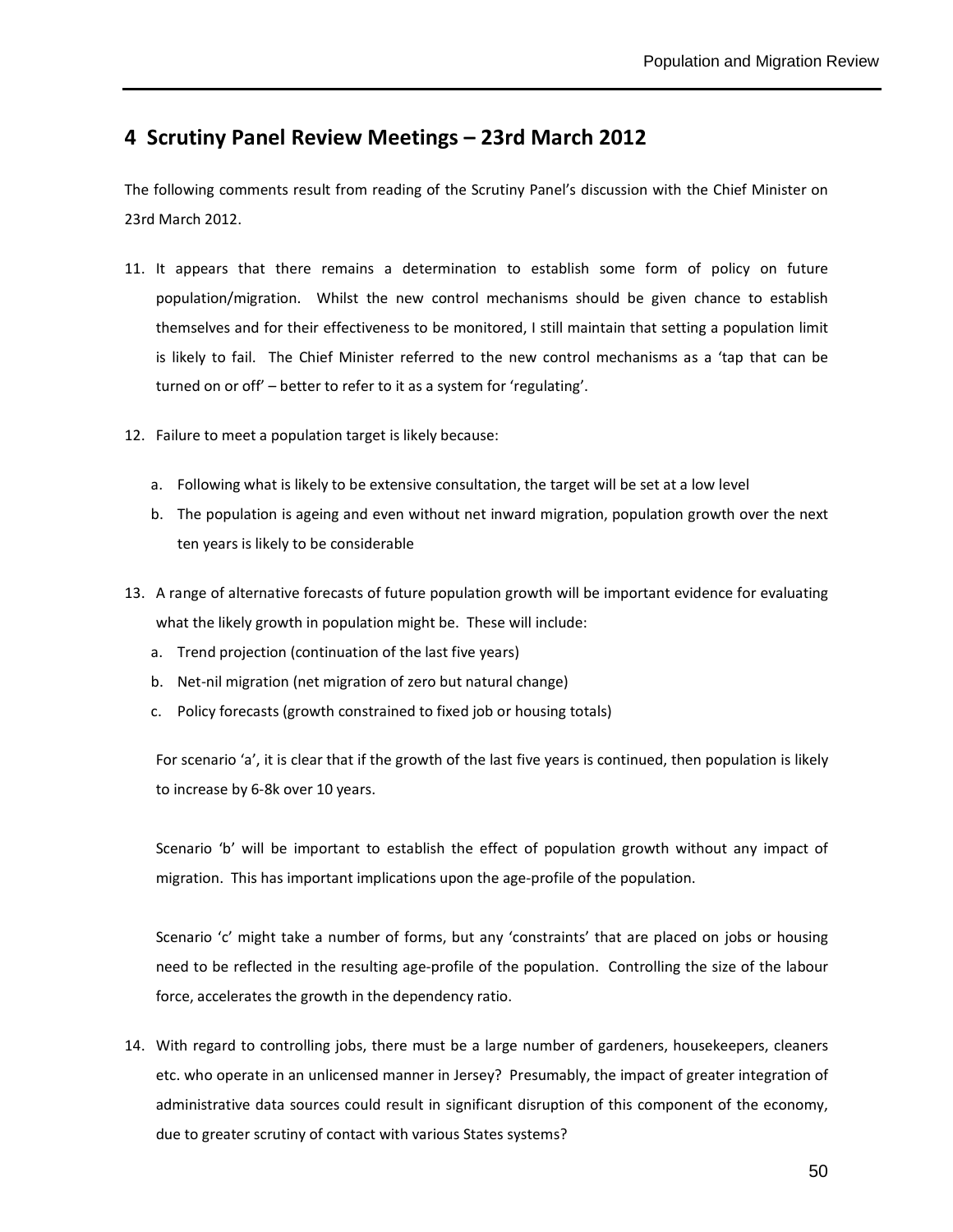## **4 Scrutiny Panel Review Meetings – 23rd March 2012**

The following comments result from reading of the Scrutiny Panel's discussion with the Chief Minister on 23rd March 2012.

- 11. It appears that there remains a determination to establish some form of policy on future population/migration. Whilst the new control mechanisms should be given chance to establish themselves and for their effectiveness to be monitored, I still maintain that setting a population limit is likely to fail. The Chief Minister referred to the new control mechanisms as a 'tap that can be turned on or off' – better to refer to it as a system for 'regulating'.
- 12. Failure to meet a population target is likely because:
	- a. Following what is likely to be extensive consultation, the target will be set at a low level
	- b. The population is ageing and even without net inward migration, population growth over the next ten years is likely to be considerable
- 13. A range of alternative forecasts of future population growth will be important evidence for evaluating what the likely growth in population might be. These will include:
	- a. Trend projection (continuation of the last five years)
	- b. Net-nil migration (net migration of zero but natural change)
	- c. Policy forecasts (growth constrained to fixed job or housing totals)

For scenario 'a', it is clear that if the growth of the last five years is continued, then population is likely to increase by 6-8k over 10 years.

Scenario 'b' will be important to establish the effect of population growth without any impact of migration. This has important implications upon the age-profile of the population.

Scenario 'c' might take a number of forms, but any 'constraints' that are placed on jobs or housing need to be reflected in the resulting age-profile of the population. Controlling the size of the labour force, accelerates the growth in the dependency ratio.

14. With regard to controlling jobs, there must be a large number of gardeners, housekeepers, cleaners etc. who operate in an unlicensed manner in Jersey? Presumably, the impact of greater integration of administrative data sources could result in significant disruption of this component of the economy, due to greater scrutiny of contact with various States systems?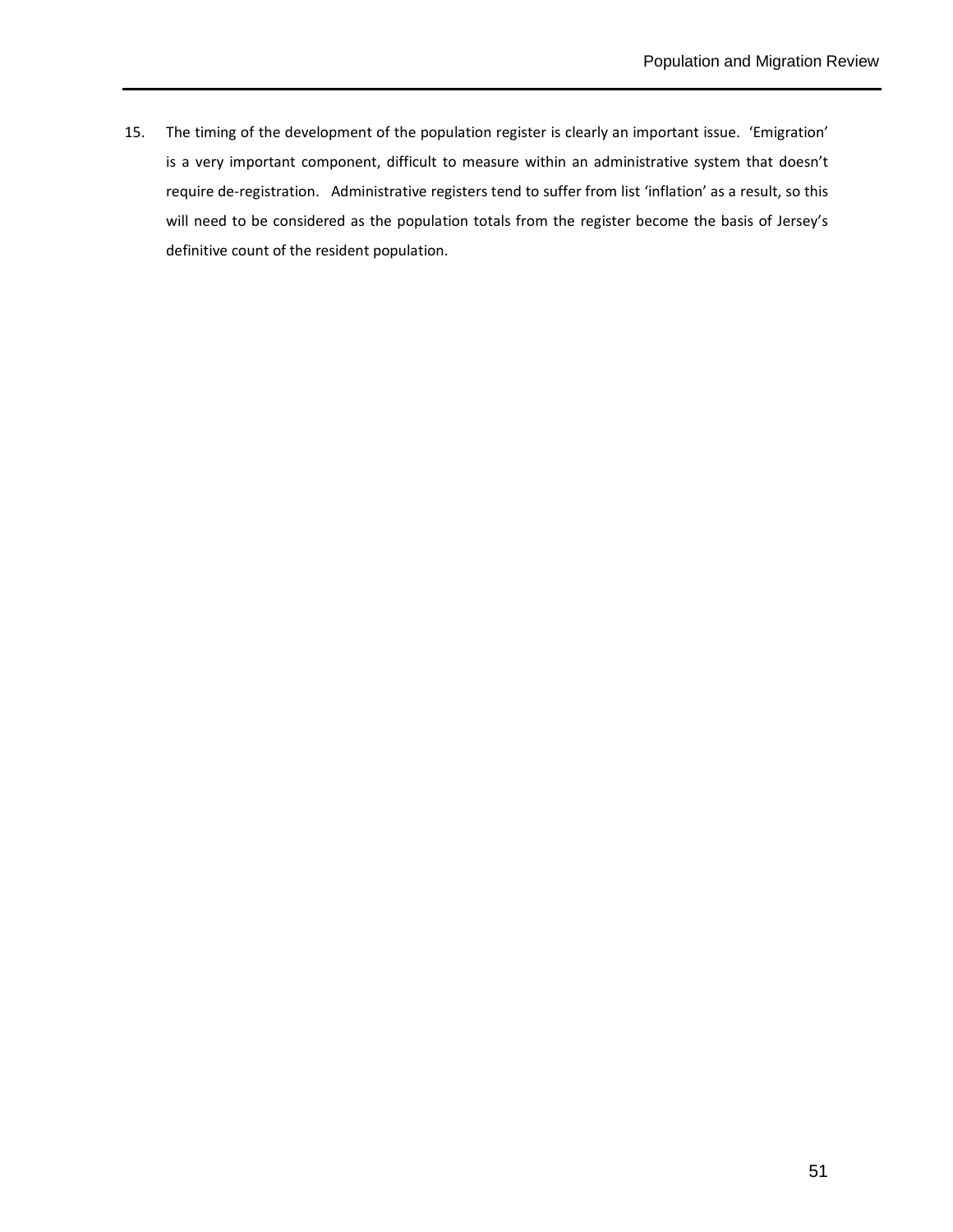15. The timing of the development of the population register is clearly an important issue. 'Emigration' is a very important component, difficult to measure within an administrative system that doesn't require de-registration. Administrative registers tend to suffer from list 'inflation' as a result, so this will need to be considered as the population totals from the register become the basis of Jersey's definitive count of the resident population.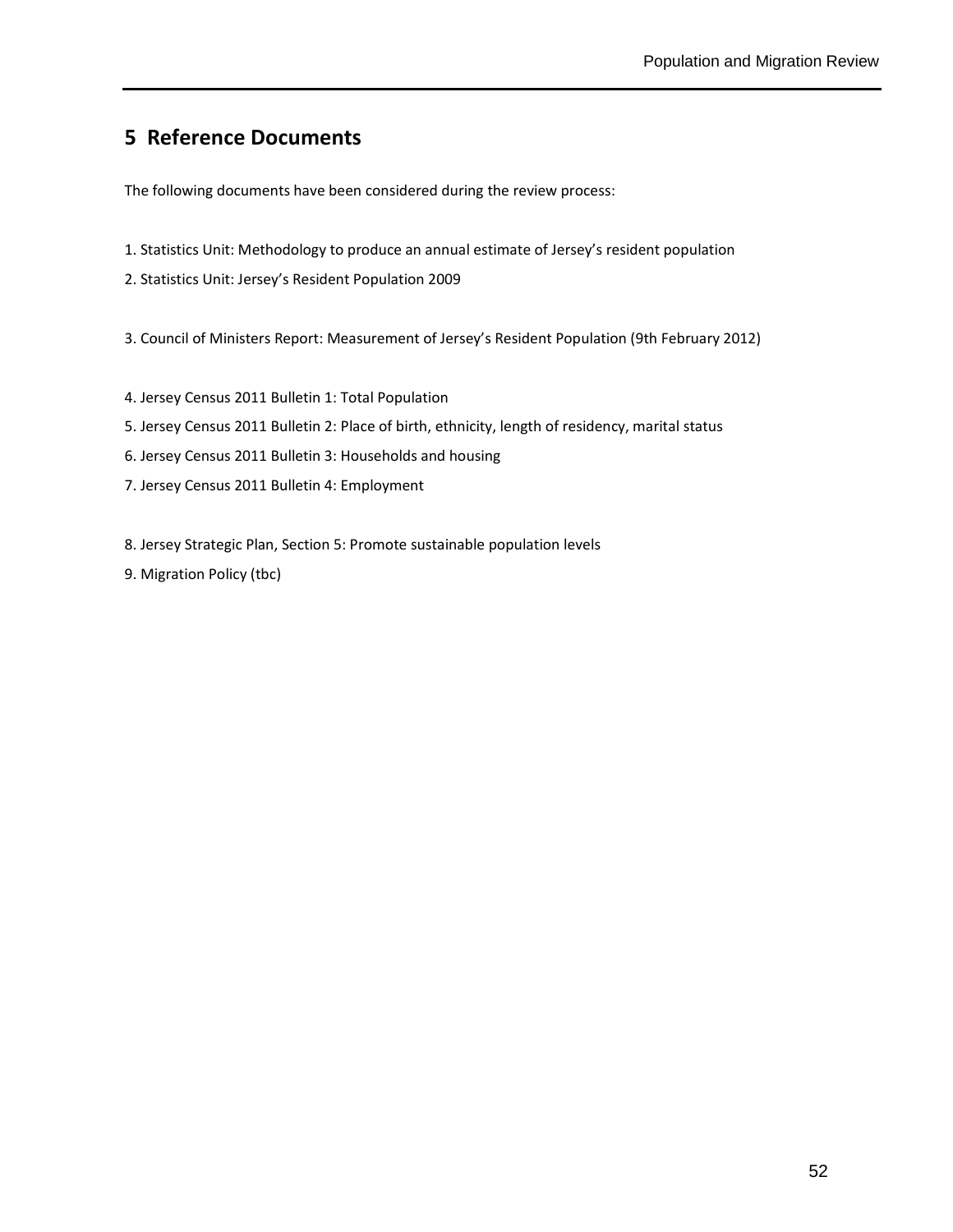## **5 Reference Documents**

The following documents have been considered during the review process:

- 1. Statistics Unit: Methodology to produce an annual estimate of Jersey's resident population
- 2. Statistics Unit: Jersey's Resident Population 2009

3. Council of Ministers Report: Measurement of Jersey's Resident Population (9th February 2012)

- 4. Jersey Census 2011 Bulletin 1: Total Population
- 5. Jersey Census 2011 Bulletin 2: Place of birth, ethnicity, length of residency, marital status
- 6. Jersey Census 2011 Bulletin 3: Households and housing
- 7. Jersey Census 2011 Bulletin 4: Employment

8. Jersey Strategic Plan, Section 5: Promote sustainable population levels

9. Migration Policy (tbc)